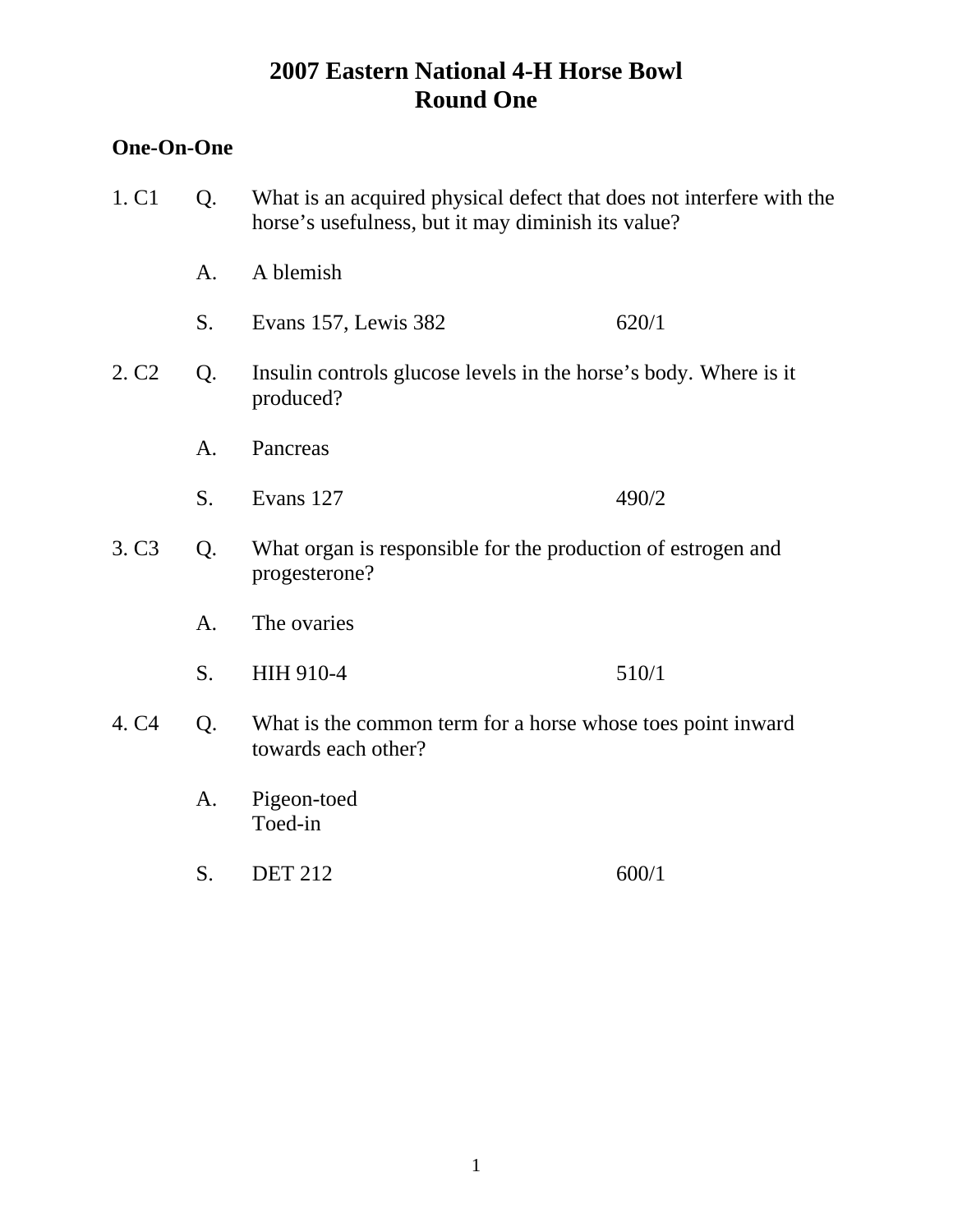## **One-On-One**

| 1. C <sub>1</sub><br>Q. |    | What is an acquired physical defect that does not interfere with the<br>horse's usefulness, but it may diminish its value? |       |
|-------------------------|----|----------------------------------------------------------------------------------------------------------------------------|-------|
|                         | A. | A blemish                                                                                                                  |       |
|                         | S. | Evans 157, Lewis 382                                                                                                       | 620/1 |
| 2. C <sub>2</sub>       | Q. | Insulin controls glucose levels in the horse's body. Where is it<br>produced?                                              |       |
|                         | A. | Pancreas                                                                                                                   |       |
|                         | S. | Evans 127                                                                                                                  | 490/2 |
| 3. C <sub>3</sub>       | Q. | What organ is responsible for the production of estrogen and<br>progesterone?                                              |       |
|                         | A. | The ovaries                                                                                                                |       |
|                         | S. | HIH 910-4                                                                                                                  | 510/1 |
| 4. C <sub>4</sub>       | Q. | What is the common term for a horse whose toes point inward<br>towards each other?                                         |       |
|                         | A. | Pigeon-toed<br>Toed-in                                                                                                     |       |
|                         | S. | <b>DET 212</b>                                                                                                             | 600/1 |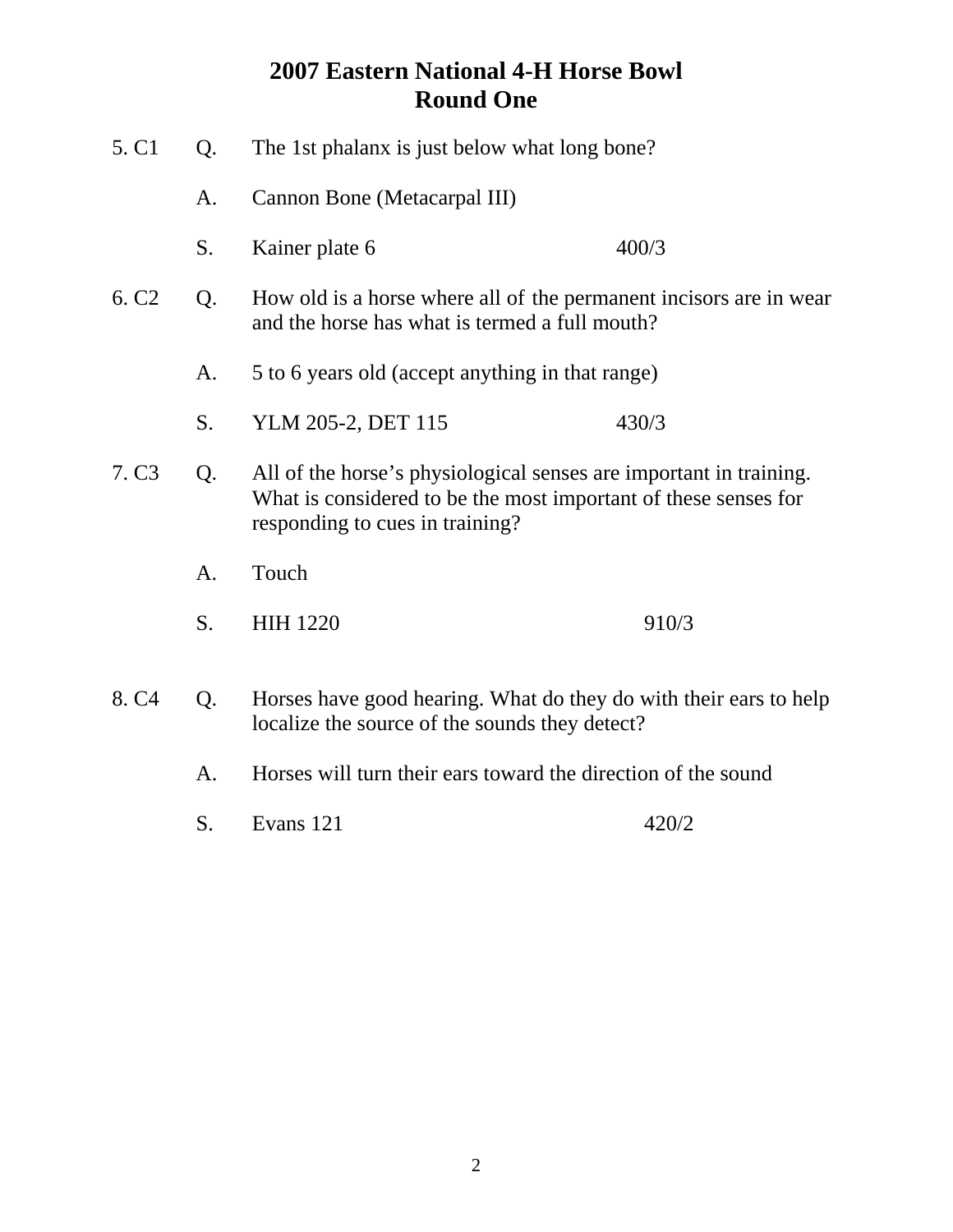| 5. C1             | Q.                                                                                                                         | The 1st phalanx is just below what long bone?                                                                                                                            |       |
|-------------------|----------------------------------------------------------------------------------------------------------------------------|--------------------------------------------------------------------------------------------------------------------------------------------------------------------------|-------|
|                   | A.                                                                                                                         | Cannon Bone (Metacarpal III)                                                                                                                                             |       |
|                   | S.                                                                                                                         | Kainer plate 6                                                                                                                                                           | 400/3 |
| 6. C <sub>2</sub> | How old is a horse where all of the permanent incisors are in wear<br>Q.<br>and the horse has what is termed a full mouth? |                                                                                                                                                                          |       |
|                   | A.                                                                                                                         | 5 to 6 years old (accept anything in that range)                                                                                                                         |       |
|                   | S.                                                                                                                         | YLM 205-2, DET 115                                                                                                                                                       | 430/3 |
| 7. C <sub>3</sub> | Q.                                                                                                                         | All of the horse's physiological senses are important in training.<br>What is considered to be the most important of these senses for<br>responding to cues in training? |       |
|                   | A.                                                                                                                         | Touch                                                                                                                                                                    |       |
|                   | S.                                                                                                                         | <b>HIH 1220</b>                                                                                                                                                          | 910/3 |
| 8. C <sub>4</sub> | Q.                                                                                                                         | Horses have good hearing. What do they do with their ears to help<br>localize the source of the sounds they detect?                                                      |       |
| A.                |                                                                                                                            | Horses will turn their ears toward the direction of the sound                                                                                                            |       |

S. Evans 121 420/2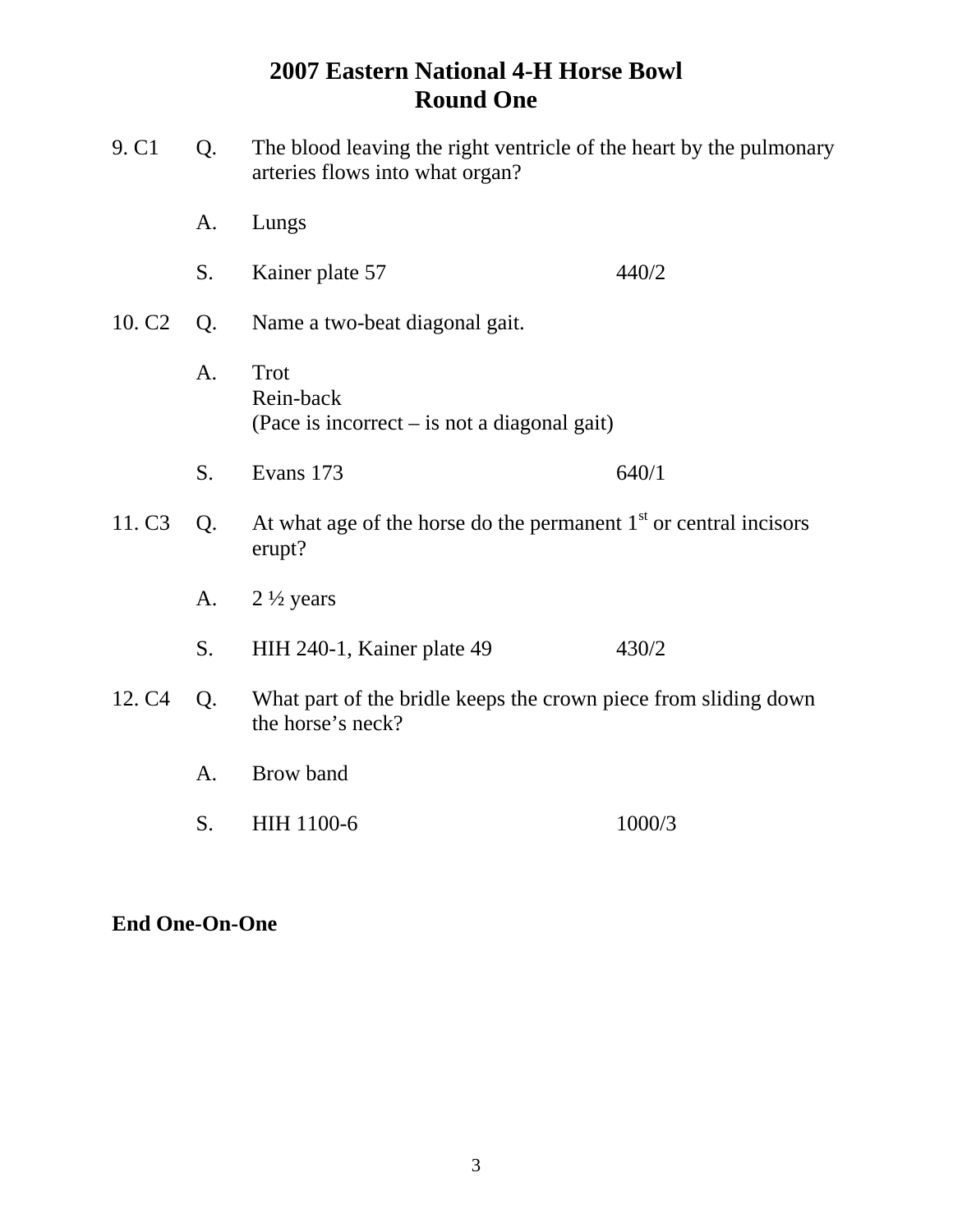| 9. C <sub>1</sub>  | Q. | The blood leaving the right ventricle of the heart by the pulmonary<br>arteries flows into what organ? |        |  |
|--------------------|----|--------------------------------------------------------------------------------------------------------|--------|--|
|                    | A. | Lungs                                                                                                  |        |  |
|                    | S. | Kainer plate 57                                                                                        | 440/2  |  |
| 10. C <sub>2</sub> | Q. | Name a two-beat diagonal gait.                                                                         |        |  |
|                    | A. | Trot<br>Rein-back<br>(Pace is incorrect $-$ is not a diagonal gait)                                    |        |  |
|                    | S. | Evans 173                                                                                              | 640/1  |  |
| 11. C <sub>3</sub> | Q. | At what age of the horse do the permanent $1st$ or central incisors<br>erupt?                          |        |  |
|                    | A. | $2\frac{1}{2}$ years                                                                                   |        |  |
|                    | S. | HIH 240-1, Kainer plate 49                                                                             | 430/2  |  |
| 12. C <sub>4</sub> | Q. | What part of the bridle keeps the crown piece from sliding down<br>the horse's neck?                   |        |  |
|                    | A. | Brow band                                                                                              |        |  |
|                    | S. | <b>HIH 1100-6</b>                                                                                      | 1000/3 |  |

## **End One-On-One**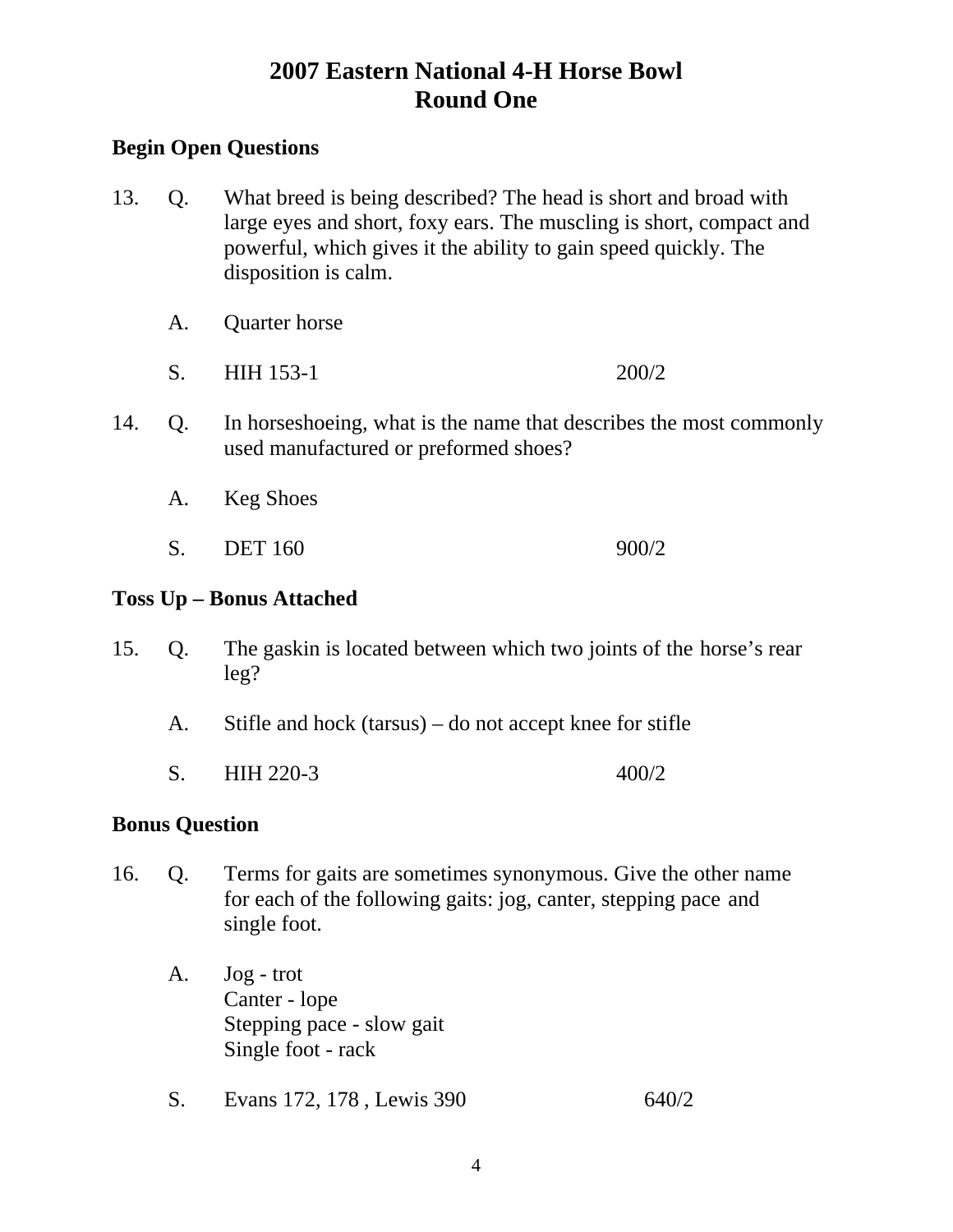## **Begin Open Questions**

- 13. Q. What breed is being described? The head is short and broad with large eyes and short, foxy ears. The muscling is short, compact and powerful, which gives it the ability to gain speed quickly. The disposition is calm.
	- A. Quarter horse
	- S. HIH 153-1 200/2
- 14. Q. In horseshoeing, what is the name that describes the most commonly used manufactured or preformed shoes?
	- A. Keg Shoes
	- S. DET 160 900/2

## **Toss Up – Bonus Attached**

- 15. Q. The gaskin is located between which two joints of the horse's rear leg?
	- A. Stifle and hock (tarsus) do not accept knee for stifle
	- S. HIH 220-3 400/2

#### **Bonus Question**

- 16. Q. Terms for gaits are sometimes synonymous. Give the other name for each of the following gaits: jog, canter, stepping pace and single foot.
	- A. Jog trot Canter - lope Stepping pace - slow gait Single foot - rack
	- S. Evans 172, 178, Lewis 390 640/2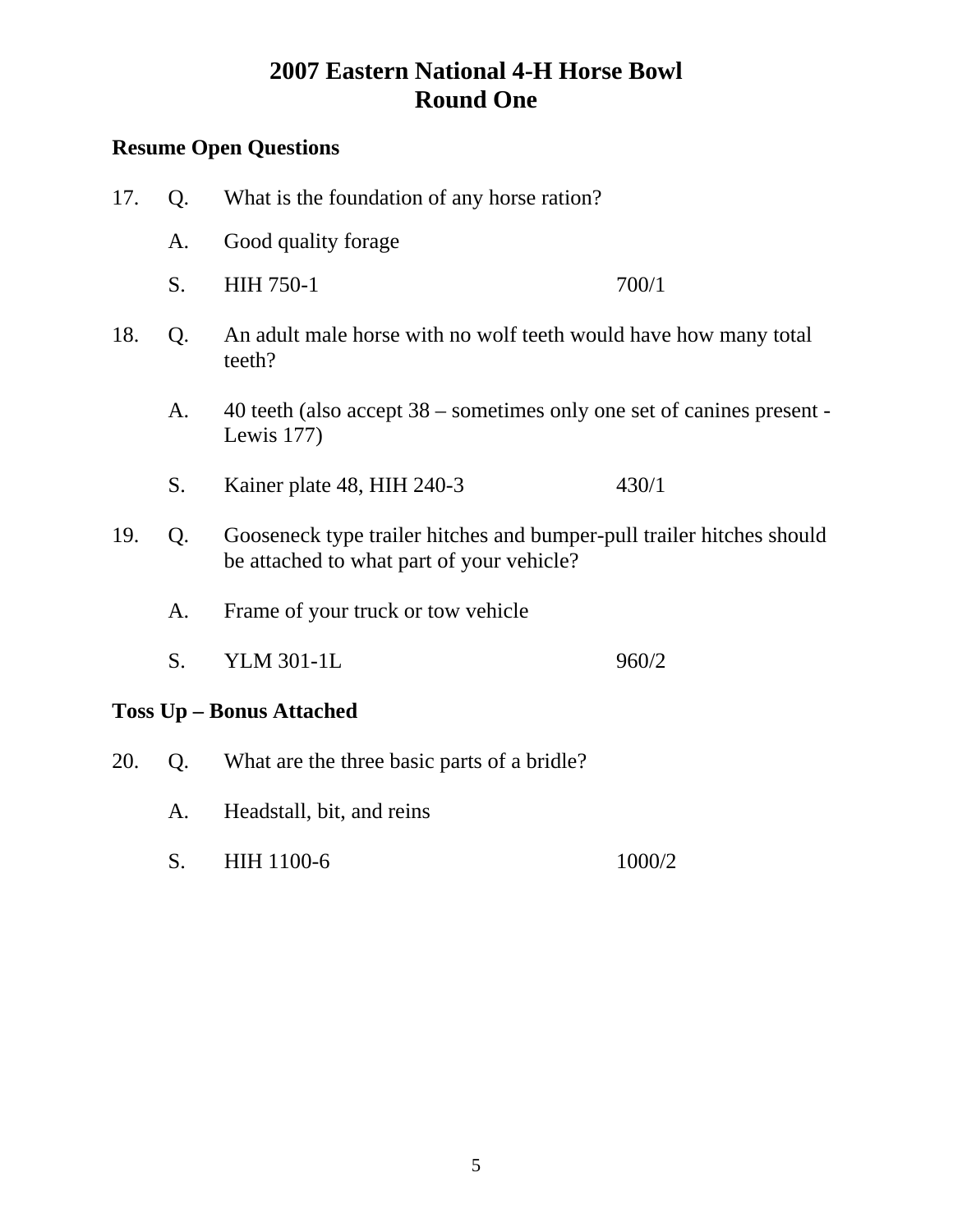| 17.                             | Q.                                                                               | What is the foundation of any horse ration?                                                                        |       |  |
|---------------------------------|----------------------------------------------------------------------------------|--------------------------------------------------------------------------------------------------------------------|-------|--|
|                                 | A.                                                                               | Good quality forage                                                                                                |       |  |
|                                 | S.                                                                               | <b>HIH 750-1</b>                                                                                                   | 700/1 |  |
| 18.                             | An adult male horse with no wolf teeth would have how many total<br>Q.<br>teeth? |                                                                                                                    |       |  |
| A <sub>1</sub>                  |                                                                                  | 40 teeth (also accept $38$ – sometimes only one set of canines present -<br>Lewis $177$ )                          |       |  |
|                                 | S.                                                                               | Kainer plate 48, HIH 240-3                                                                                         | 430/1 |  |
| 19.                             | Q.                                                                               | Gooseneck type trailer hitches and bumper-pull trailer hitches should<br>be attached to what part of your vehicle? |       |  |
|                                 | Frame of your truck or tow vehicle<br>A.                                         |                                                                                                                    |       |  |
|                                 | S.                                                                               | <b>YLM 301-1L</b>                                                                                                  | 960/2 |  |
| <b>Toss Up - Bonus Attached</b> |                                                                                  |                                                                                                                    |       |  |

- 20. Q. What are the three basic parts of a bridle?
	- A. Headstall, bit, and reins
	- S. HIH 1100-6 1000/2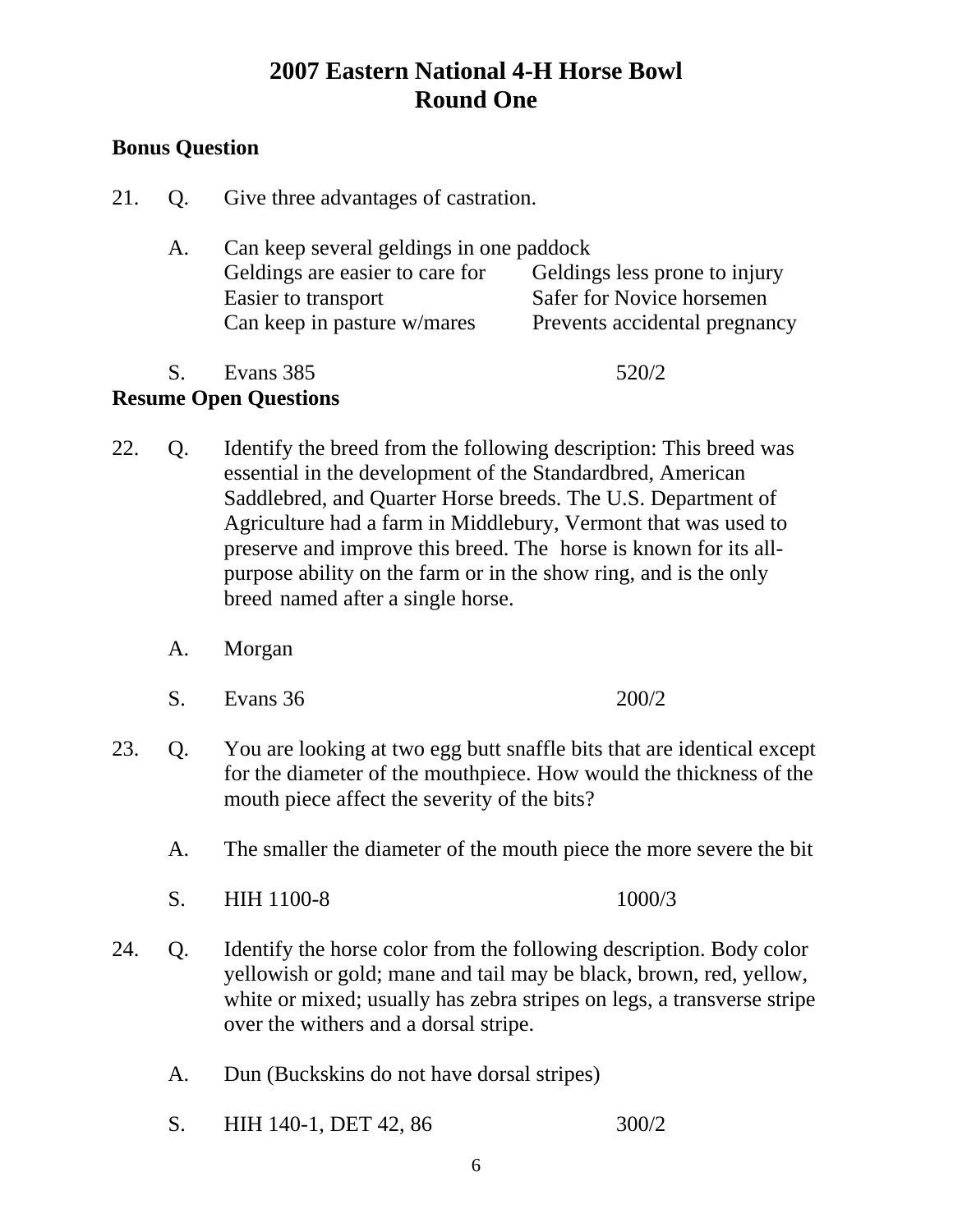## **Bonus Question**

- 21. Q. Give three advantages of castration.
	- A. Can keep several geldings in one paddock Geldings are easier to care for Geldings less prone to injury Easier to transport Safer for Novice horsemen Can keep in pasture w/mares Prevents accidental pregnancy
	- S. Evans 385 520/2

- 22. Q. Identify the breed from the following description: This breed was essential in the development of the Standardbred, American Saddlebred, and Quarter Horse breeds. The U.S. Department of Agriculture had a farm in Middlebury, Vermont that was used to preserve and improve this breed. The horse is known for its all purpose ability on the farm or in the show ring, and is the only breed named after a single horse.
	- A. Morgan
	- S. Evans 36 200/2
- 23. Q. You are looking at two egg butt snaffle bits that are identical except for the diameter of the mouthpiece. How would the thickness of the mouth piece affect the severity of the bits?
	- A. The smaller the diameter of the mouth piece the more severe the bit
	- S. HIH 1100-8 1000/3
- 24. Q. Identify the horse color from the following description. Body color yellowish or gold; mane and tail may be black, brown, red, yellow, white or mixed; usually has zebra stripes on legs, a transverse stripe over the withers and a dorsal stripe.
	- A. Dun (Buckskins do not have dorsal stripes)
	- S. HIH 140-1, DET 42, 86 300/2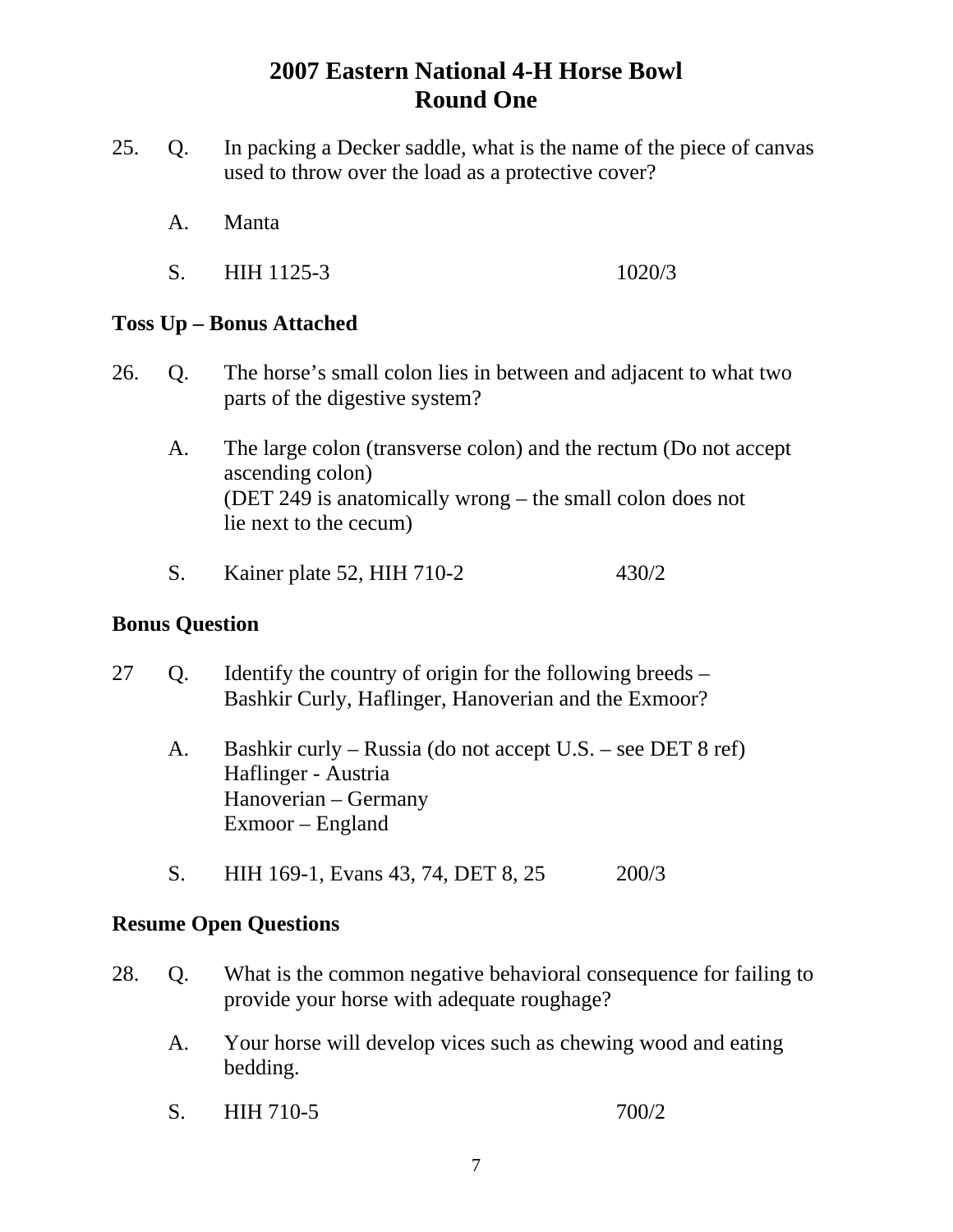- 25. Q. In packing a Decker saddle, what is the name of the piece of canvas used to throw over the load as a protective cover?
	- A. Manta
	- S. HIH 1125-3 1020/3

## **Toss Up – Bonus Attached**

- 26. Q. The horse's small colon lies in between and adjacent to what two parts of the digestive system?
	- A. The large colon (transverse colon) and the rectum (Do not accept ascending colon) (DET 249 is anatomically wrong – the small colon does not lie next to the cecum)
	- S. Kainer plate 52, HIH 710-2 430/2

#### **Bonus Question**

- 27 Q. Identify the country of origin for the following breeds Bashkir Curly, Haflinger, Hanoverian and the Exmoor?
	- A. Bashkir curly Russia (do not accept U.S. see DET 8 ref) Haflinger - Austria Hanoverian – Germany Exmoor – England
	- S. HIH 169-1, Evans 43, 74, DET 8, 25 200/3

- 28. Q. What is the common negative behavioral consequence for failing to provide your horse with adequate roughage?
	- A. Your horse will develop vices such as chewing wood and eating bedding.
	- S. HIH 710-5 700/2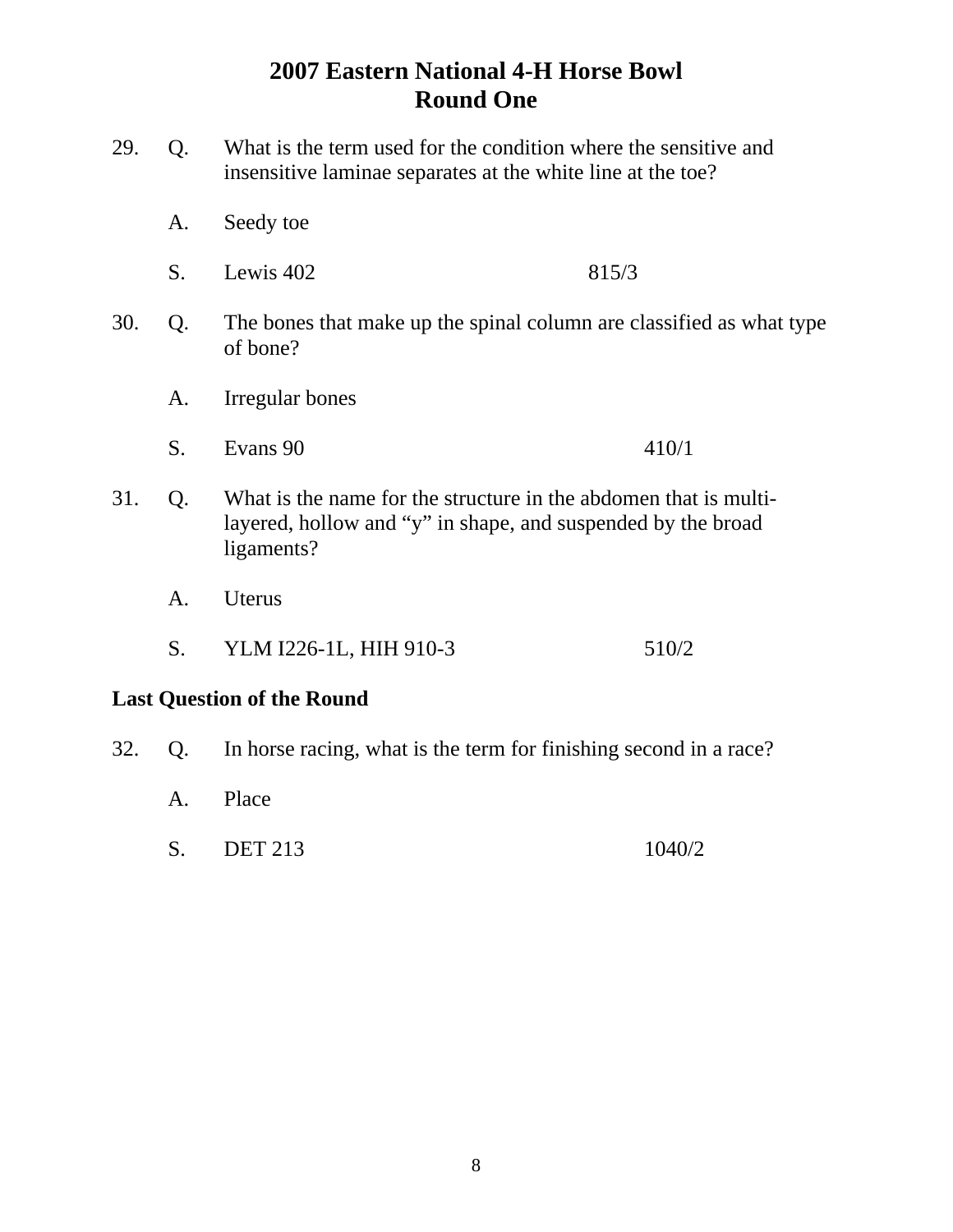- 29. Q. What is the term used for the condition where the sensitive and insensitive laminae separates at the white line at the toe?
	- A. Seedy toe
	- S. Lewis 402 815/3
- 30. Q. The bones that make up the spinal column are classified as what type of bone?
	- A. Irregular bones
	- S. Evans 90 410/1
- 31. Q. What is the name for the structure in the abdomen that is multi layered, hollow and "y" in shape, and suspended by the broad ligaments?
	- A. Uterus
	- S. YLM I226-1L, HIH 910-3 510/2

## **Last Question of the Round**

- 32. Q. In horse racing, what is the term for finishing second in a race?
	- A. Place
	- S. DET 213 1040/2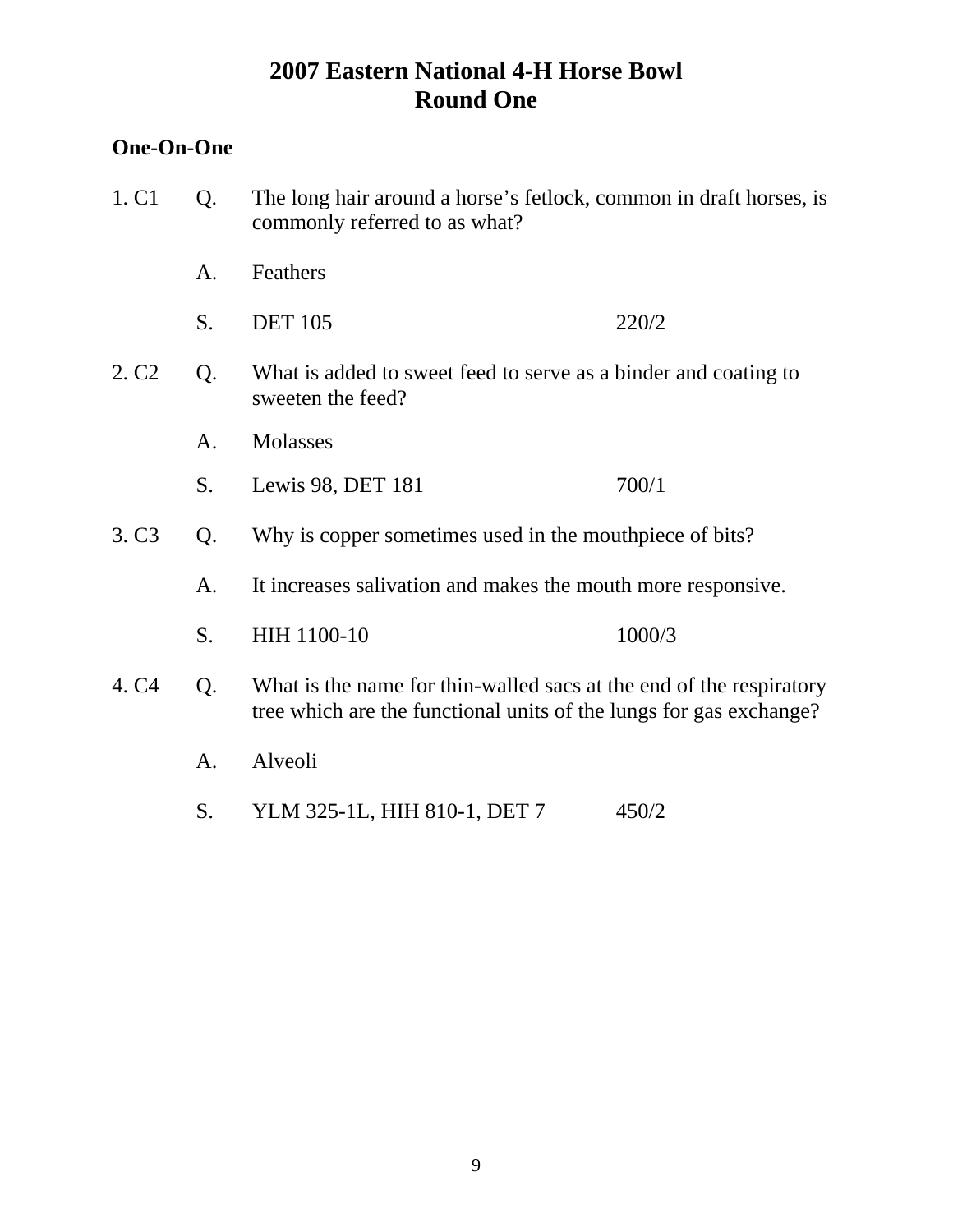## **One-On-One**

| 1. C <sub>1</sub> | Q. | The long hair around a horse's fetlock, common in draft horses, is<br>commonly referred to as what?                                       |        |
|-------------------|----|-------------------------------------------------------------------------------------------------------------------------------------------|--------|
|                   | A. | Feathers                                                                                                                                  |        |
|                   | S. | <b>DET 105</b>                                                                                                                            | 220/2  |
| 2. C <sub>2</sub> | Q. | What is added to sweet feed to serve as a binder and coating to<br>sweeten the feed?                                                      |        |
|                   | A. | Molasses                                                                                                                                  |        |
|                   | S. | Lewis 98, DET 181                                                                                                                         | 700/1  |
| 3. C <sub>3</sub> | Q. | Why is copper sometimes used in the mouthpiece of bits?                                                                                   |        |
|                   | А. | It increases salivation and makes the mouth more responsive.                                                                              |        |
|                   | S. | HIH 1100-10                                                                                                                               | 1000/3 |
| 4. C <sub>4</sub> | Q. | What is the name for thin-walled sacs at the end of the respiratory<br>tree which are the functional units of the lungs for gas exchange? |        |
|                   | A. | Alveoli                                                                                                                                   |        |
|                   | S. | YLM 325-1L, HIH 810-1, DET 7                                                                                                              | 450/2  |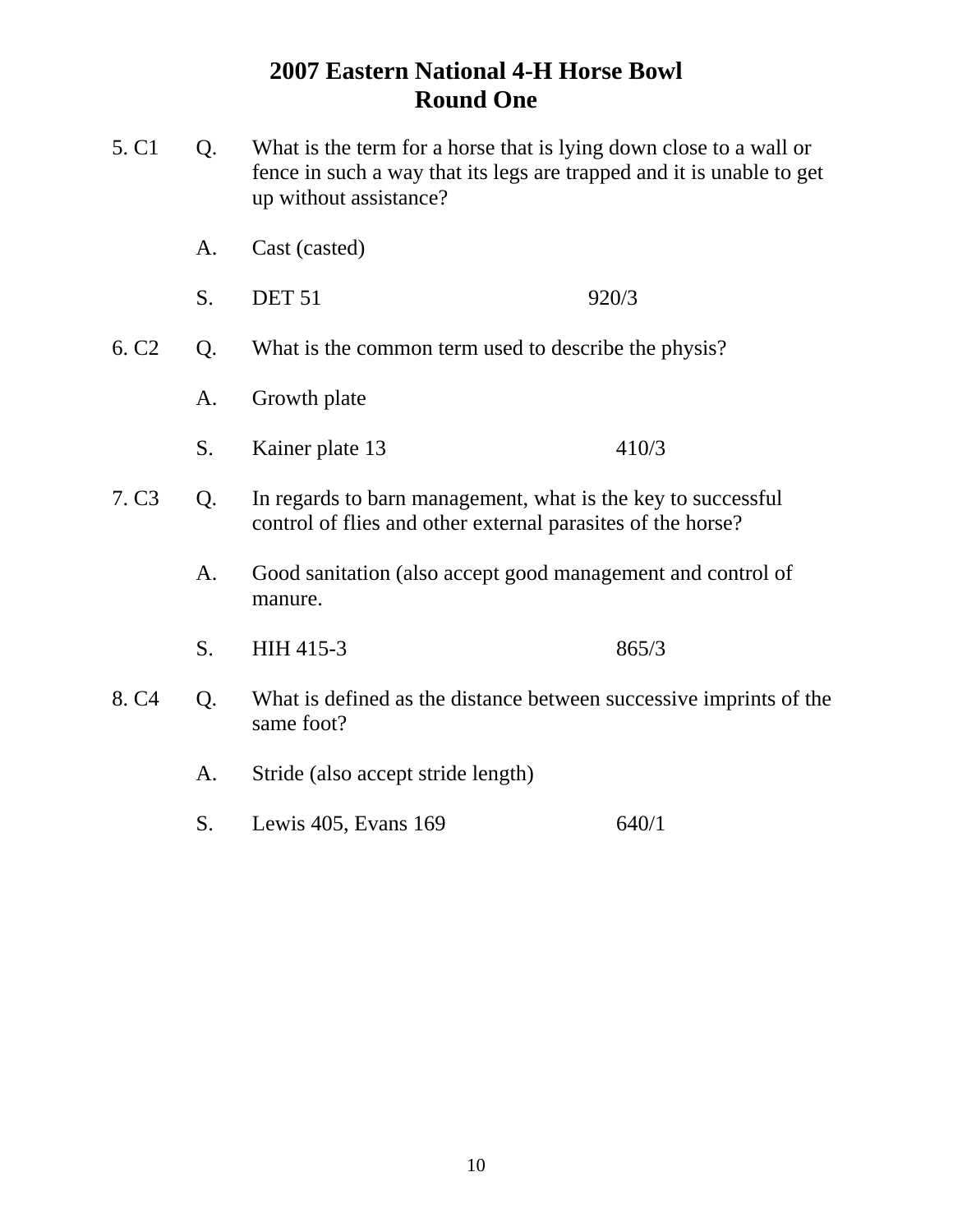| 5. C <sub>1</sub> | Q.                                                                                     | What is the term for a horse that is lying down close to a wall or<br>fence in such a way that its legs are trapped and it is unable to get<br>up without assistance? |       |
|-------------------|----------------------------------------------------------------------------------------|-----------------------------------------------------------------------------------------------------------------------------------------------------------------------|-------|
|                   | A.                                                                                     | Cast (casted)                                                                                                                                                         |       |
|                   | S.                                                                                     | <b>DET 51</b>                                                                                                                                                         | 920/3 |
| 6. C <sub>2</sub> | Q.                                                                                     | What is the common term used to describe the physis?                                                                                                                  |       |
|                   | Growth plate<br>A.                                                                     |                                                                                                                                                                       |       |
|                   | S.                                                                                     | Kainer plate 13                                                                                                                                                       | 410/3 |
| 7. C <sub>3</sub> | Q.                                                                                     | In regards to barn management, what is the key to successful<br>control of flies and other external parasites of the horse?                                           |       |
|                   | A.                                                                                     | Good sanitation (also accept good management and control of<br>manure.                                                                                                |       |
|                   | S.                                                                                     | HIH 415-3                                                                                                                                                             | 865/3 |
| 8. C <sub>4</sub> | Q.<br>What is defined as the distance between successive imprints of the<br>same foot? |                                                                                                                                                                       |       |
|                   | A.                                                                                     | Stride (also accept stride length)                                                                                                                                    |       |
|                   | S.                                                                                     | Lewis 405, Evans 169                                                                                                                                                  | 640/1 |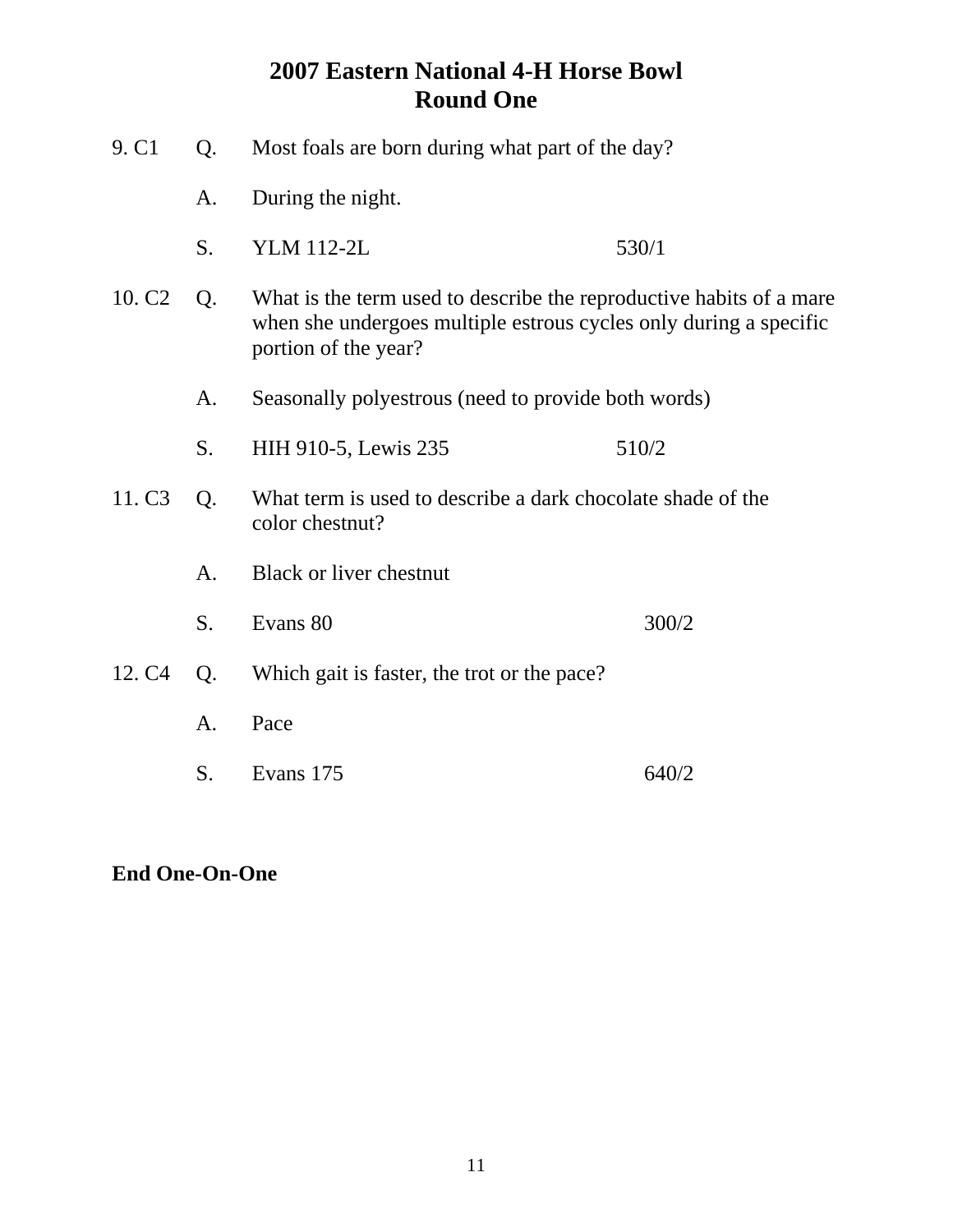| 9. C <sub>1</sub><br>Most foals are born during what part of the day?<br>Q. |    |                                                                                                                                                                  |       |
|-----------------------------------------------------------------------------|----|------------------------------------------------------------------------------------------------------------------------------------------------------------------|-------|
|                                                                             | A. | During the night.                                                                                                                                                |       |
|                                                                             | S. | <b>YLM 112-2L</b>                                                                                                                                                | 530/1 |
| 10. C <sub>2</sub>                                                          | Q. | What is the term used to describe the reproductive habits of a mare<br>when she undergoes multiple estrous cycles only during a specific<br>portion of the year? |       |
|                                                                             | A. | Seasonally polyestrous (need to provide both words)                                                                                                              |       |
|                                                                             | S. | HIH 910-5, Lewis 235                                                                                                                                             | 510/2 |
| 11. C <sub>3</sub>                                                          | Q. | What term is used to describe a dark chocolate shade of the<br>color chestnut?                                                                                   |       |
|                                                                             | A. | <b>Black or liver chestnut</b>                                                                                                                                   |       |
|                                                                             | S. | Evans 80                                                                                                                                                         | 300/2 |
| 12. C <sub>4</sub>                                                          | Q. | Which gait is faster, the trot or the pace?                                                                                                                      |       |
|                                                                             | А. | Pace                                                                                                                                                             |       |
|                                                                             | S. | Evans 175                                                                                                                                                        | 640/2 |

**End One-On-One**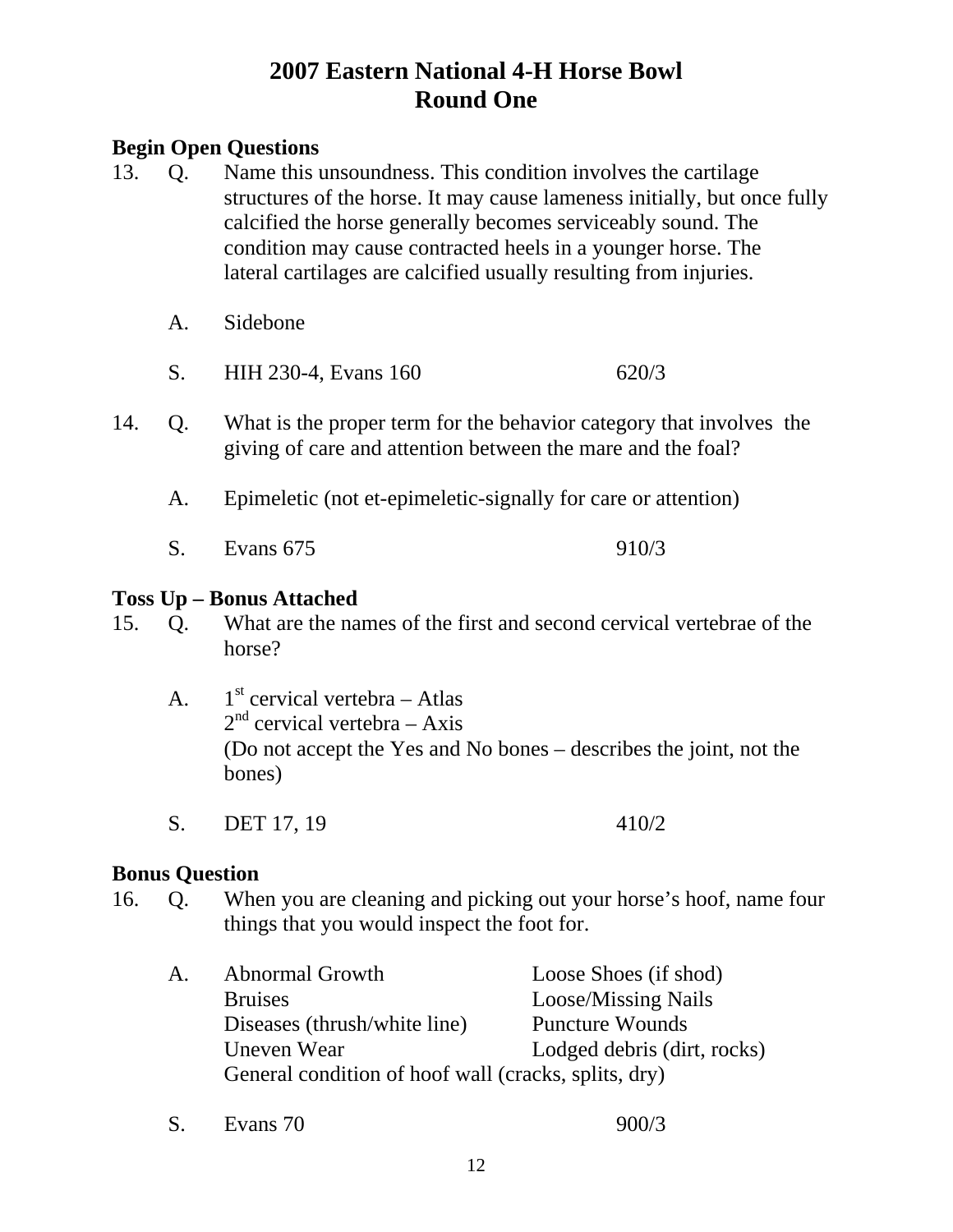## **Begin Open Questions**

- 13. Q. Name this unsoundness. This condition involves the cartilage structures of the horse. It may cause lameness initially, but once fully calcified the horse generally becomes serviceably sound. The condition may cause contracted heels in a younger horse. The lateral cartilages are calcified usually resulting from injuries.
	- A. Sidebone
	- S. HIH 230-4, Evans 160 620/3
- 14. Q. What is the proper term for the behavior category that involves the giving of care and attention between the mare and the foal?
	- A. Epimeletic (not et-epimeletic-signally for care or attention)
	- S. Evans 675 910/3

## **Toss Up – Bonus Attached**

- 15. Q. What are the names of the first and second cervical vertebrae of the horse?
	- A.  $1<sup>st</sup>$  cervical vertebra Atlas  $2<sup>nd</sup>$  cervical vertebra – Axis (Do not accept the Yes and No bones – describes the joint, not the bones)
	- S. DET 17, 19 410/2

## **Bonus Question**

- 16. Q. When you are cleaning and picking out your horse's hoof, name four things that you would inspect the foot for.
	- A. Abnormal Growth Loose Shoes (if shod) Bruises Loose/Missing Nails Diseases (thrush/white line) Puncture Wounds Uneven Wear Lodged debris (dirt, rocks) General condition of hoof wall (cracks, splits, dry)
	- S. Evans 70 900/3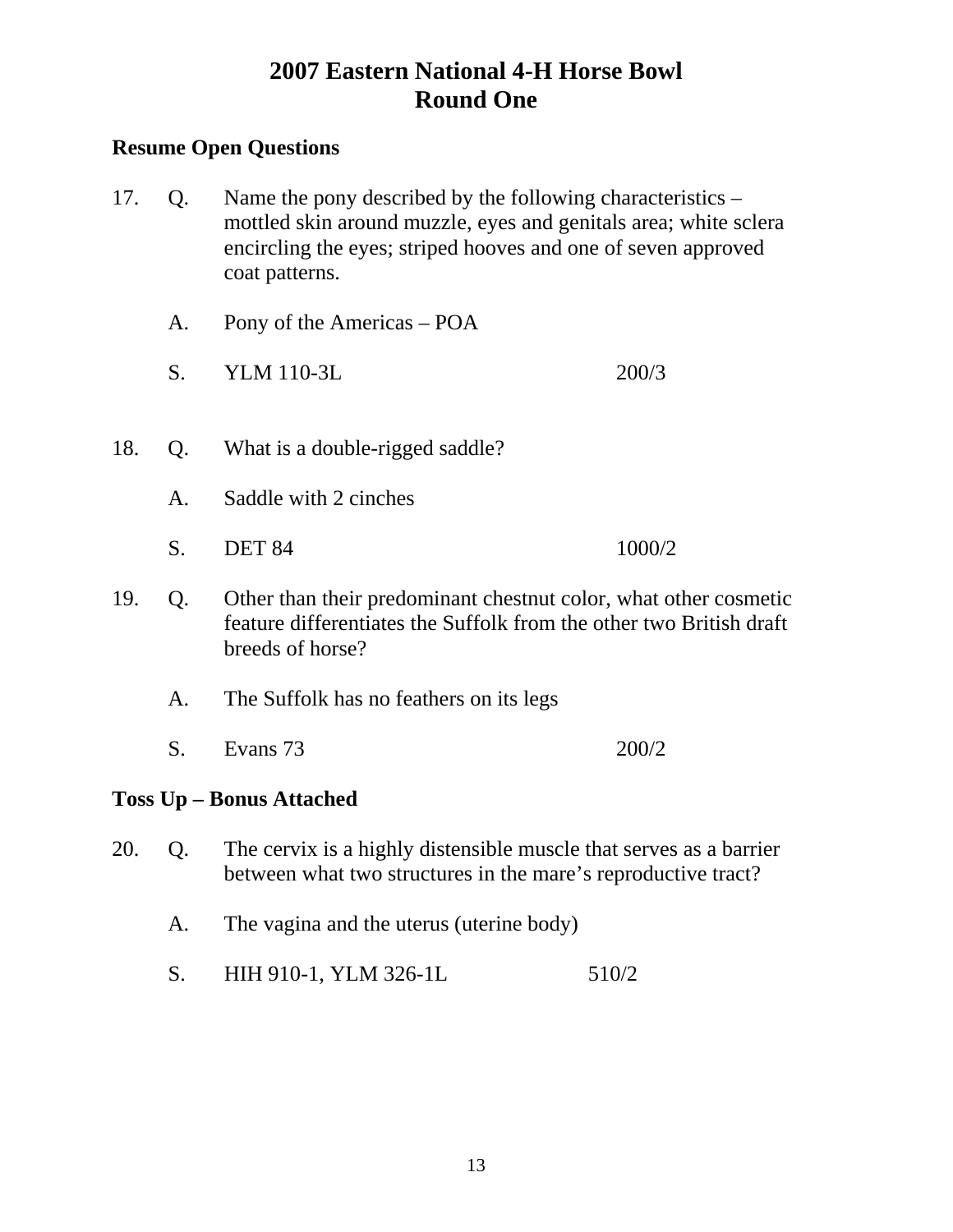## **Resume Open Questions**

- 17. Q. Name the pony described by the following characteristics mottled skin around muzzle, eyes and genitals area; white sclera encircling the eyes; striped hooves and one of seven approved coat patterns.
	- A. Pony of the Americas POA
	- S. YLM 110-3L 200/3
- 18. Q. What is a double-rigged saddle?
	- A. Saddle with 2 cinches
	- S. DET 84 1000/2
- 19. Q. Other than their predominant chestnut color, what other cosmetic feature differentiates the Suffolk from the other two British draft breeds of horse?
	- A. The Suffolk has no feathers on its legs
	- S. Evans 73 200/2

## **Toss Up – Bonus Attached**

- 20. Q. The cervix is a highly distensible muscle that serves as a barrier between what two structures in the mare's reproductive tract?
	- A. The vagina and the uterus (uterine body)
	- S. HIH 910-1, YLM 326-1L 510/2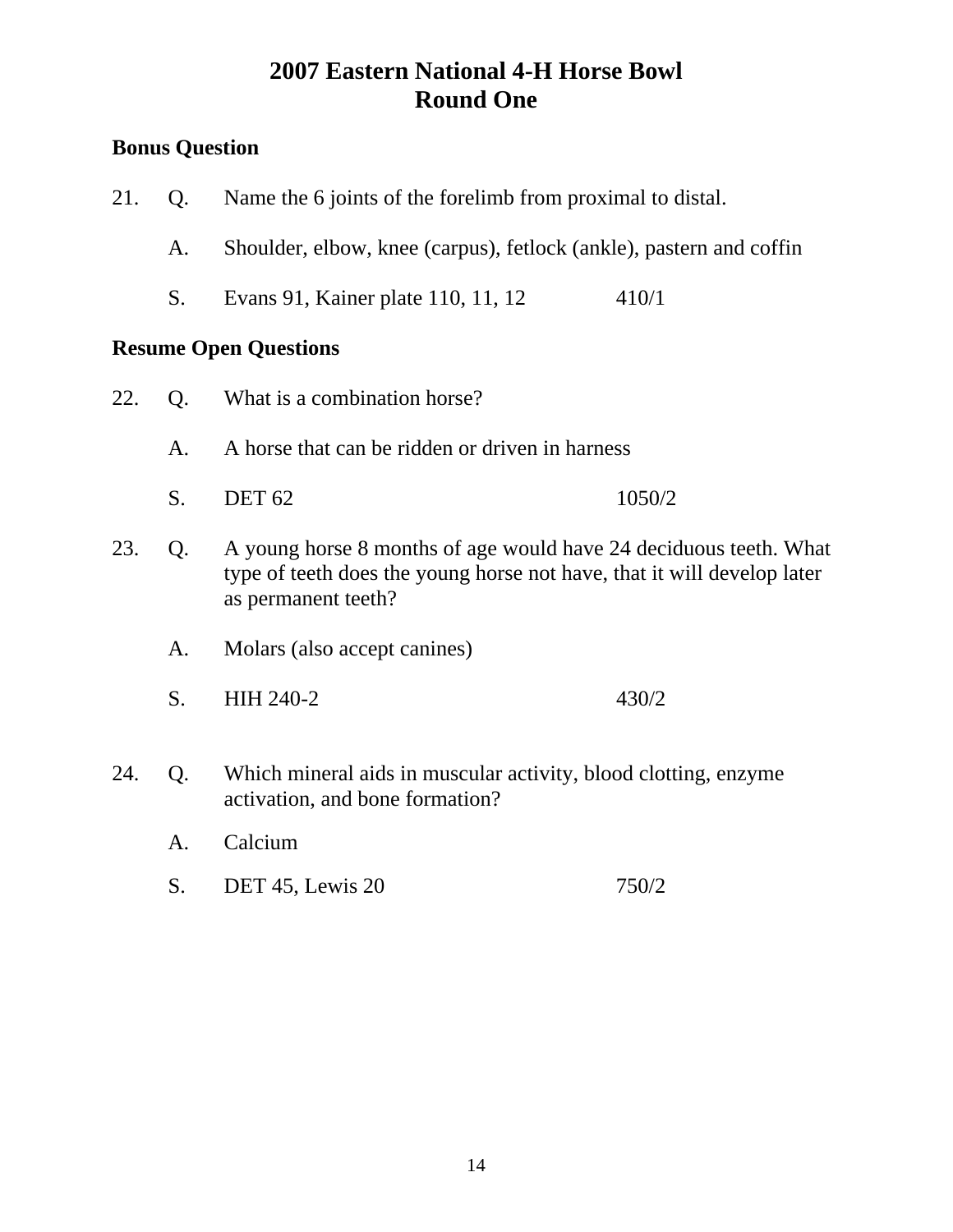# **Bonus Question**

| 21. | Q.                                                                                                                                                                        | Name the 6 joints of the forelimb from proximal to distal.                                         |        |  |
|-----|---------------------------------------------------------------------------------------------------------------------------------------------------------------------------|----------------------------------------------------------------------------------------------------|--------|--|
|     | A.                                                                                                                                                                        | Shoulder, elbow, knee (carpus), fetlock (ankle), pastern and coffin                                |        |  |
|     | S.                                                                                                                                                                        | Evans 91, Kainer plate 110, 11, 12                                                                 | 410/1  |  |
|     |                                                                                                                                                                           | <b>Resume Open Questions</b>                                                                       |        |  |
| 22. | Q.                                                                                                                                                                        | What is a combination horse?                                                                       |        |  |
|     | A.                                                                                                                                                                        | A horse that can be ridden or driven in harness                                                    |        |  |
|     | S.                                                                                                                                                                        | <b>DET 62</b>                                                                                      | 1050/2 |  |
| 23. | A young horse 8 months of age would have 24 deciduous teeth. What<br>Q.<br>type of teeth does the young horse not have, that it will develop later<br>as permanent teeth? |                                                                                                    |        |  |
|     | A.                                                                                                                                                                        | Molars (also accept canines)                                                                       |        |  |
|     | S.                                                                                                                                                                        | HIH 240-2                                                                                          | 430/2  |  |
| 24. | Q.                                                                                                                                                                        | Which mineral aids in muscular activity, blood clotting, enzyme<br>activation, and bone formation? |        |  |
|     | A.                                                                                                                                                                        | Calcium                                                                                            |        |  |
|     | S.                                                                                                                                                                        | DET 45, Lewis 20                                                                                   | 750/2  |  |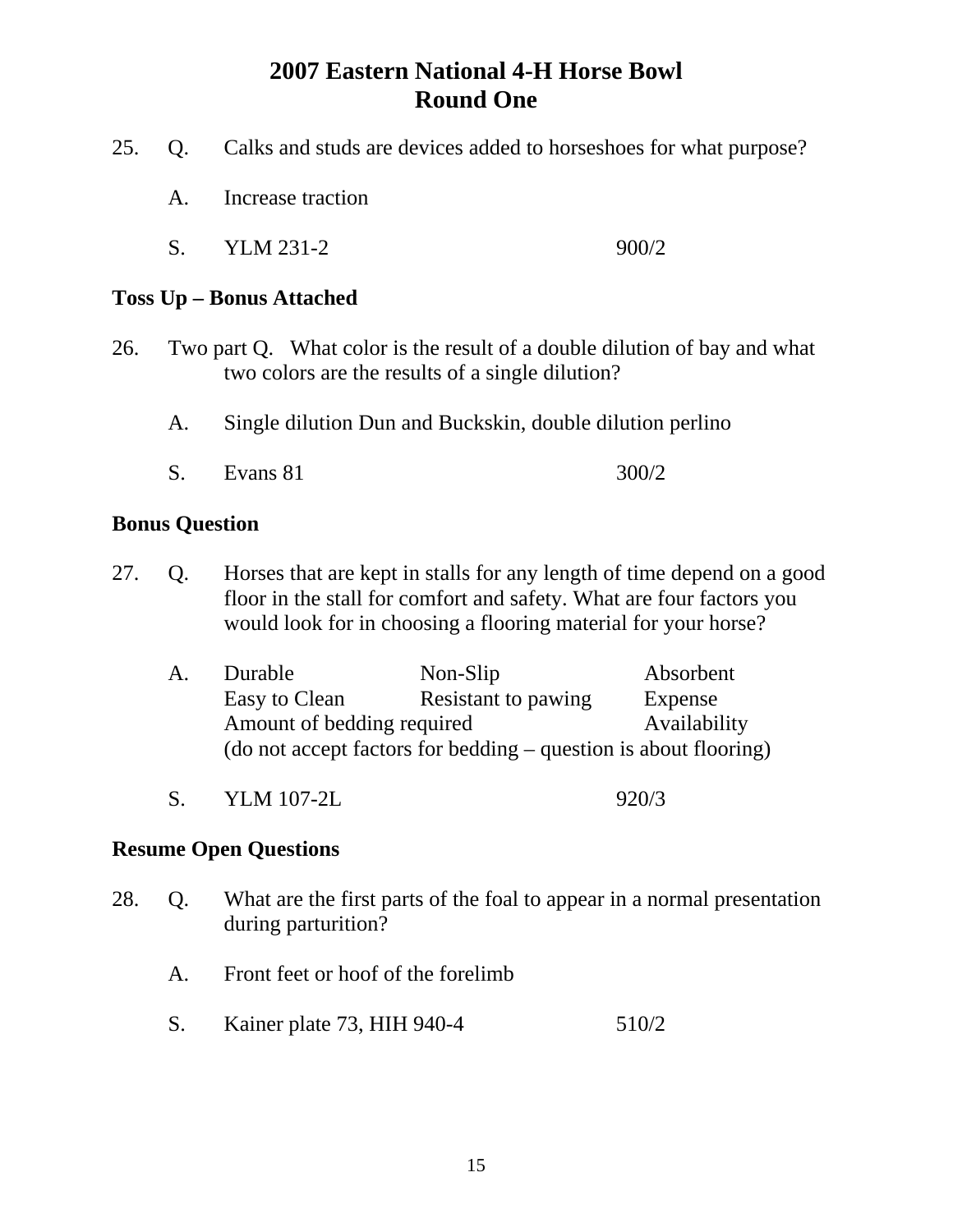- 25. Q. Calks and studs are devices added to horseshoes for what purpose?
	- A. Increase traction
	- S. YLM 231-2 900/2

## **Toss Up – Bonus Attached**

- 26. Two part Q. What color is the result of a double dilution of bay and what two colors are the results of a single dilution?
	- A. Single dilution Dun and Buckskin, double dilution perlino
	- S. Evans 81 300/2

## **Bonus Question**

27. Q. Horses that are kept in stalls for any length of time depend on a good floor in the stall for comfort and safety. What are four factors you would look for in choosing a flooring material for your horse?

| A. | Durable                    | Non-Slip                                                         | Absorbent    |
|----|----------------------------|------------------------------------------------------------------|--------------|
|    | Easy to Clean              | Resistant to pawing                                              | Expense      |
|    | Amount of bedding required |                                                                  | Availability |
|    |                            | (do not accept factors for bedding – question is about flooring) |              |

S. YLM 107-2L 920/3

- 28. Q. What are the first parts of the foal to appear in a normal presentation during parturition?
	- A. Front feet or hoof of the forelimb
	- S. Kainer plate 73, HIH 940-4 510/2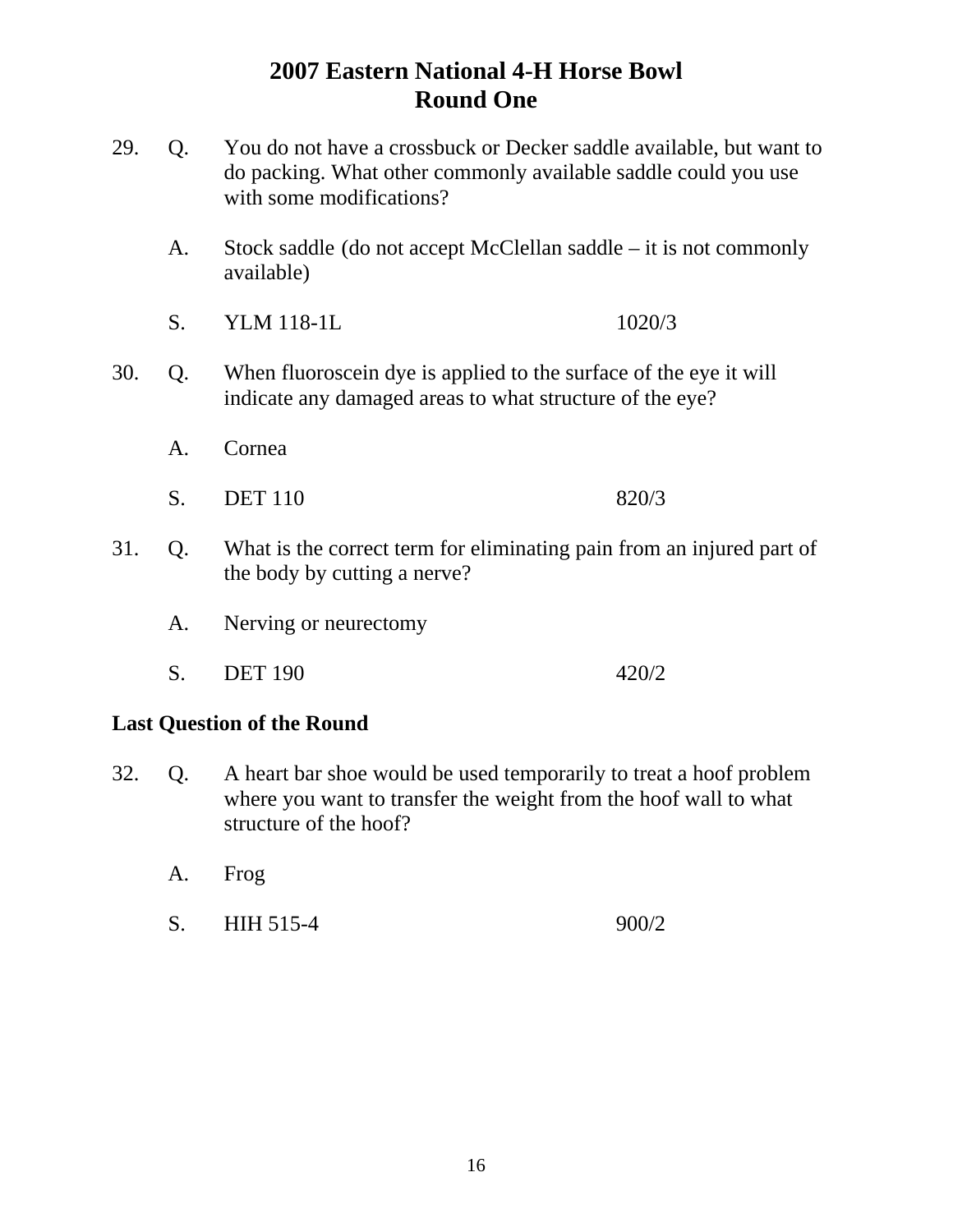- 29. Q. You do not have a crossbuck or Decker saddle available, but want to do packing. What other commonly available saddle could you use with some modifications?
	- A. Stock saddle (do not accept McClellan saddle it is not commonly available)
	- S. YLM 118-1L 1020/3
- 30. Q. When fluoroscein dye is applied to the surface of the eye it will indicate any damaged areas to what structure of the eye?
	- A. Cornea
	- S. DET 110 820/3
- 31. Q. What is the correct term for eliminating pain from an injured part of the body by cutting a nerve?
	- A. Nerving or neurectomy
	- S. DET 190 420/2

#### **Last Question of the Round**

- 32. Q. A heart bar shoe would be used temporarily to treat a hoof problem where you want to transfer the weight from the hoof wall to what structure of the hoof?
	- A. Frog
	- S. HIH 515-4 900/2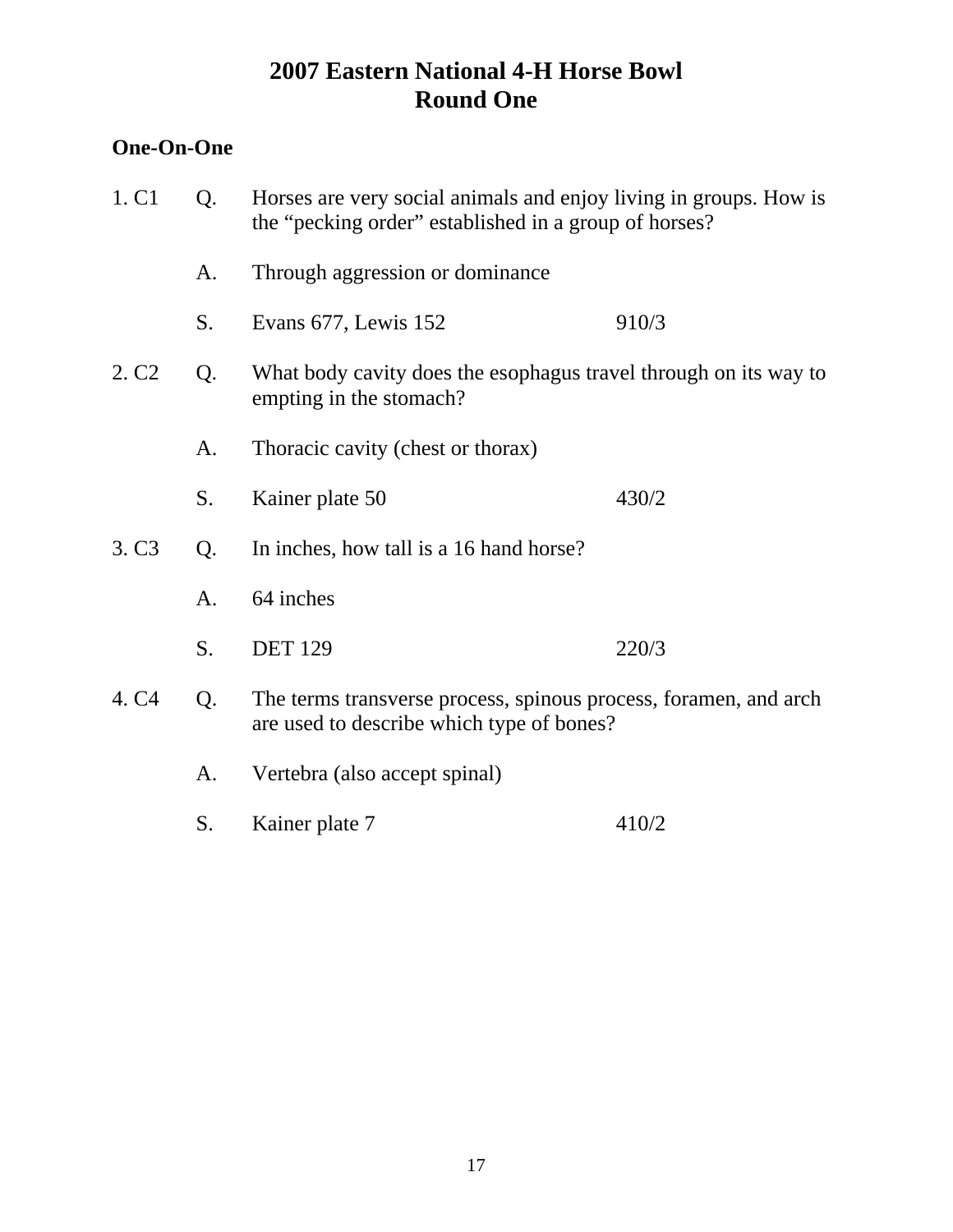## **One-On-One**

| 1. C1             | Horses are very social animals and enjoy living in groups. How is<br>Q.<br>the "pecking order" established in a group of horses? |                                                                                                               |       |
|-------------------|----------------------------------------------------------------------------------------------------------------------------------|---------------------------------------------------------------------------------------------------------------|-------|
|                   | A.                                                                                                                               | Through aggression or dominance                                                                               |       |
|                   | S.                                                                                                                               | Evans 677, Lewis 152                                                                                          | 910/3 |
| 2. C <sub>2</sub> | Q.                                                                                                                               | What body cavity does the esophagus travel through on its way to<br>empting in the stomach?                   |       |
|                   | A.                                                                                                                               | Thoracic cavity (chest or thorax)                                                                             |       |
|                   | S.                                                                                                                               | Kainer plate 50                                                                                               | 430/2 |
| 3. C <sub>3</sub> | Q.                                                                                                                               | In inches, how tall is a 16 hand horse?                                                                       |       |
|                   | A.                                                                                                                               | 64 inches                                                                                                     |       |
|                   | S.                                                                                                                               | <b>DET 129</b>                                                                                                | 220/3 |
| 4. C <sub>4</sub> | Q.                                                                                                                               | The terms transverse process, spinous process, foramen, and arch<br>are used to describe which type of bones? |       |
|                   | A.                                                                                                                               | Vertebra (also accept spinal)                                                                                 |       |
|                   | S.                                                                                                                               | Kainer plate 7                                                                                                | 410/2 |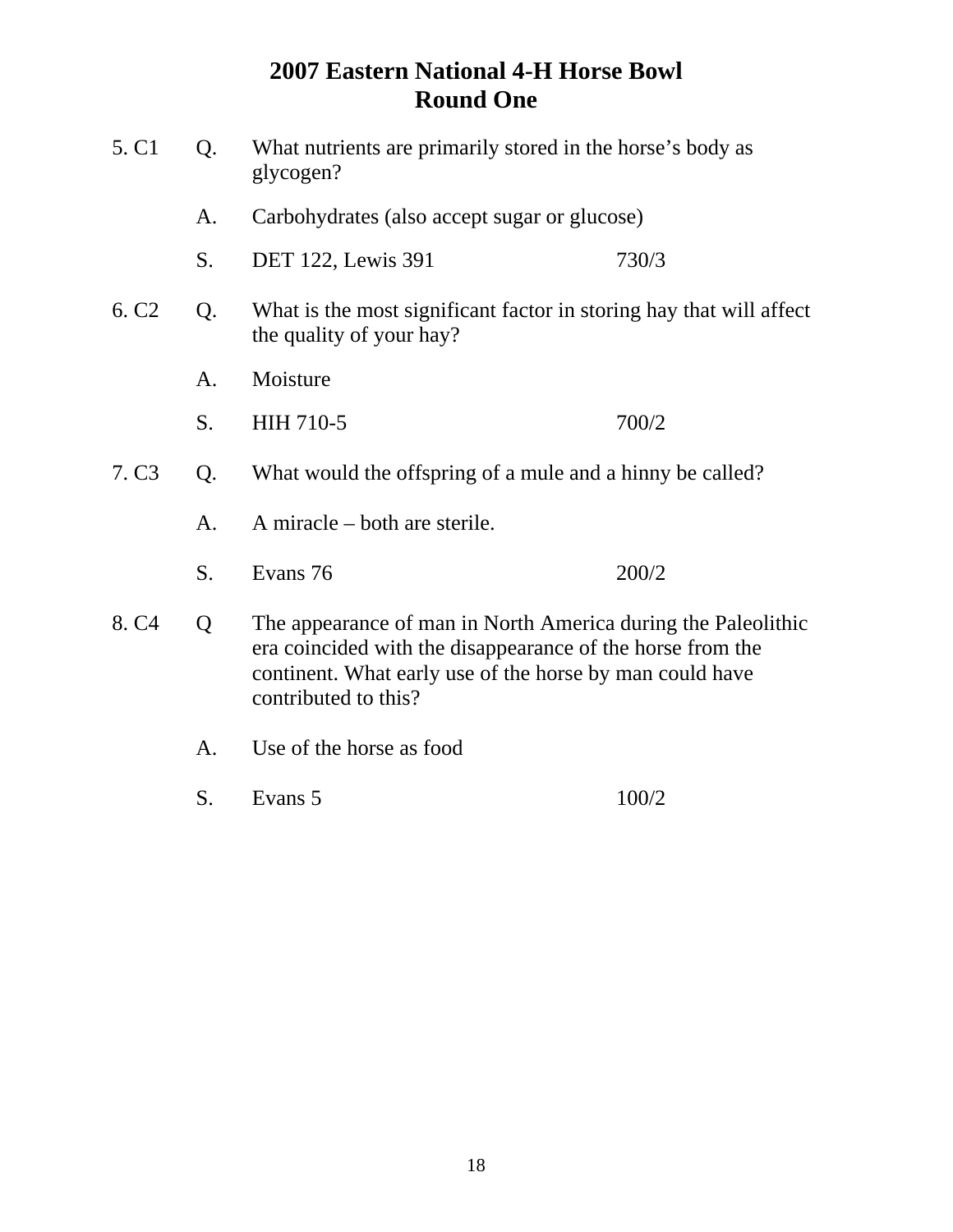| 5. C1             | Q. | What nutrients are primarily stored in the horse's body as<br>glycogen?                                                                                                                                         |                                                                     |  |
|-------------------|----|-----------------------------------------------------------------------------------------------------------------------------------------------------------------------------------------------------------------|---------------------------------------------------------------------|--|
|                   | A. | Carbohydrates (also accept sugar or glucose)                                                                                                                                                                    |                                                                     |  |
|                   | S. | DET 122, Lewis 391                                                                                                                                                                                              | 730/3                                                               |  |
| 6. C <sub>2</sub> | Q. | the quality of your hay?                                                                                                                                                                                        | What is the most significant factor in storing hay that will affect |  |
|                   | A. | Moisture                                                                                                                                                                                                        |                                                                     |  |
|                   | S. | HIH 710-5                                                                                                                                                                                                       | 700/2                                                               |  |
| 7. C <sub>3</sub> | Q. | What would the offspring of a mule and a hinny be called?                                                                                                                                                       |                                                                     |  |
|                   | A. | A miracle $-$ both are sterile.                                                                                                                                                                                 |                                                                     |  |
|                   | S. | Evans 76                                                                                                                                                                                                        | 200/2                                                               |  |
| 8. C <sub>4</sub> | Q  | The appearance of man in North America during the Paleolithic<br>era coincided with the disappearance of the horse from the<br>continent. What early use of the horse by man could have<br>contributed to this? |                                                                     |  |
|                   | A. | Use of the horse as food                                                                                                                                                                                        |                                                                     |  |
|                   | S. | Evans 5                                                                                                                                                                                                         | 100/2                                                               |  |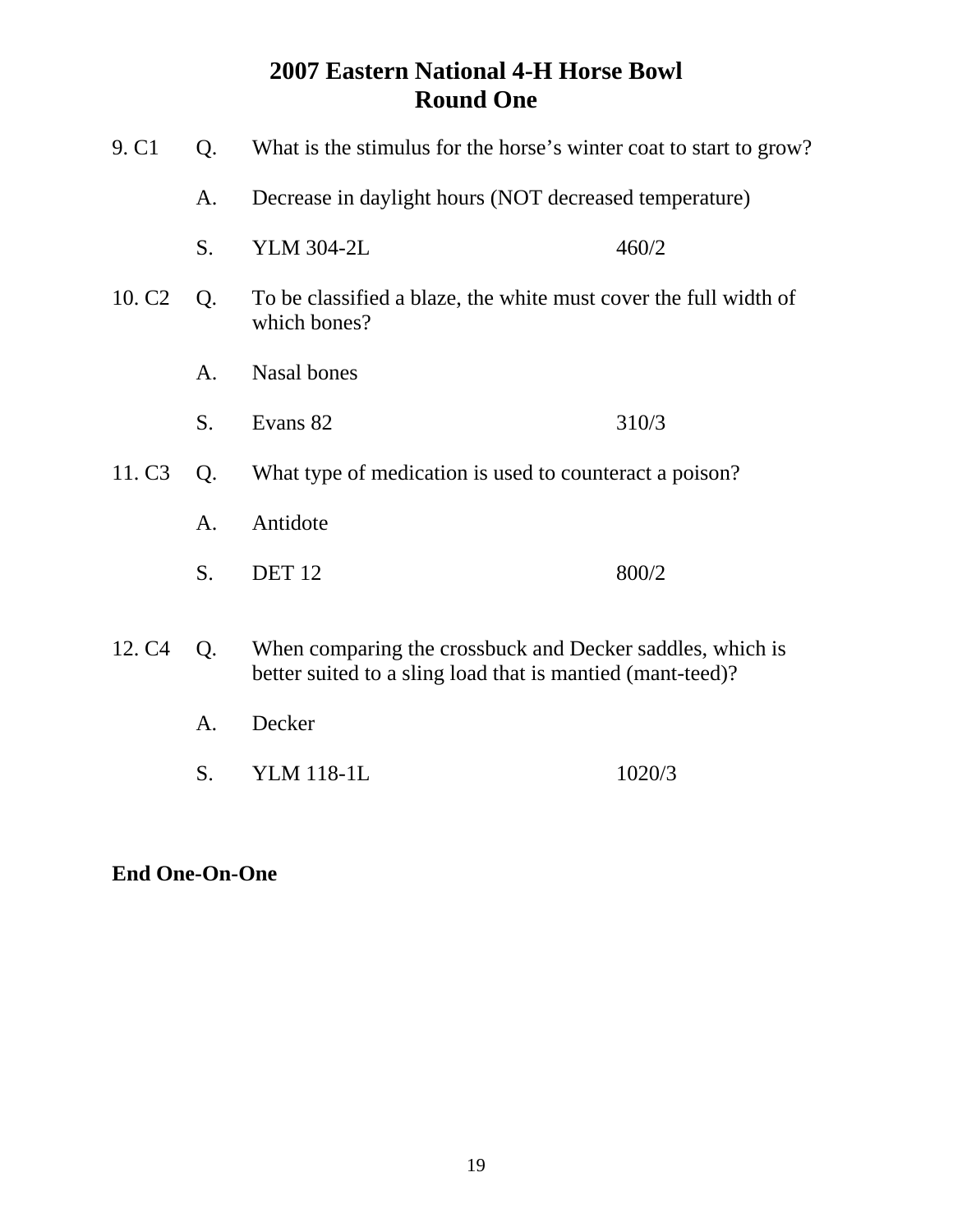| 9. C1                                                                                                                                               | Q. | What is the stimulus for the horse's winter coat to start to grow?               |        |  |
|-----------------------------------------------------------------------------------------------------------------------------------------------------|----|----------------------------------------------------------------------------------|--------|--|
|                                                                                                                                                     | A. | Decrease in daylight hours (NOT decreased temperature)                           |        |  |
|                                                                                                                                                     | S. | <b>YLM 304-2L</b>                                                                | 460/2  |  |
| 10. C <sub>2</sub>                                                                                                                                  | Q. | To be classified a blaze, the white must cover the full width of<br>which bones? |        |  |
|                                                                                                                                                     | A. | Nasal bones                                                                      |        |  |
|                                                                                                                                                     | S. | Evans 82                                                                         | 310/3  |  |
| 11. C <sub>3</sub>                                                                                                                                  | Q. | What type of medication is used to counteract a poison?                          |        |  |
|                                                                                                                                                     | A. | Antidote                                                                         |        |  |
|                                                                                                                                                     | S. | <b>DET 12</b>                                                                    | 800/2  |  |
| 12. C <sub>4</sub><br>When comparing the crossbuck and Decker saddles, which is<br>Q.<br>better suited to a sling load that is mantied (mant-teed)? |    |                                                                                  |        |  |
|                                                                                                                                                     | A. | Decker                                                                           |        |  |
|                                                                                                                                                     | S. | <b>YLM 118-1L</b>                                                                | 1020/3 |  |

**End One-On-One**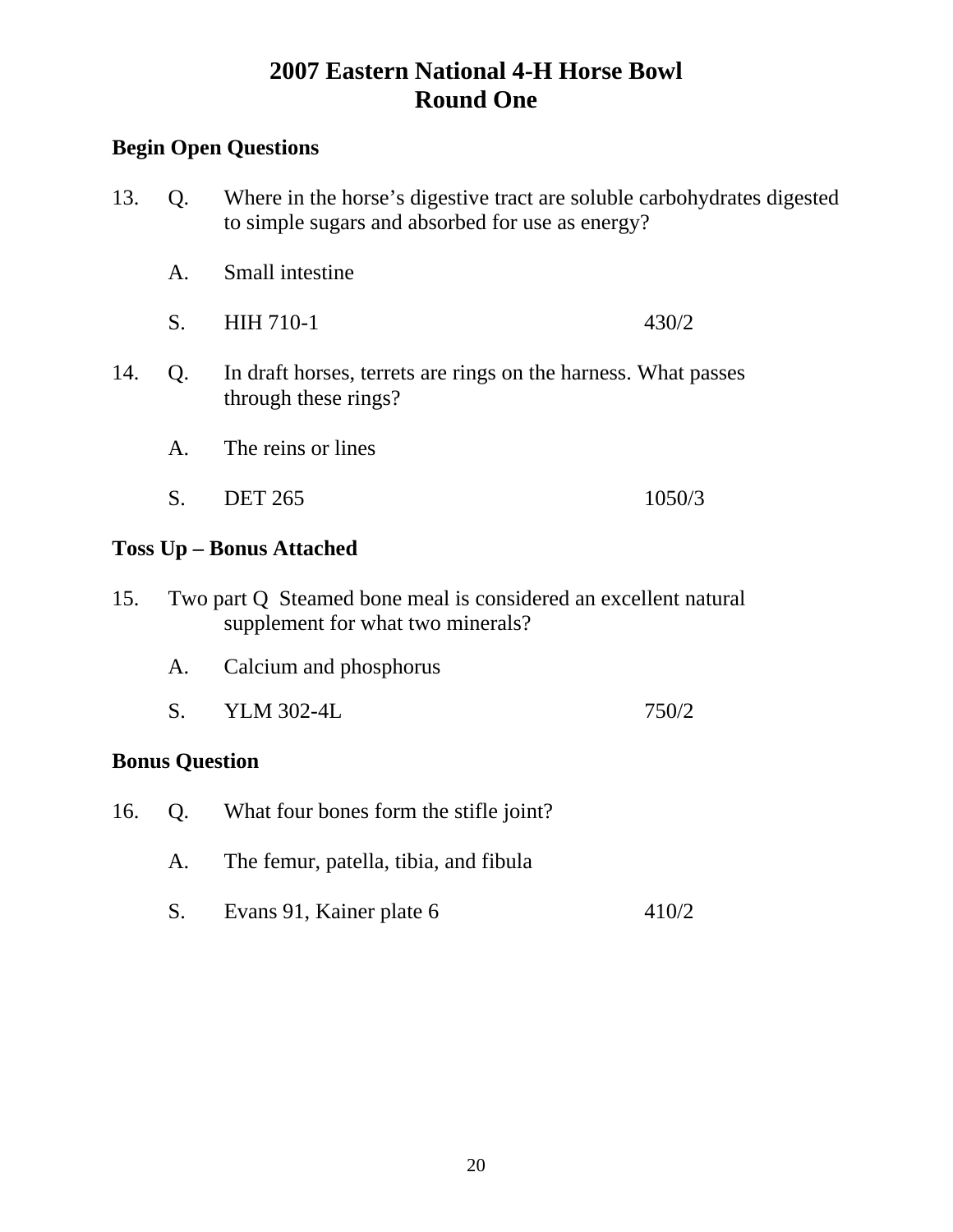## **Begin Open Questions**

| 13.                                                                                                 | Q. | Where in the horse's digestive tract are soluble carbohydrates digested<br>to simple sugars and absorbed for use as energy? |        |
|-----------------------------------------------------------------------------------------------------|----|-----------------------------------------------------------------------------------------------------------------------------|--------|
|                                                                                                     | A. | Small intestine                                                                                                             |        |
|                                                                                                     | S. | <b>HIH 710-1</b>                                                                                                            | 430/2  |
| 14.<br>In draft horses, terrets are rings on the harness. What passes<br>Q.<br>through these rings? |    |                                                                                                                             |        |
|                                                                                                     | A. | The reins or lines                                                                                                          |        |
|                                                                                                     | S. | <b>DET 265</b>                                                                                                              | 1050/3 |
| <b>Toss Up – Bonus Attached</b>                                                                     |    |                                                                                                                             |        |

- 15. Two part Q Steamed bone meal is considered an excellent natural supplement for what two minerals?
	- A. Calcium and phosphorus
	- S. YLM 302-4L 750/2

## **Bonus Question**

- 16. Q. What four bones form the stifle joint?
	- A. The femur, patella, tibia, and fibula
	- S. Evans 91, Kainer plate 6 410/2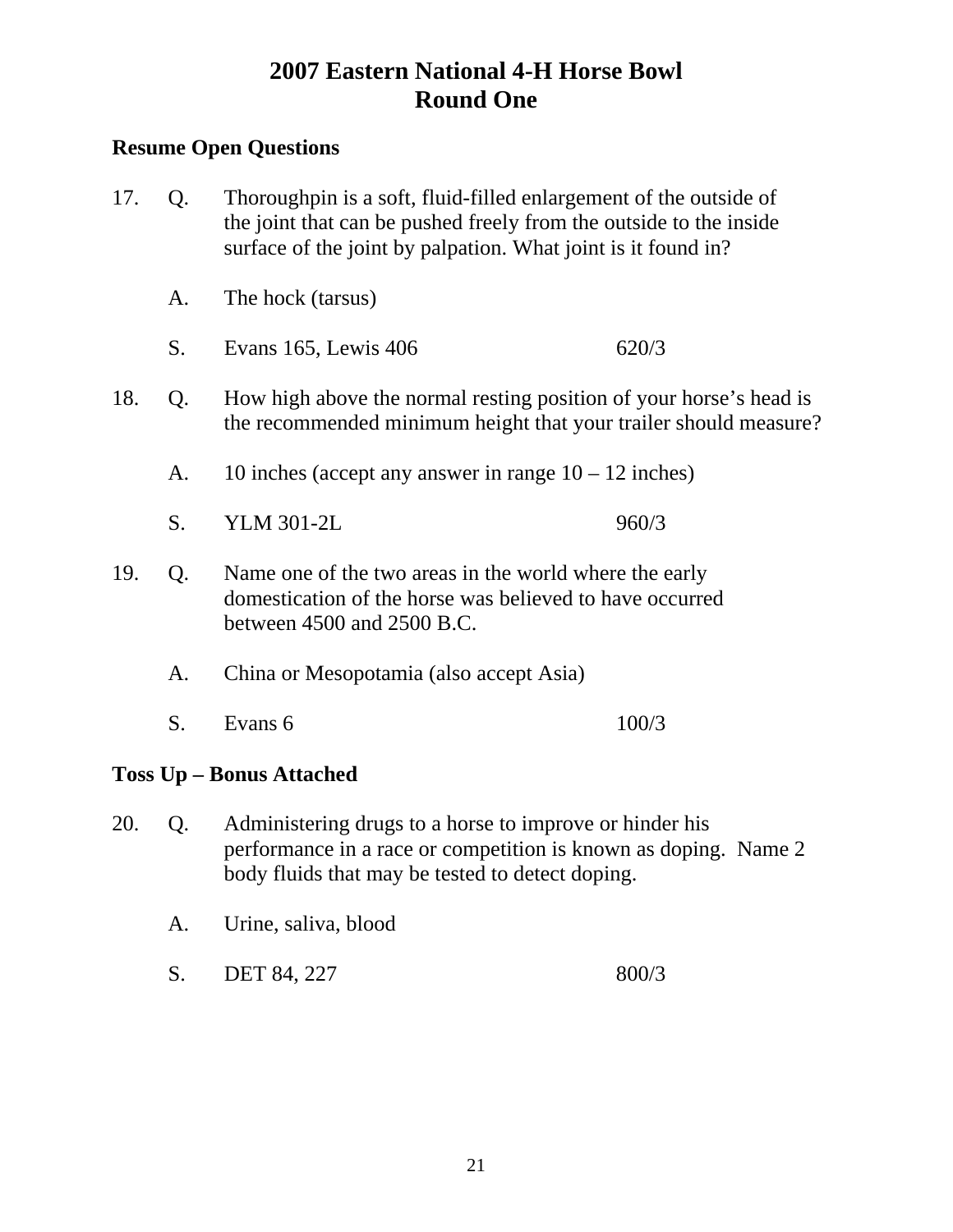## **Resume Open Questions**

17. Q. Thoroughpin is a soft, fluid-filled enlargement of the outside of the joint that can be pushed freely from the outside to the inside surface of the joint by palpation. What joint is it found in? A. The hock (tarsus) S. Evans 165, Lewis 406 620/3 18. Q. How high above the normal resting position of your horse's head is the recommended minimum height that your trailer should measure? A. 10 inches (accept any answer in range  $10 - 12$  inches) S. YLM 301-2L 960/3 19. Q. Name one of the two areas in the world where the early domestication of the horse was believed to have occurred between 4500 and 2500 B.C. A. China or Mesopotamia (also accept Asia) S. Evans 6 100/3

## **Toss Up – Bonus Attached**

- 20. Q. Administering drugs to a horse to improve or hinder his performance in a race or competition is known as doping. Name 2 body fluids that may be tested to detect doping.
	- A. Urine, saliva, blood
	- S. DET 84, 227 800/3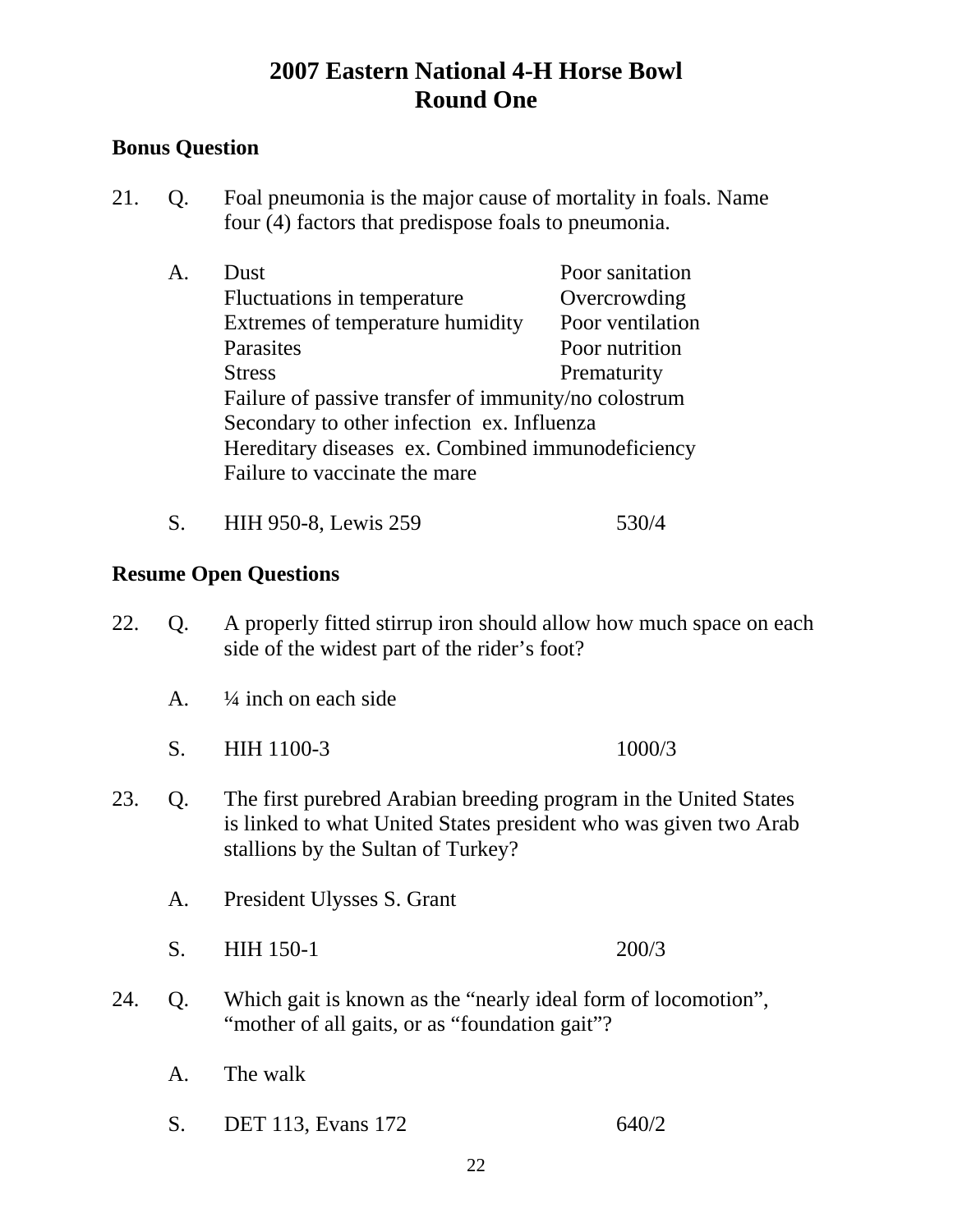## **Bonus Question**

- 21. Q. Foal pneumonia is the major cause of mortality in foals. Name four (4) factors that predispose foals to pneumonia.
	- A. Dust Poor sanitation Fluctuations in temperature **Overcrowding** Extremes of temperature humidity Poor ventilation Parasites Poor nutrition Stress Prematurity Failure of passive transfer of immunity/no colostrum Secondary to other infection ex. Influenza Hereditary diseases ex. Combined immunodeficiency Failure to vaccinate the mare
	- S. HIH 950-8, Lewis 259 530/4

- 22. Q. A properly fitted stirrup iron should allow how much space on each side of the widest part of the rider's foot?
	- A.  $\frac{1}{4}$  inch on each side
	- S. HIH 1100-3 1000/3
- 23. Q. The first purebred Arabian breeding program in the United States is linked to what United States president who was given two Arab stallions by the Sultan of Turkey?
	- A. President Ulysses S. Grant
	- S. HIH 150-1 200/3
- 24. Q. Which gait is known as the "nearly ideal form of locomotion", "mother of all gaits, or as "foundation gait"?
	- A. The walk
	- S. DET 113, Evans 172 640/2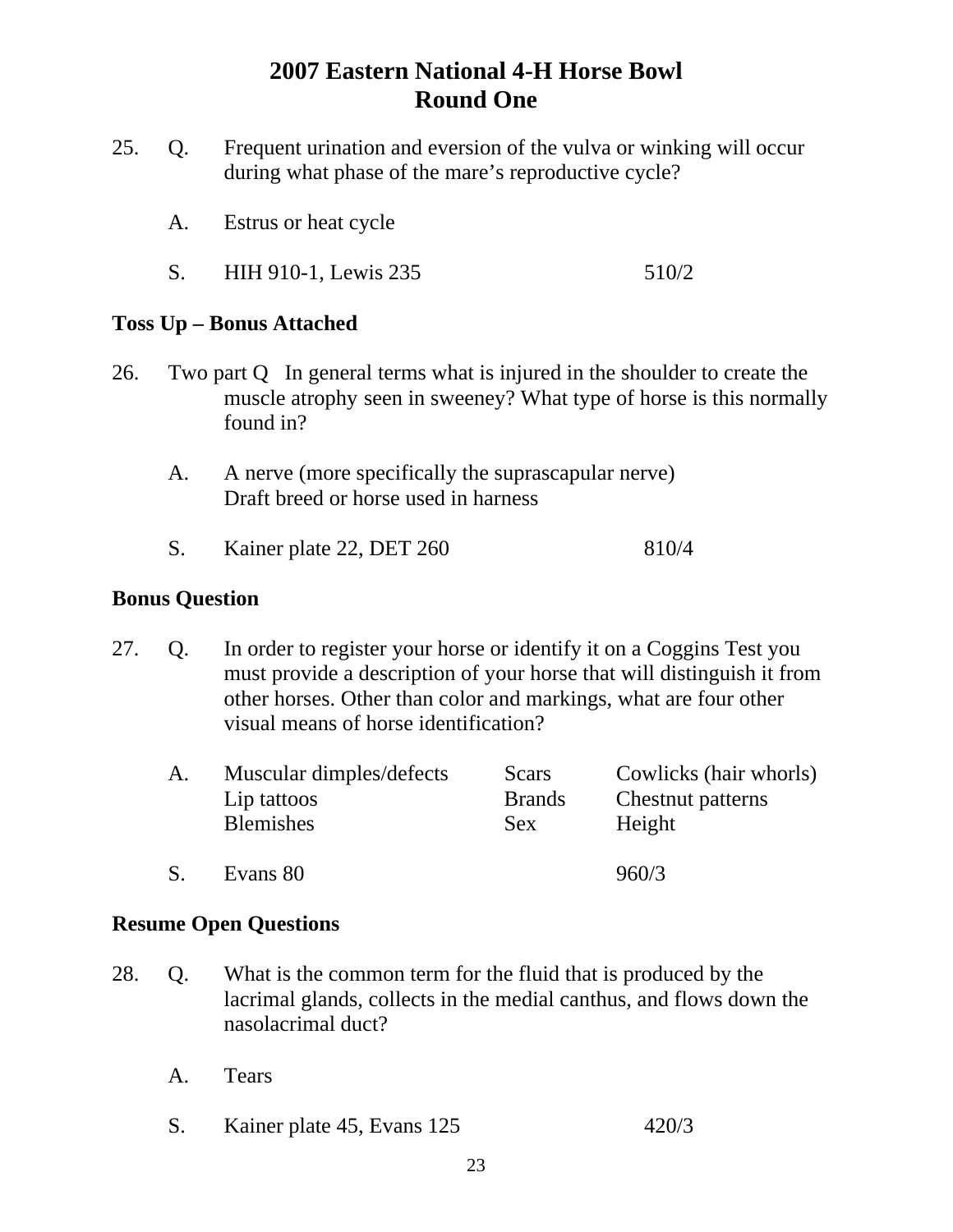- 25. Q. Frequent urination and eversion of the vulva or winking will occur during what phase of the mare's reproductive cycle?
	- A. Estrus or heat cycle
	- S. HIH 910-1, Lewis 235 510/2

## **Toss Up – Bonus Attached**

- 26. Two part Q In general terms what is injured in the shoulder to create the muscle atrophy seen in sweeney? What type of horse is this normally found in?
	- A. A nerve (more specifically the suprascapular nerve) Draft breed or horse used in harness
	- S. Kainer plate 22, DET 260 810/4

#### **Bonus Question**

27. Q. In order to register your horse or identify it on a Coggins Test you must provide a description of your horse that will distinguish it from other horses. Other than color and markings, what are four other visual means of horse identification?

| A. | Muscular dimples/defects<br>Lip tattoos<br><b>Blemishes</b> | Scars<br><b>Brands</b><br>Sex | Cowlicks (hair whorls)<br>Chestnut patterns<br>Height |
|----|-------------------------------------------------------------|-------------------------------|-------------------------------------------------------|
|    | Evans 80                                                    |                               | 960/3                                                 |

- 28. Q. What is the common term for the fluid that is produced by the lacrimal glands, collects in the medial canthus, and flows down the nasolacrimal duct?
	- A. Tears
	- S. Kainer plate 45, Evans 125 420/3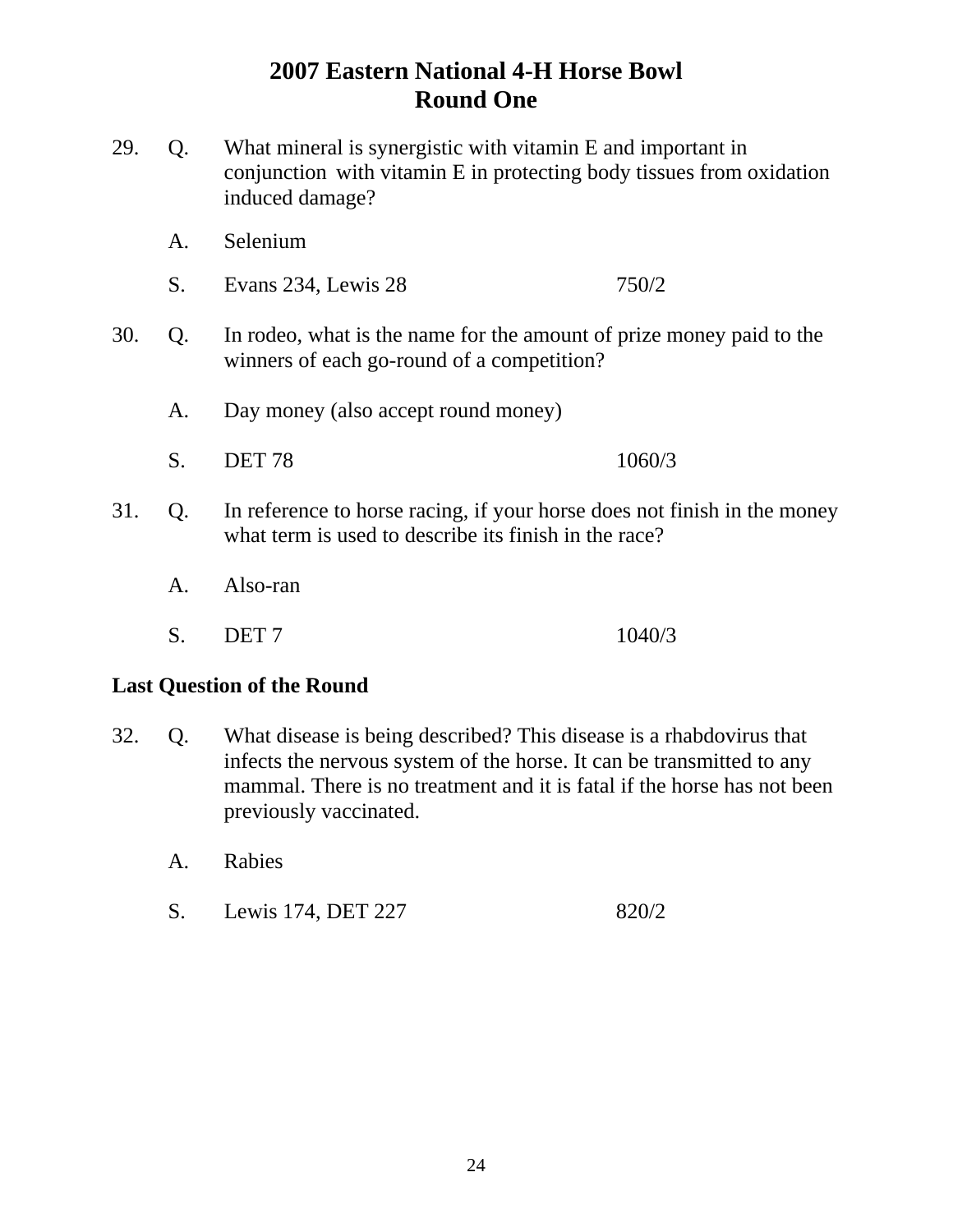- 29. Q. What mineral is synergistic with vitamin E and important in conjunction with vitamin E in protecting body tissues from oxidation induced damage?
	- A. Selenium
	- S. Evans 234, Lewis 28 750/2
- 30. Q. In rodeo, what is the name for the amount of prize money paid to the winners of each go-round of a competition?
	- A. Day money (also accept round money)
	- S. DET 78 1060/3
- 31. Q. In reference to horse racing, if your horse does not finish in the money what term is used to describe its finish in the race?
	- A. Also-ran
- S. DET 7 1040/3

#### **Last Question of the Round**

- 32. Q. What disease is being described? This disease is a rhabdovirus that infects the nervous system of the horse. It can be transmitted to any mammal. There is no treatment and it is fatal if the horse has not been previously vaccinated.
	- A. Rabies
	- S. Lewis 174, DET 227 820/2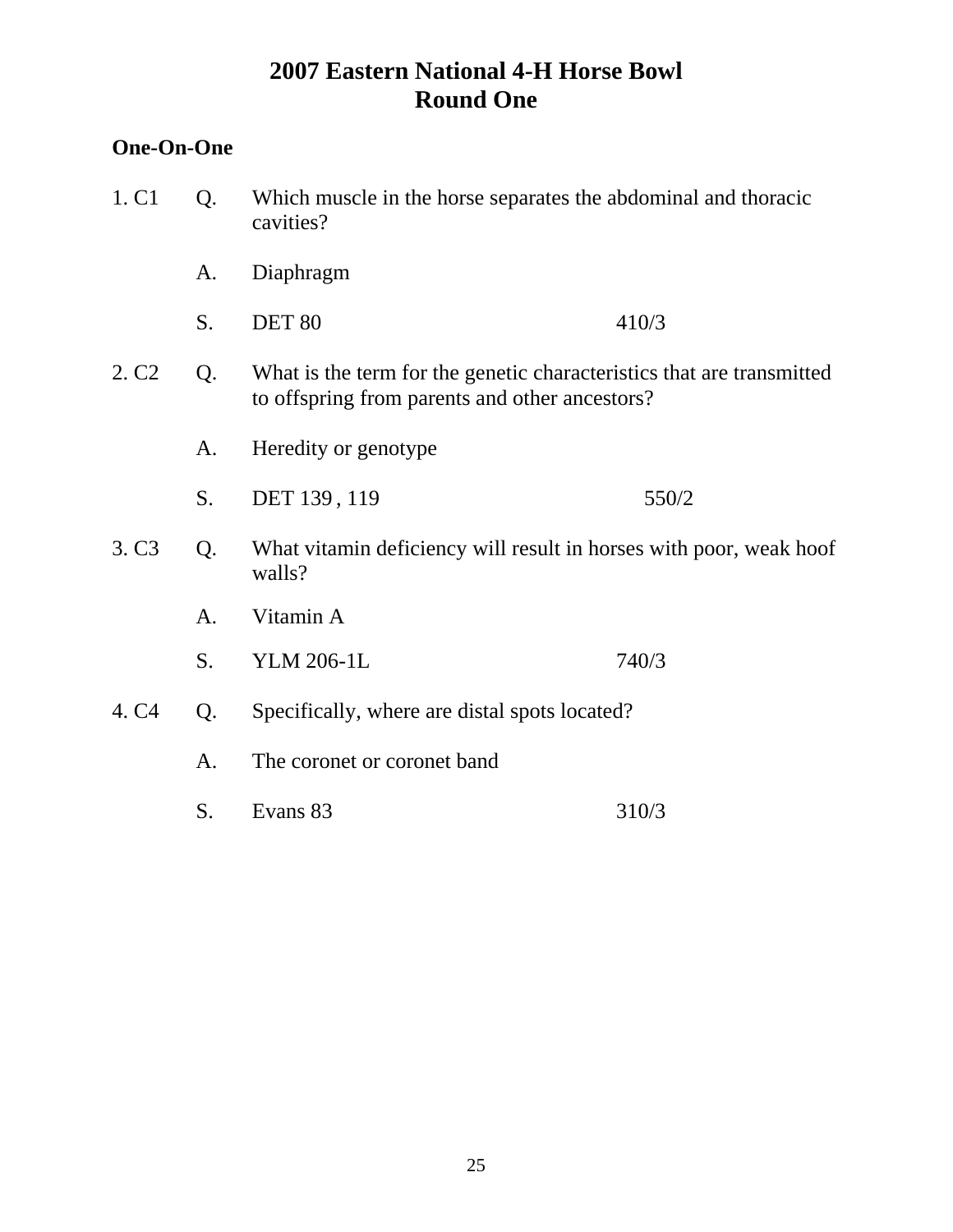## **One-On-One**

| 1. C <sub>1</sub> | Q. | Which muscle in the horse separates the abdominal and thoracic<br>cavities?                                             |       |
|-------------------|----|-------------------------------------------------------------------------------------------------------------------------|-------|
|                   | A. | Diaphragm                                                                                                               |       |
|                   | S. | <b>DET 80</b>                                                                                                           | 410/3 |
| 2. C <sub>2</sub> | Q. | What is the term for the genetic characteristics that are transmitted<br>to offspring from parents and other ancestors? |       |
|                   | A. | Heredity or genotype                                                                                                    |       |
|                   | S. | DET 139, 119                                                                                                            | 550/2 |
| 3. C <sub>3</sub> | Q. | What vitamin deficiency will result in horses with poor, weak hoof<br>walls?                                            |       |
|                   | A. | Vitamin A                                                                                                               |       |
|                   | S. | <b>YLM 206-1L</b>                                                                                                       | 740/3 |
| 4. C <sub>4</sub> | Q. | Specifically, where are distal spots located?                                                                           |       |
|                   | A. | The coronet or coronet band                                                                                             |       |
|                   | S. | Evans 83                                                                                                                | 310/3 |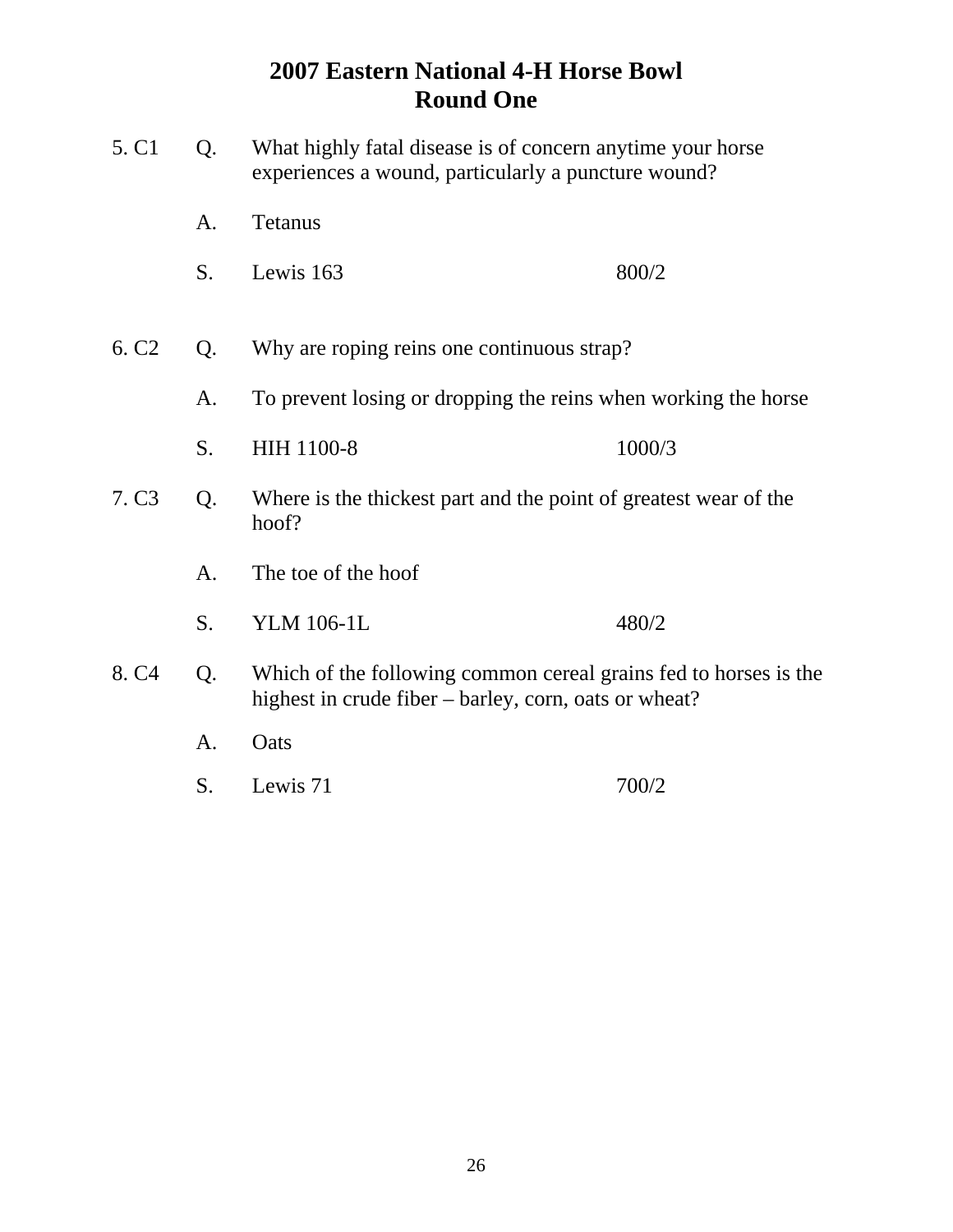| 5. C <sub>1</sub> | Q.                                                                   | What highly fatal disease is of concern anytime your horse<br>experiences a wound, particularly a puncture wound?         |        |
|-------------------|----------------------------------------------------------------------|---------------------------------------------------------------------------------------------------------------------------|--------|
|                   | A.                                                                   | <b>Tetanus</b>                                                                                                            |        |
|                   | S.                                                                   | Lewis 163                                                                                                                 | 800/2  |
|                   |                                                                      |                                                                                                                           |        |
| 6. C <sub>2</sub> | Q.                                                                   | Why are roping reins one continuous strap?                                                                                |        |
|                   | To prevent losing or dropping the reins when working the horse<br>A. |                                                                                                                           |        |
|                   | S.                                                                   | HIH 1100-8                                                                                                                | 1000/3 |
| 7. C <sub>3</sub> | Q.                                                                   | Where is the thickest part and the point of greatest wear of the<br>hoof?                                                 |        |
|                   | A.                                                                   | The toe of the hoof                                                                                                       |        |
|                   | S.                                                                   | <b>YLM 106-1L</b>                                                                                                         | 480/2  |
| 8. C <sub>4</sub> | Q.                                                                   | Which of the following common cereal grains fed to horses is the<br>highest in crude fiber – barley, corn, oats or wheat? |        |
|                   | A.                                                                   | Oats                                                                                                                      |        |
|                   | S.                                                                   | Lewis 71                                                                                                                  | 700/2  |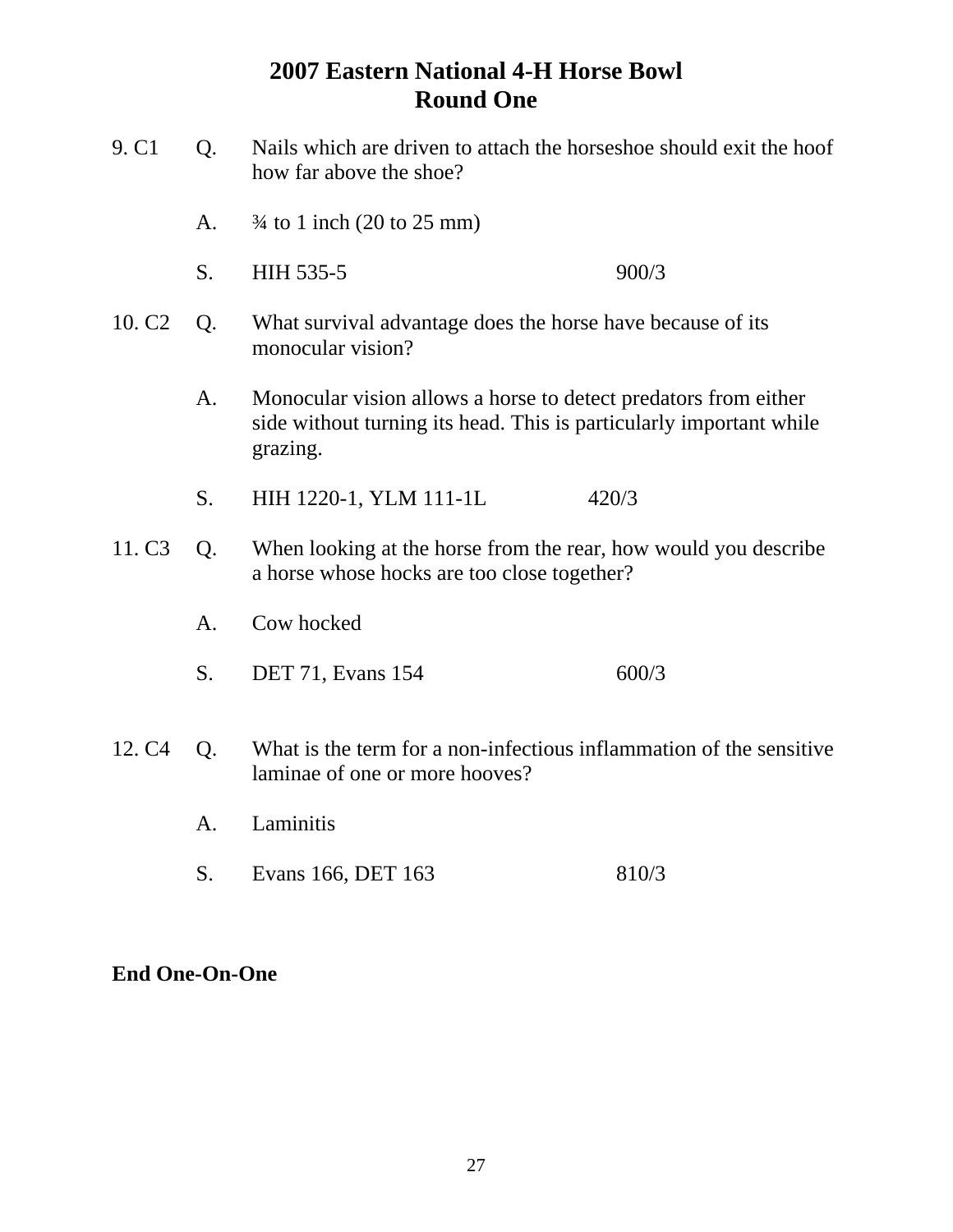| 9. C <sub>1</sub>  | Q.                                                                                                                   | Nails which are driven to attach the horseshoe should exit the hoof<br>how far above the shoe?                                                     |       |  |
|--------------------|----------------------------------------------------------------------------------------------------------------------|----------------------------------------------------------------------------------------------------------------------------------------------------|-------|--|
|                    | A.                                                                                                                   | $\frac{3}{4}$ to 1 inch (20 to 25 mm)                                                                                                              |       |  |
|                    | S.                                                                                                                   | HIH 535-5                                                                                                                                          | 900/3 |  |
| 10. C <sub>2</sub> | Q.                                                                                                                   | What survival advantage does the horse have because of its<br>monocular vision?                                                                    |       |  |
|                    | A.                                                                                                                   | Monocular vision allows a horse to detect predators from either<br>side without turning its head. This is particularly important while<br>grazing. |       |  |
|                    | S.                                                                                                                   | HIH 1220-1, YLM 111-1L                                                                                                                             | 420/3 |  |
| 11. C <sub>3</sub> | When looking at the horse from the rear, how would you describe<br>Q.<br>a horse whose hocks are too close together? |                                                                                                                                                    |       |  |
|                    | A.                                                                                                                   | Cow hocked                                                                                                                                         |       |  |
|                    | S.                                                                                                                   | <b>DET 71, Evans 154</b>                                                                                                                           | 600/3 |  |
| 12. C <sub>4</sub> | Q.                                                                                                                   | What is the term for a non-infectious inflammation of the sensitive<br>laminae of one or more hooves?                                              |       |  |
|                    | A.                                                                                                                   | Laminitis                                                                                                                                          |       |  |
|                    | S.                                                                                                                   | Evans 166, DET 163                                                                                                                                 | 810/3 |  |

## **End One-On-One**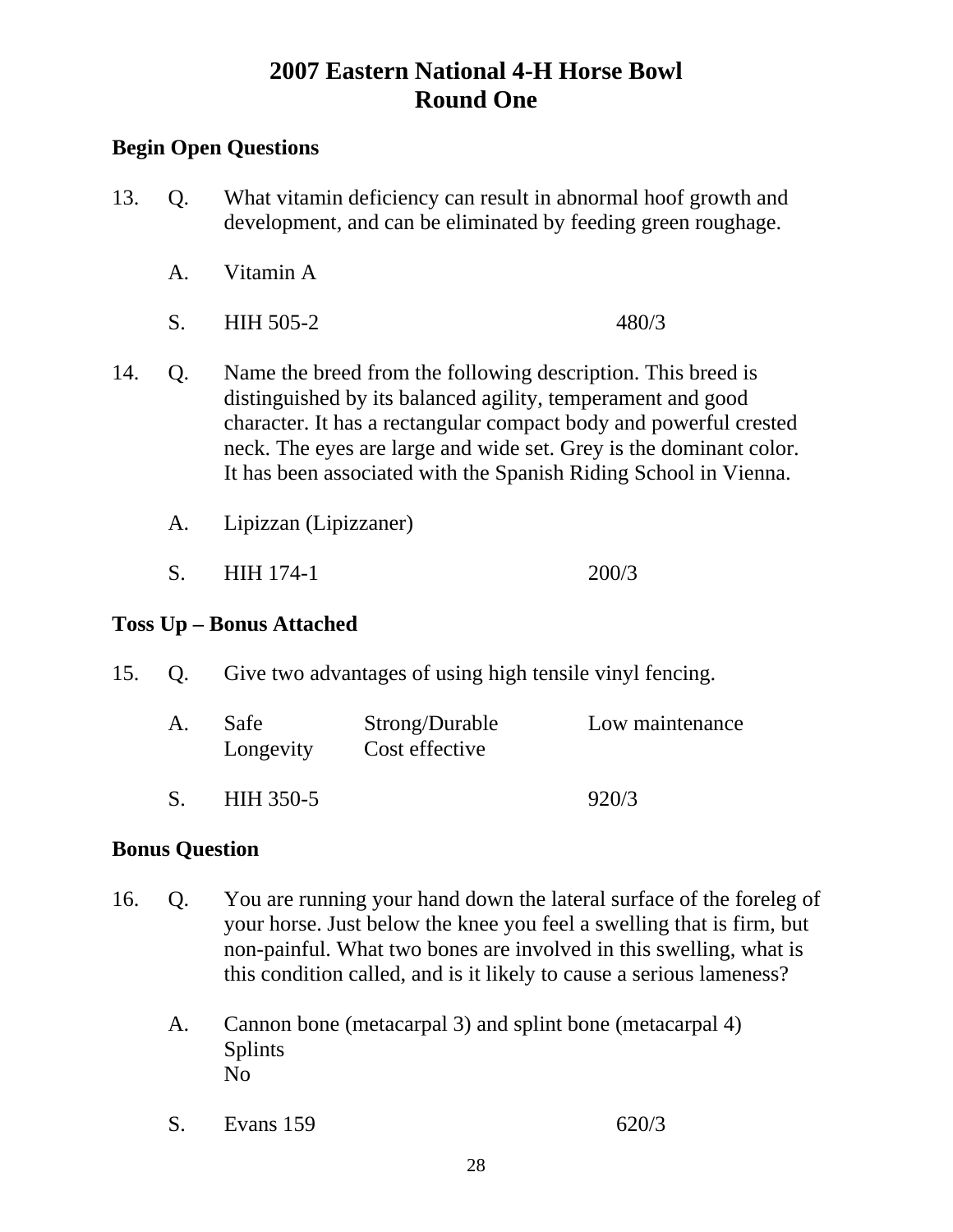## **Begin Open Questions**

- 13. Q. What vitamin deficiency can result in abnormal hoof growth and development, and can be eliminated by feeding green roughage.
	- A. Vitamin A
	- S. HIH 505-2 480/3
- 14. Q. Name the breed from the following description. This breed is distinguished by its balanced agility, temperament and good character. It has a rectangular compact body and powerful crested neck. The eyes are large and wide set. Grey is the dominant color. It has been associated with the Spanish Riding School in Vienna.
	- A. Lipizzan (Lipizzaner)
	- S. HIH 174-1 200/3

## **Toss Up – Bonus Attached**

15. Q. Give two advantages of using high tensile vinyl fencing.

| A. | Safe<br>Longevity | Strong/Durable<br>Cost effective | Low maintenance |
|----|-------------------|----------------------------------|-----------------|
|    | HIH 350-5         |                                  | 920/3           |

#### **Bonus Question**

- 16. Q. You are running your hand down the lateral surface of the foreleg of your horse. Just below the knee you feel a swelling that is firm, but non-painful. What two bones are involved in this swelling, what is this condition called, and is it likely to cause a serious lameness?
	- A. Cannon bone (metacarpal 3) and splint bone (metacarpal 4) Splints No
	- S. Evans 159 620/3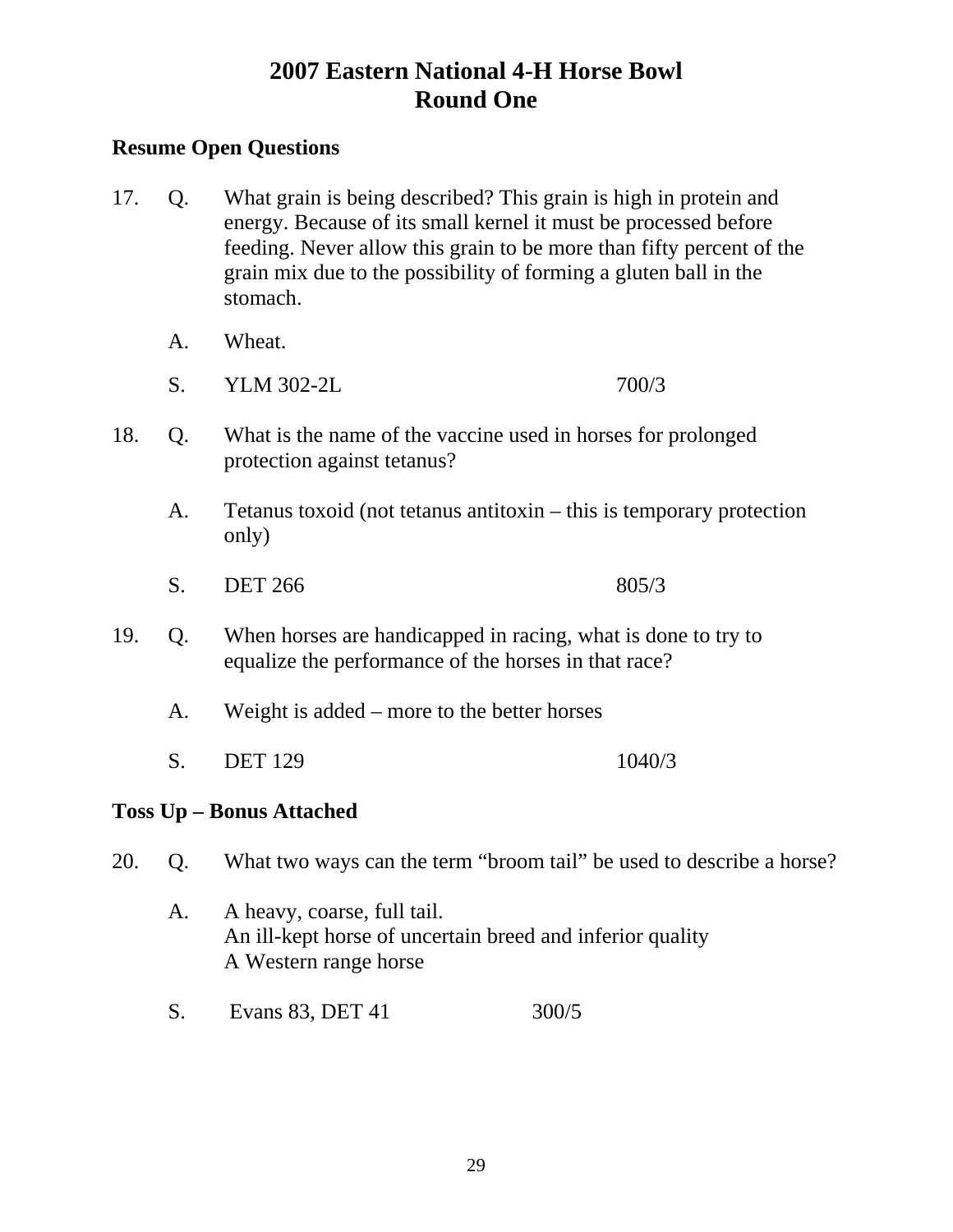## **Resume Open Questions**

- 17. Q. What grain is being described? This grain is high in protein and energy. Because of its small kernel it must be processed before feeding. Never allow this grain to be more than fifty percent of the grain mix due to the possibility of forming a gluten ball in the stomach.
	- A. Wheat.
	- S. YLM 302-2L 700/3
- 18. Q. What is the name of the vaccine used in horses for prolonged protection against tetanus?
	- A. Tetanus toxoid (not tetanus antitoxin this is temporary protection only)
	- S. DET 266 805/3
- 19. Q. When horses are handicapped in racing, what is done to try to equalize the performance of the horses in that race?
	- A. Weight is added more to the better horses
	- S. DET 129 1040/3

## **Toss Up – Bonus Attached**

20. Q. What two ways can the term "broom tail" be used to describe a horse?

- A. A heavy, coarse, full tail. An ill-kept horse of uncertain breed and inferior quality A Western range horse
- S. Evans 83, DET 41 300/5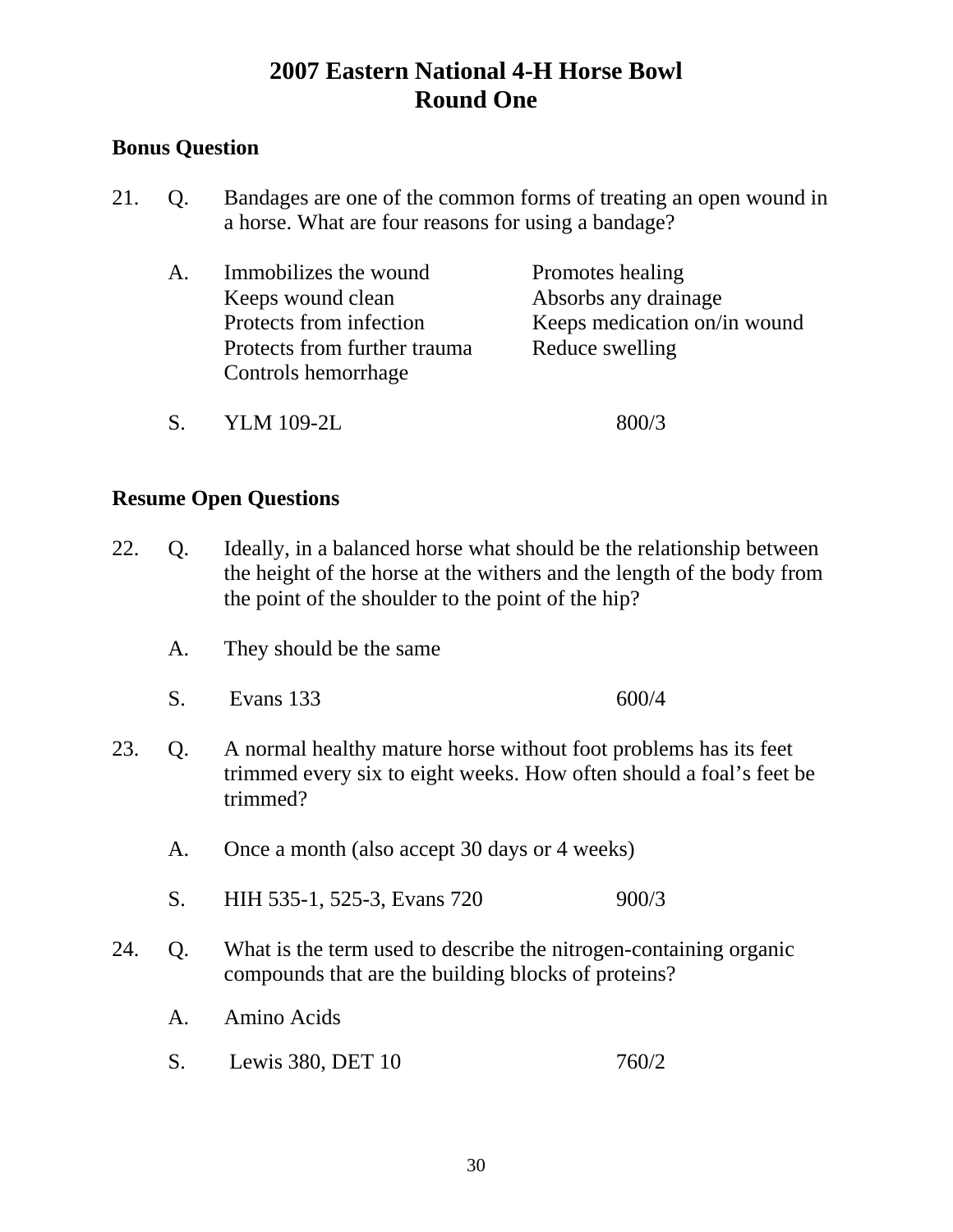## **Bonus Question**

21. Q. Bandages are one of the common forms of treating an open wound in a horse. What are four reasons for using a bandage?

| $A_{\cdot}$ | Immobilizes the wound        | Promotes healing             |
|-------------|------------------------------|------------------------------|
|             | Keeps wound clean            | Absorbs any drainage         |
|             | Protects from infection      | Keeps medication on/in wound |
|             | Protects from further trauma | Reduce swelling              |
|             | Controls hemorrhage          |                              |
|             |                              |                              |

S. YLM 109-2L 800/3

- 22. Q. Ideally, in a balanced horse what should be the relationship between the height of the horse at the withers and the length of the body from the point of the shoulder to the point of the hip?
	- A. They should be the same
	- S. Evans 133 600/4
- 23. Q. A normal healthy mature horse without foot problems has its feet trimmed every six to eight weeks. How often should a foal's feet be trimmed?
	- A. Once a month (also accept 30 days or 4 weeks)
	- S. HIH 535-1, 525-3, Evans 720 900/3
- 24. Q. What is the term used to describe the nitrogen-containing organic compounds that are the building blocks of proteins?
	- A. Amino Acids
	- S. Lewis 380, DET 10 760/2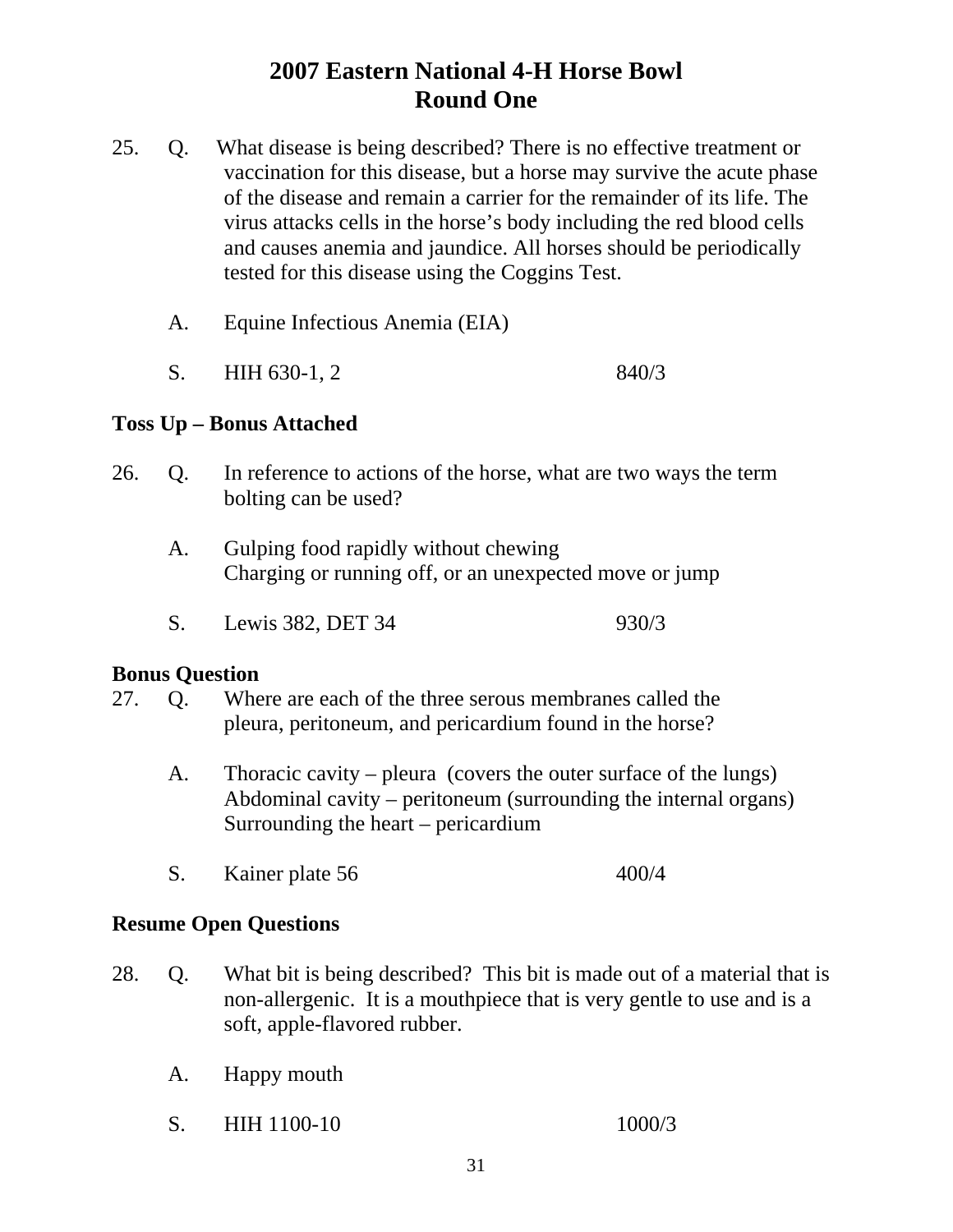- 25. Q. What disease is being described? There is no effective treatment or vaccination for this disease, but a horse may survive the acute phase of the disease and remain a carrier for the remainder of its life. The virus attacks cells in the horse's body including the red blood cells and causes anemia and jaundice. All horses should be periodically tested for this disease using the Coggins Test.
	- A. Equine Infectious Anemia (EIA)
	- S. HIH 630-1, 2 840/3

## **Toss Up – Bonus Attached**

- 26. Q. In reference to actions of the horse, what are two ways the term bolting can be used?
	- A. Gulping food rapidly without chewing Charging or running off, or an unexpected move or jump
	- S. Lewis 382, DET 34 930/3

#### **Bonus Question**

- 27. Q. Where are each of the three serous membranes called the pleura, peritoneum, and pericardium found in the horse?
	- A. Thoracic cavity pleura (covers the outer surface of the lungs) Abdominal cavity – peritoneum (surrounding the internal organs) Surrounding the heart – pericardium
	- S. Kainer plate 56 400/4

- 28. Q. What bit is being described? This bit is made out of a material that is non-allergenic. It is a mouthpiece that is very gentle to use and is a soft, apple-flavored rubber.
	- A. Happy mouth
	- S. HIH 1100-10 1000/3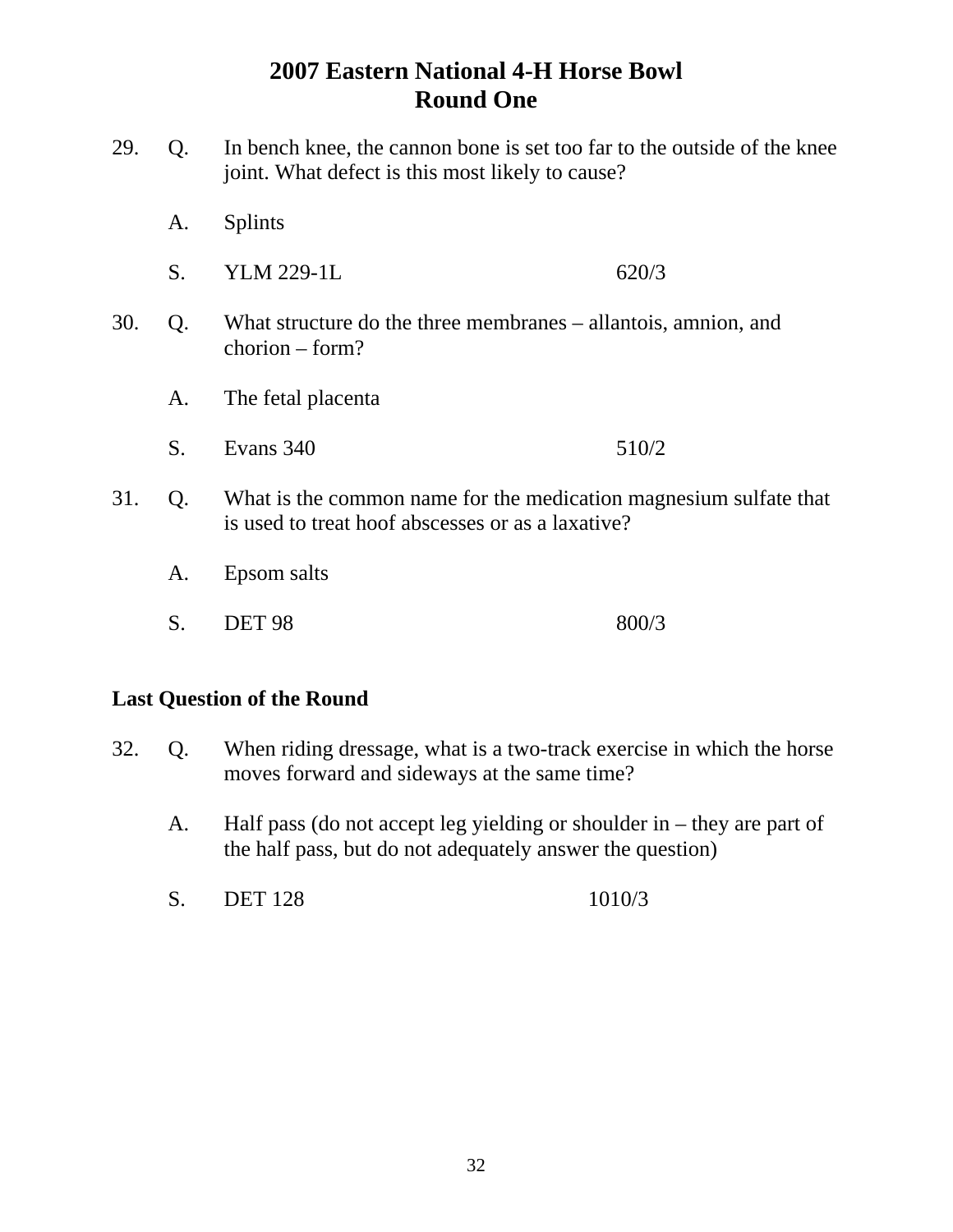- 29. Q. In bench knee, the cannon bone is set too far to the outside of the knee joint. What defect is this most likely to cause?
	- A. Splints
	- S. YLM 229-1L 620/3
- 30. Q. What structure do the three membranes allantois, amnion, and chorion – form?
	- A. The fetal placenta
	- S. Evans 340 510/2
- 31. Q. What is the common name for the medication magnesium sulfate that is used to treat hoof abscesses or as a laxative?
	- A. Epsom salts
	- S. DET 98 800/3

#### **Last Question of the Round**

- 32. Q. When riding dressage, what is a two-track exercise in which the horse moves forward and sideways at the same time?
	- A. Half pass (do not accept leg yielding or shoulder in they are part of the half pass, but do not adequately answer the question)
	- S. DET 128 1010/3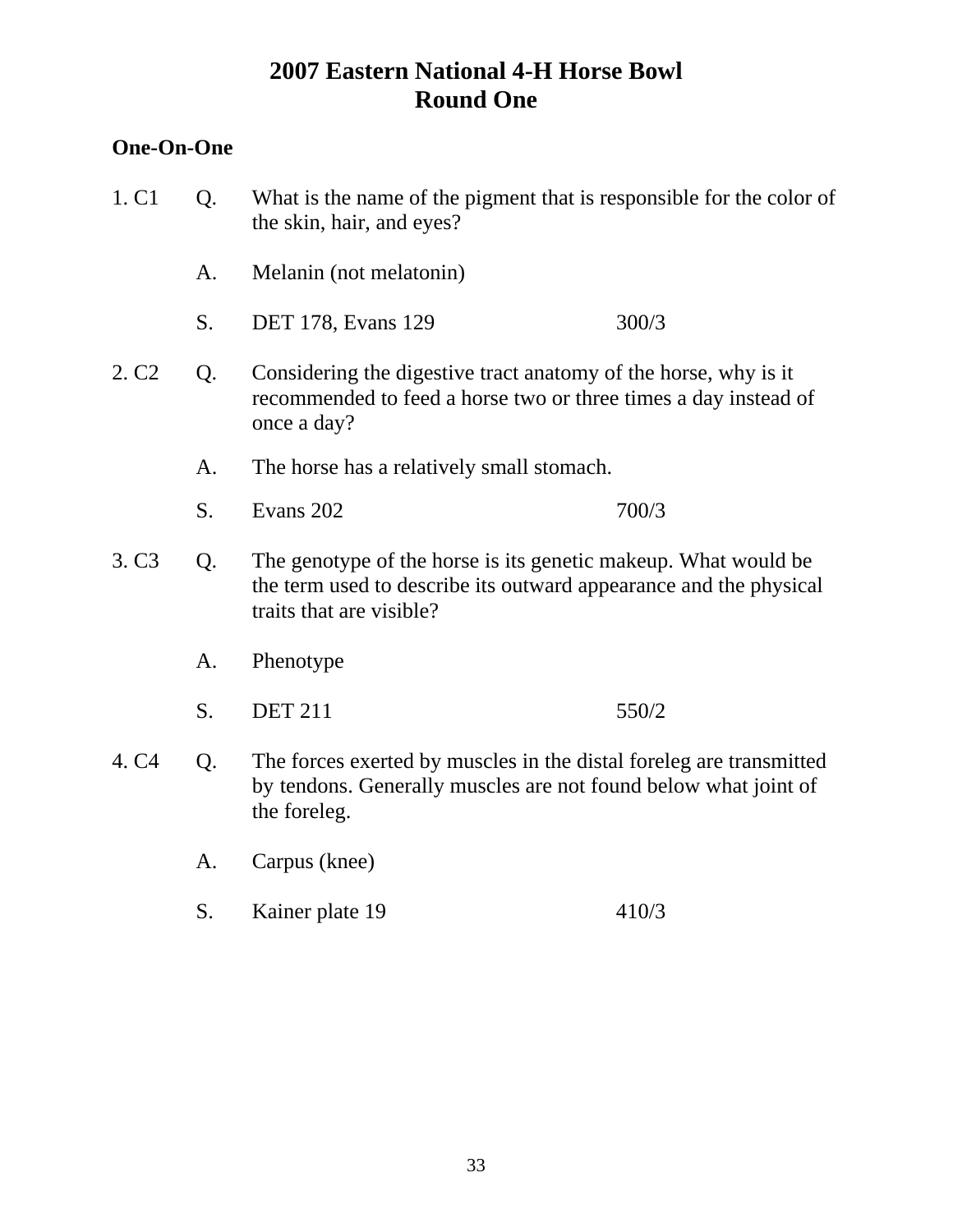## **One-On-One**

| 1. C <sub>1</sub>                                                                                                                                                                          | Q. | the skin, hair, and eyes?                                                                                                                              | What is the name of the pigment that is responsible for the color of |  |
|--------------------------------------------------------------------------------------------------------------------------------------------------------------------------------------------|----|--------------------------------------------------------------------------------------------------------------------------------------------------------|----------------------------------------------------------------------|--|
|                                                                                                                                                                                            | A. | Melanin (not melatonin)                                                                                                                                |                                                                      |  |
|                                                                                                                                                                                            | S. | <b>DET 178, Evans 129</b>                                                                                                                              | 300/3                                                                |  |
| 2. C <sub>2</sub>                                                                                                                                                                          | Q. | Considering the digestive tract anatomy of the horse, why is it<br>recommended to feed a horse two or three times a day instead of<br>once a day?      |                                                                      |  |
|                                                                                                                                                                                            | A. | The horse has a relatively small stomach.                                                                                                              |                                                                      |  |
|                                                                                                                                                                                            | S. | Evans 202                                                                                                                                              | 700/3                                                                |  |
| 3. C <sub>3</sub><br>The genotype of the horse is its genetic makeup. What would be<br>Q.<br>the term used to describe its outward appearance and the physical<br>traits that are visible? |    |                                                                                                                                                        |                                                                      |  |
|                                                                                                                                                                                            | A. | Phenotype                                                                                                                                              |                                                                      |  |
|                                                                                                                                                                                            | S. | <b>DET 211</b>                                                                                                                                         | 550/2                                                                |  |
| 4. C <sub>4</sub>                                                                                                                                                                          | Q. | The forces exerted by muscles in the distal foreleg are transmitted<br>by tendons. Generally muscles are not found below what joint of<br>the foreleg. |                                                                      |  |
|                                                                                                                                                                                            | A. | Carpus (knee)                                                                                                                                          |                                                                      |  |
|                                                                                                                                                                                            | S. | Kainer plate 19                                                                                                                                        | 410/3                                                                |  |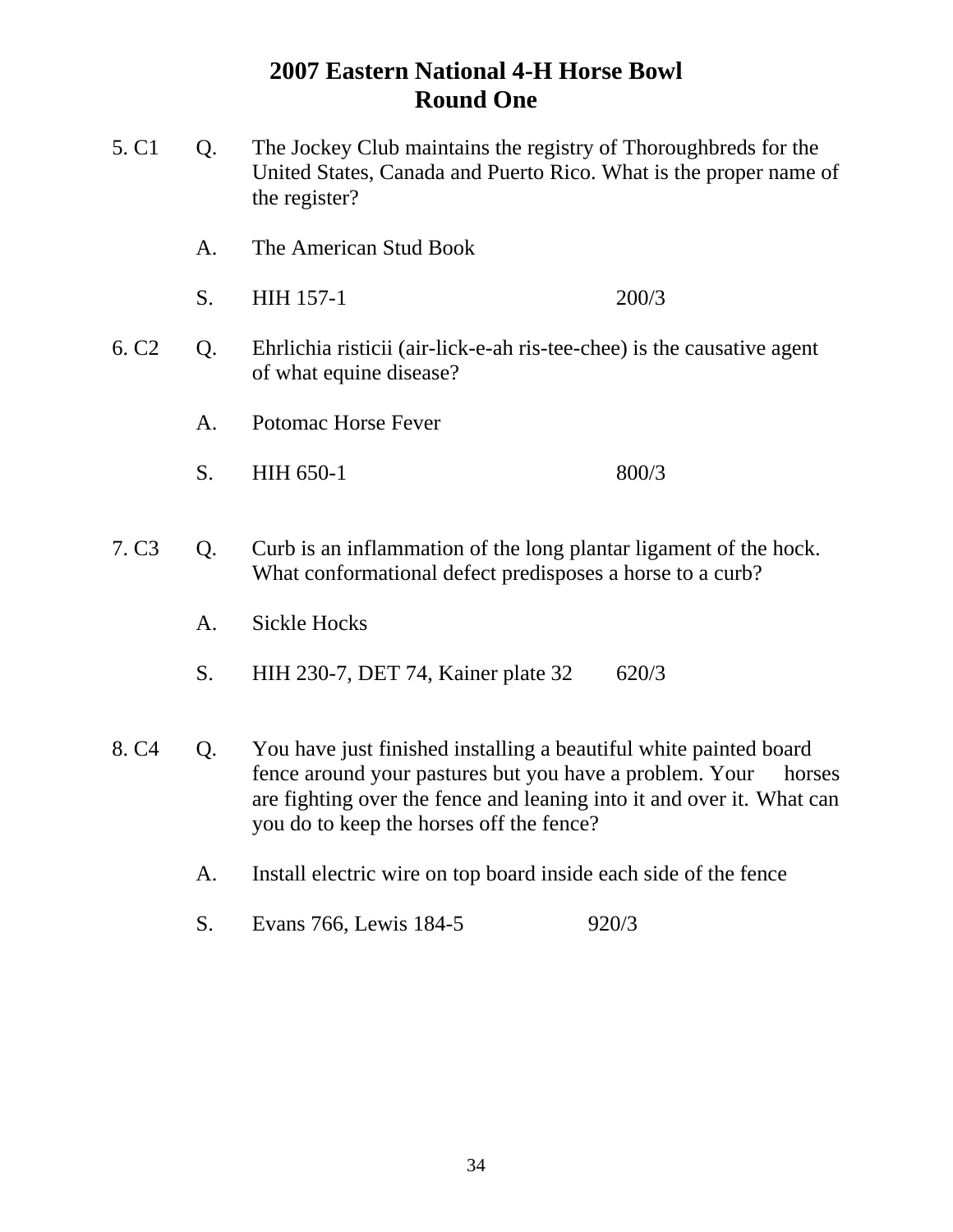- 5. C1 Q. The Jockey Club maintains the registry of Thoroughbreds for the United States, Canada and Puerto Rico. What is the proper name of the register? A. The American Stud Book S. HIH 157-1 200/3 6. C2 Q. Ehrlichia risticii (air-lick-e-ah ris-tee-chee) is the causative agent of what equine disease? A. Potomac Horse Fever S. HIH 650-1 800/3 7. C3 Q. Curb is an inflammation of the long plantar ligament of the hock. What conformational defect predisposes a horse to a curb? A. Sickle Hocks S. HIH 230-7, DET 74, Kainer plate 32 620/3 8. C4 Q. You have just finished installing a beautiful white painted board fence around your pastures but you have a problem. Your horses are fighting over the fence and leaning into it and over it. What can you do to keep the horses off the fence? A. Install electric wire on top board inside each side of the fence
	- S. Evans 766, Lewis 184-5 920/3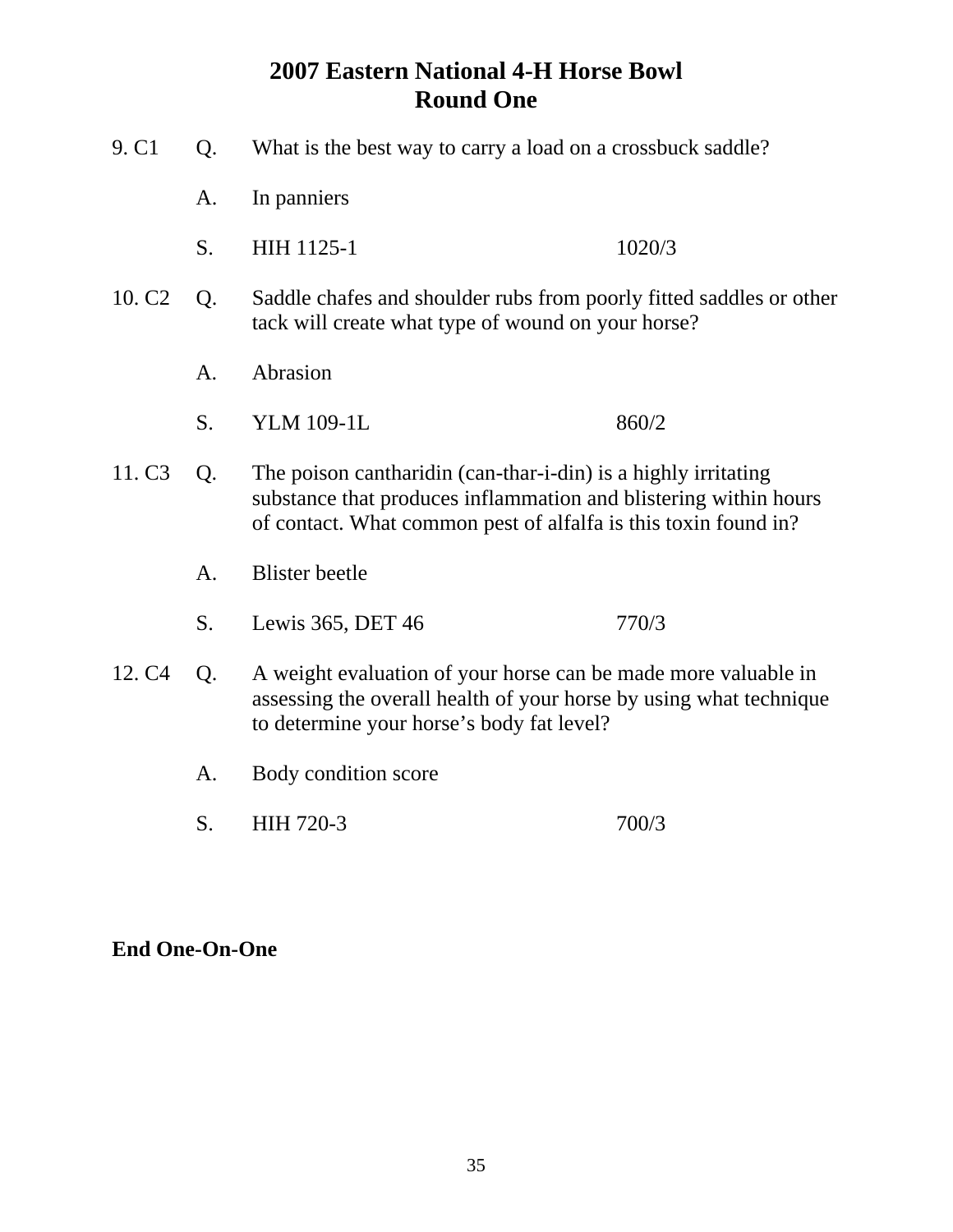| 9. C1                                                                                                                                                                                                         | Q. | What is the best way to carry a load on a crossbuck saddle?                                                                                                                                           |        |
|---------------------------------------------------------------------------------------------------------------------------------------------------------------------------------------------------------------|----|-------------------------------------------------------------------------------------------------------------------------------------------------------------------------------------------------------|--------|
|                                                                                                                                                                                                               | A. | In panniers                                                                                                                                                                                           |        |
|                                                                                                                                                                                                               | S. | HIH 1125-1                                                                                                                                                                                            | 1020/3 |
| 10. C <sub>2</sub>                                                                                                                                                                                            | Q. | Saddle chafes and shoulder rubs from poorly fitted saddles or other<br>tack will create what type of wound on your horse?                                                                             |        |
|                                                                                                                                                                                                               | A. | Abrasion                                                                                                                                                                                              |        |
|                                                                                                                                                                                                               | S. | <b>YLM 109-1L</b>                                                                                                                                                                                     | 860/2  |
| 11. C <sub>3</sub>                                                                                                                                                                                            | Q. | The poison cantharidin (can-thar-i-din) is a highly irritating<br>substance that produces inflammation and blistering within hours<br>of contact. What common pest of alfalfa is this toxin found in? |        |
|                                                                                                                                                                                                               | A. | <b>Blister</b> beetle                                                                                                                                                                                 |        |
|                                                                                                                                                                                                               | S. | Lewis 365, DET 46                                                                                                                                                                                     | 770/3  |
| 12. C <sub>4</sub><br>A weight evaluation of your horse can be made more valuable in<br>Q.<br>assessing the overall health of your horse by using what technique<br>to determine your horse's body fat level? |    |                                                                                                                                                                                                       |        |
|                                                                                                                                                                                                               | A. | Body condition score                                                                                                                                                                                  |        |
|                                                                                                                                                                                                               | S. | HIH 720-3                                                                                                                                                                                             | 700/3  |
|                                                                                                                                                                                                               |    |                                                                                                                                                                                                       |        |

**End One-On-One**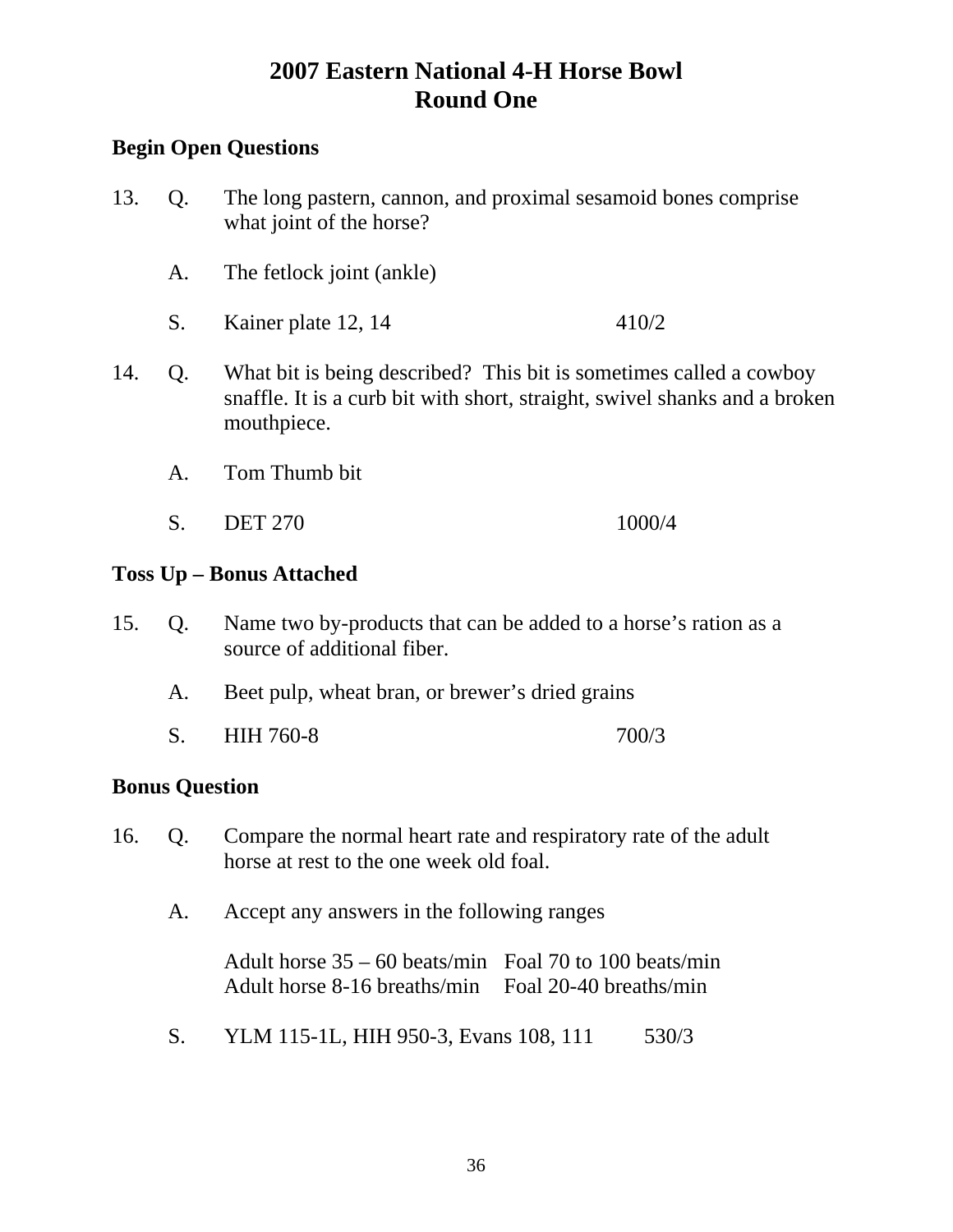## **Begin Open Questions**

- 13. Q. The long pastern, cannon, and proximal sesamoid bones comprise what joint of the horse?
	- A. The fetlock joint (ankle)
	- S. Kainer plate 12, 14 410/2
- 14. Q. What bit is being described? This bit is sometimes called a cowboy snaffle. It is a curb bit with short, straight, swivel shanks and a broken mouthpiece.
	- A. Tom Thumb bit
	- S. DET 270 1000/4

## **Toss Up – Bonus Attached**

- 15. Q. Name two by-products that can be added to a horse's ration as a source of additional fiber.
	- A. Beet pulp, wheat bran, or brewer's dried grains
	- S. HIH 760-8 700/3

## **Bonus Question**

- 16. Q. Compare the normal heart rate and respiratory rate of the adult horse at rest to the one week old foal.
	- A. Accept any answers in the following ranges

Adult horse 35 – 60 beats/min Foal 70 to 100 beats/min Adult horse 8-16 breaths/min Foal 20-40 breaths/min

S. YLM 115-1L, HIH 950-3, Evans 108, 111 530/3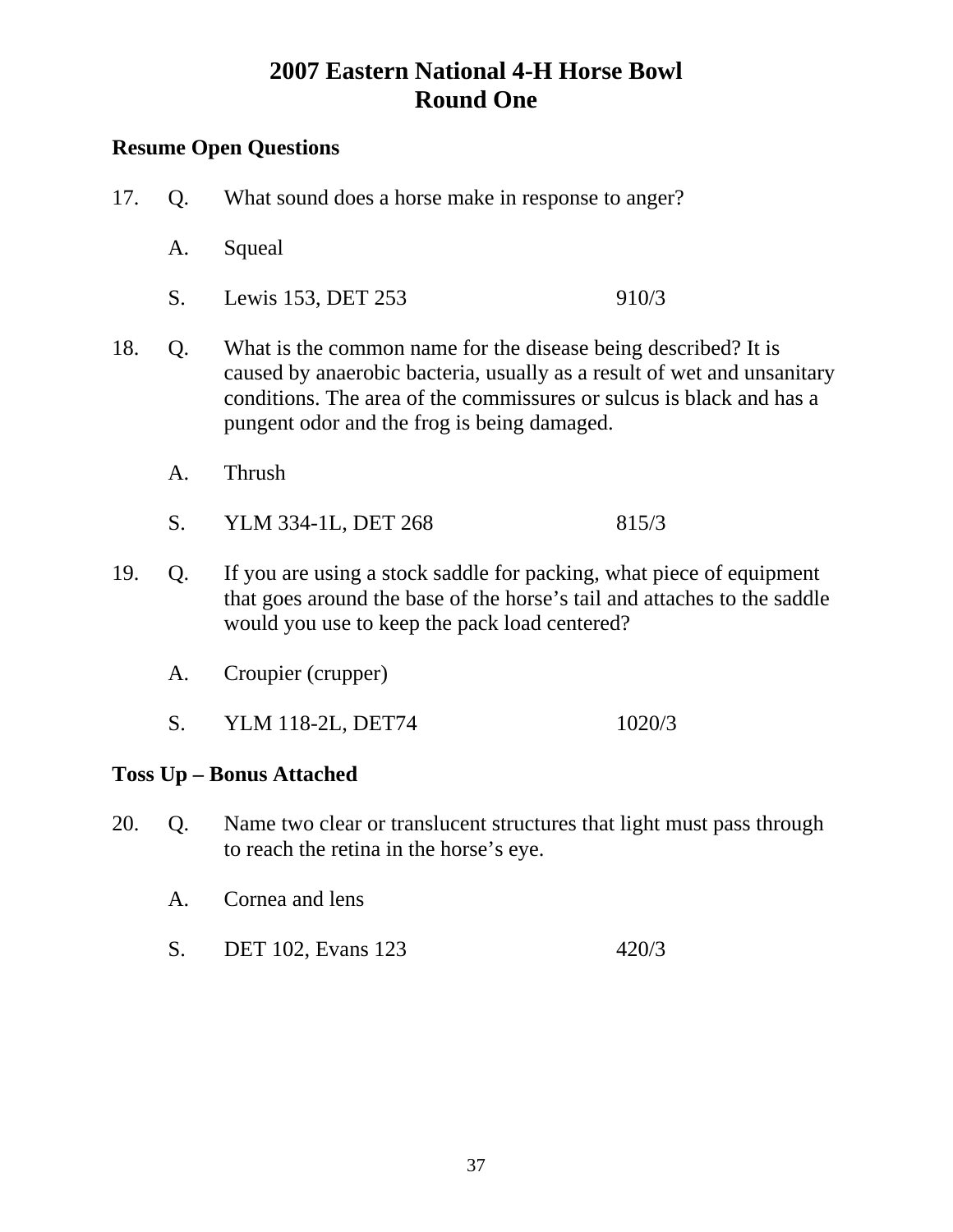### **Resume Open Questions**

- 17. Q. What sound does a horse make in response to anger?
	- A. Squeal
	- S. Lewis 153, DET 253 910/3
- 18. Q. What is the common name for the disease being described? It is caused by anaerobic bacteria, usually as a result of wet and unsanitary conditions. The area of the commissures or sulcus is black and has a pungent odor and the frog is being damaged.
	- A. Thrush
	- S. YLM 334-1L, DET 268 815/3
- 19. Q. If you are using a stock saddle for packing, what piece of equipment that goes around the base of the horse's tail and attaches to the saddle would you use to keep the pack load centered?
	- A. Croupier (crupper)
	- S. YLM 118-2L, DET74 1020/3

#### **Toss Up – Bonus Attached**

- 20. Q. Name two clear or translucent structures that light must pass through to reach the retina in the horse's eye.
	- A. Cornea and lens
	- S. DET 102, Evans 123 420/3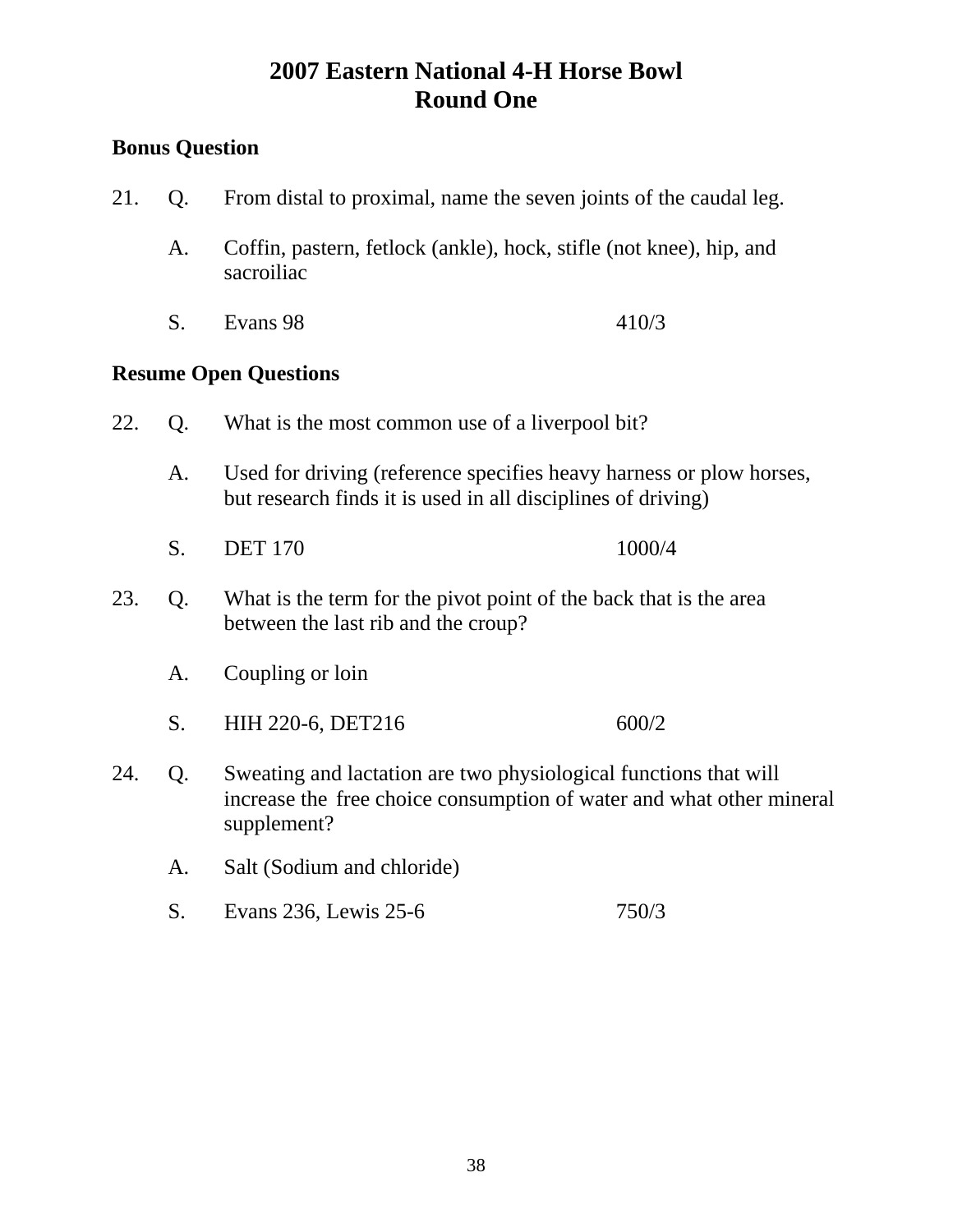### **Bonus Question**

21. Q. From distal to proximal, name the seven joints of the caudal leg. A. Coffin, pastern, fetlock (ankle), hock, stifle (not knee), hip, and sacroiliac S. Evans 98 410/3 **Resume Open Questions**  22. Q. What is the most common use of a liverpool bit? A. Used for driving (reference specifies heavy harness or plow horses, but research finds it is used in all disciplines of driving) S. DET 170 1000/4 23. Q. What is the term for the pivot point of the back that is the area between the last rib and the croup? A. Coupling or loin S. HIH 220-6, DET216 600/2 24. Q. Sweating and lactation are two physiological functions that will increase the free choice consumption of water and what other mineral supplement? A. Salt (Sodium and chloride) S. Evans 236, Lewis 25-6 750/3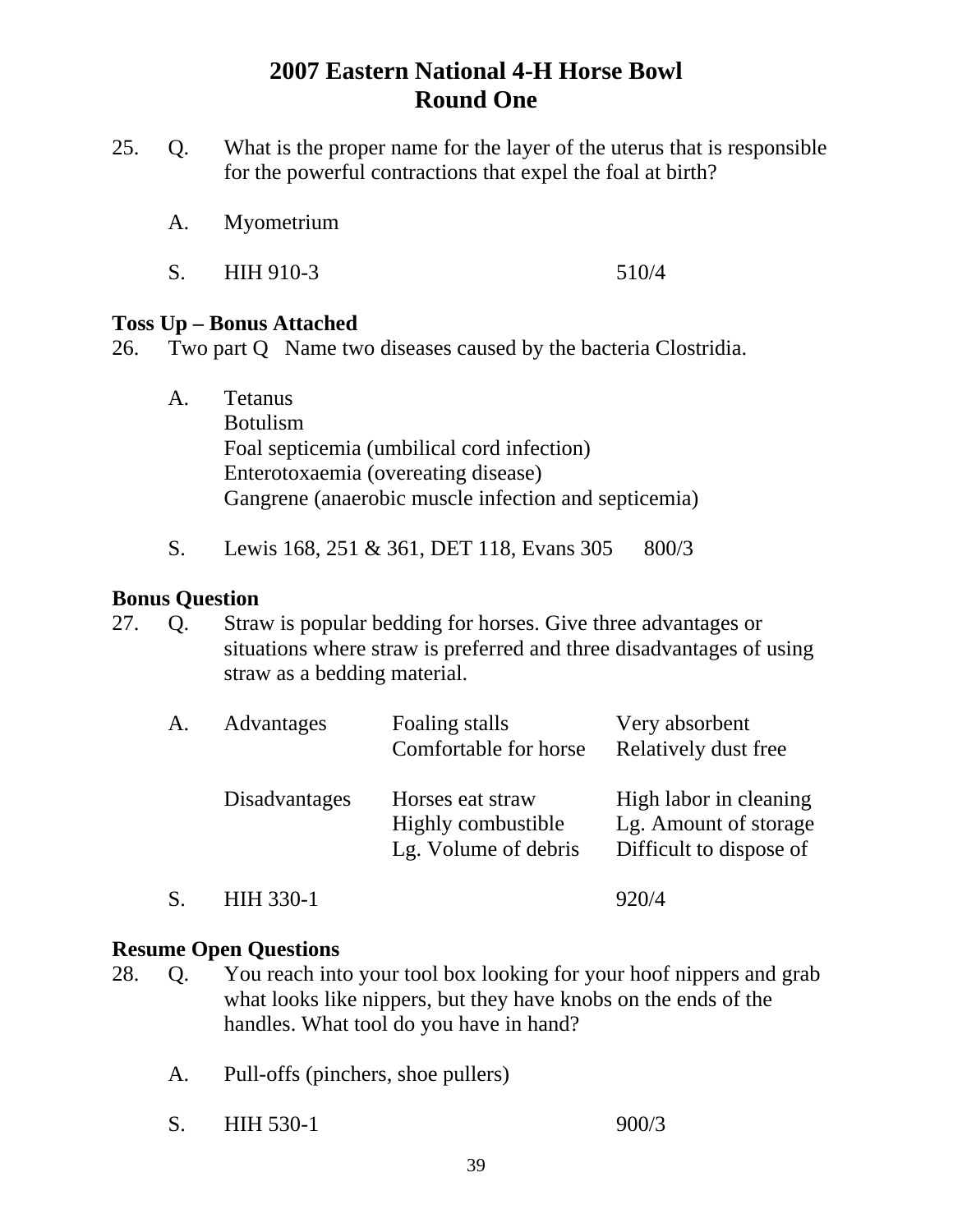- 25. Q. What is the proper name for the layer of the uterus that is responsible for the powerful contractions that expel the foal at birth?
	- A. Myometrium
	- S. HIH 910-3 510/4

#### **Toss Up – Bonus Attached**

- 26. Two part Q Name two diseases caused by the bacteria Clostridia.
	- A. Tetanus Botulism Foal septicemia (umbilical cord infection) Enterotoxaemia (overeating disease) Gangrene (anaerobic muscle infection and septicemia)
	- S. Lewis 168, 251 & 361, DET 118, Evans 305 800/3

#### **Bonus Question**

27. Q. Straw is popular bedding for horses. Give three advantages or situations where straw is preferred and three disadvantages of using straw as a bedding material.

| A. | Advantages           | Foaling stalls<br>Comfortable for horse                        | Very absorbent<br>Relatively dust free                                     |
|----|----------------------|----------------------------------------------------------------|----------------------------------------------------------------------------|
|    | <b>Disadvantages</b> | Horses eat straw<br>Highly combustible<br>Lg. Volume of debris | High labor in cleaning<br>Lg. Amount of storage<br>Difficult to dispose of |
|    | HIH 330-1            |                                                                | 920/4                                                                      |

- 28. Q. You reach into your tool box looking for your hoof nippers and grab what looks like nippers, but they have knobs on the ends of the handles. What tool do you have in hand?
	- A. Pull-offs (pinchers, shoe pullers)
	- S. HIH 530-1 900/3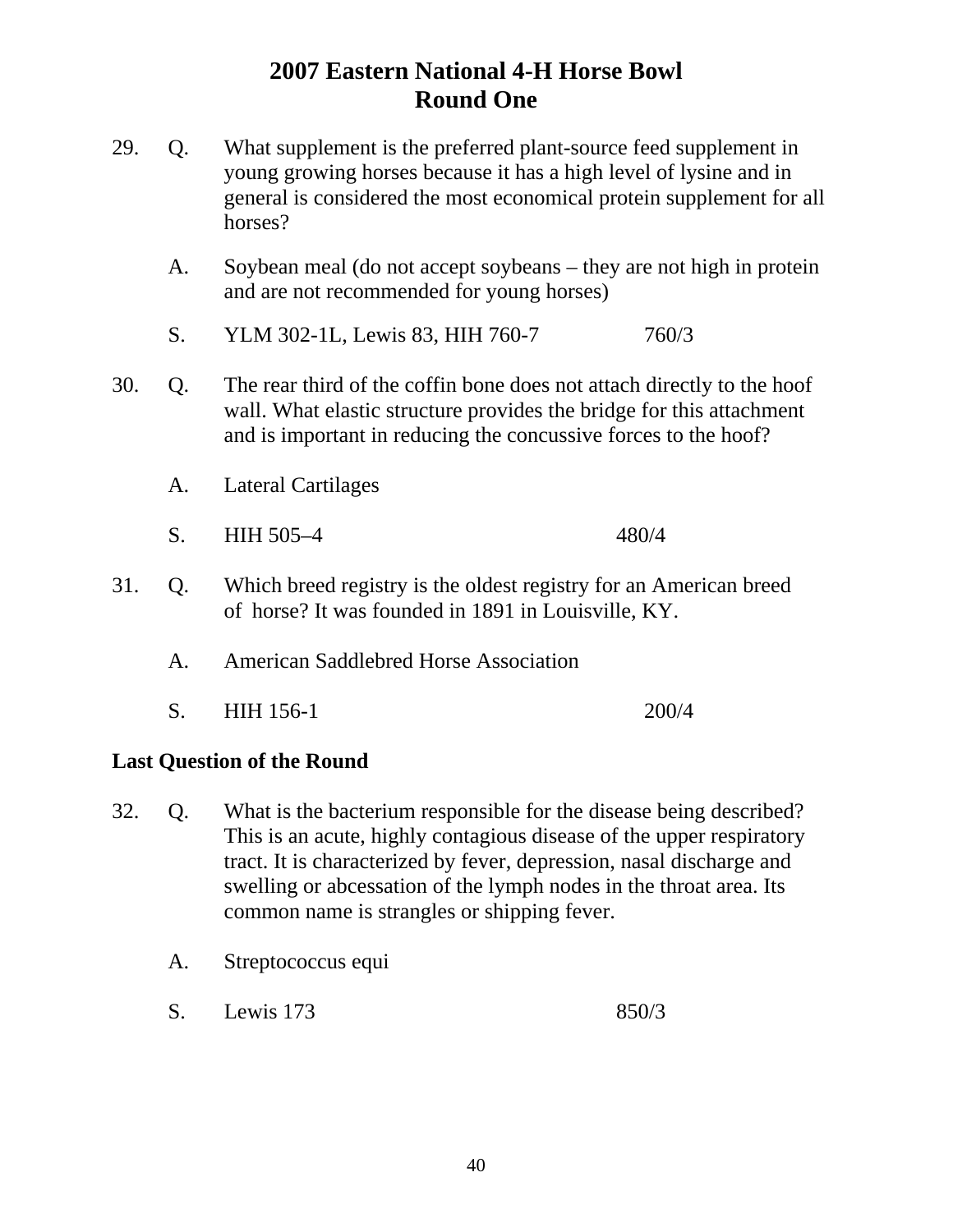- 29. Q. What supplement is the preferred plant-source feed supplement in young growing horses because it has a high level of lysine and in general is considered the most economical protein supplement for all horses?
	- A. Soybean meal (do not accept soybeans they are not high in protein and are not recommended for young horses)
	- S. YLM 302-1L, Lewis 83, HIH 760-7 760/3
- 30. Q. The rear third of the coffin bone does not attach directly to the hoof wall. What elastic structure provides the bridge for this attachment and is important in reducing the concussive forces to the hoof?
	- A. Lateral Cartilages
	- S. HIH 505–4 480/4
- 31. Q. Which breed registry is the oldest registry for an American breed of horse? It was founded in 1891 in Louisville, KY.
	- A. American Saddlebred Horse Association
	- S. HIH 156-1 200/4

#### **Last Question of the Round**

- 32. Q. What is the bacterium responsible for the disease being described? This is an acute, highly contagious disease of the upper respiratory tract. It is characterized by fever, depression, nasal discharge and swelling or abcessation of the lymph nodes in the throat area. Its common name is strangles or shipping fever.
	- A. Streptococcus equi
	- S. Lewis 173 850/3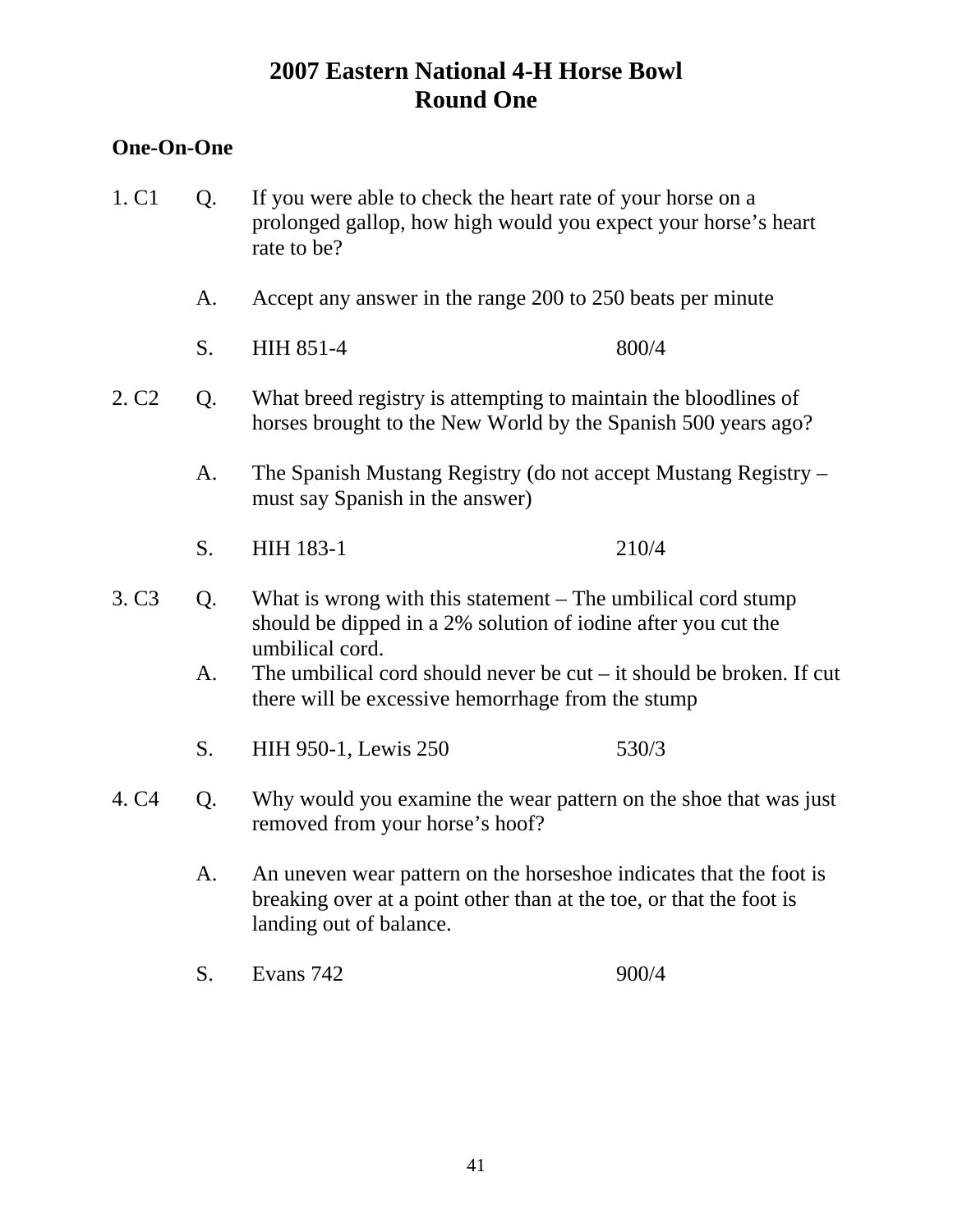#### **One-On-One**

- 1. C1 Q. If you were able to check the heart rate of your horse on a prolonged gallop, how high would you expect your horse's heart rate to be?
	- A. Accept any answer in the range 200 to 250 beats per minute
	- S. HIH 851-4 800/4
- 2. C2 Q. What breed registry is attempting to maintain the bloodlines of horses brought to the New World by the Spanish 500 years ago?
	- A. The Spanish Mustang Registry (do not accept Mustang Registry must say Spanish in the answer)
	- S. HIH 183-1 210/4
- 3. C3 Q. What is wrong with this statement The umbilical cord stump should be dipped in a 2% solution of iodine after you cut the umbilical cord.
	- A. The umbilical cord should never be cut it should be broken. If cut there will be excessive hemorrhage from the stump
	- S. HIH 950-1, Lewis 250 530/3
- 4. C4 Q. Why would you examine the wear pattern on the shoe that was just removed from your horse's hoof?
	- A. An uneven wear pattern on the horseshoe indicates that the foot is breaking over at a point other than at the toe, or that the foot is landing out of balance.
	- S. Evans 742 900/4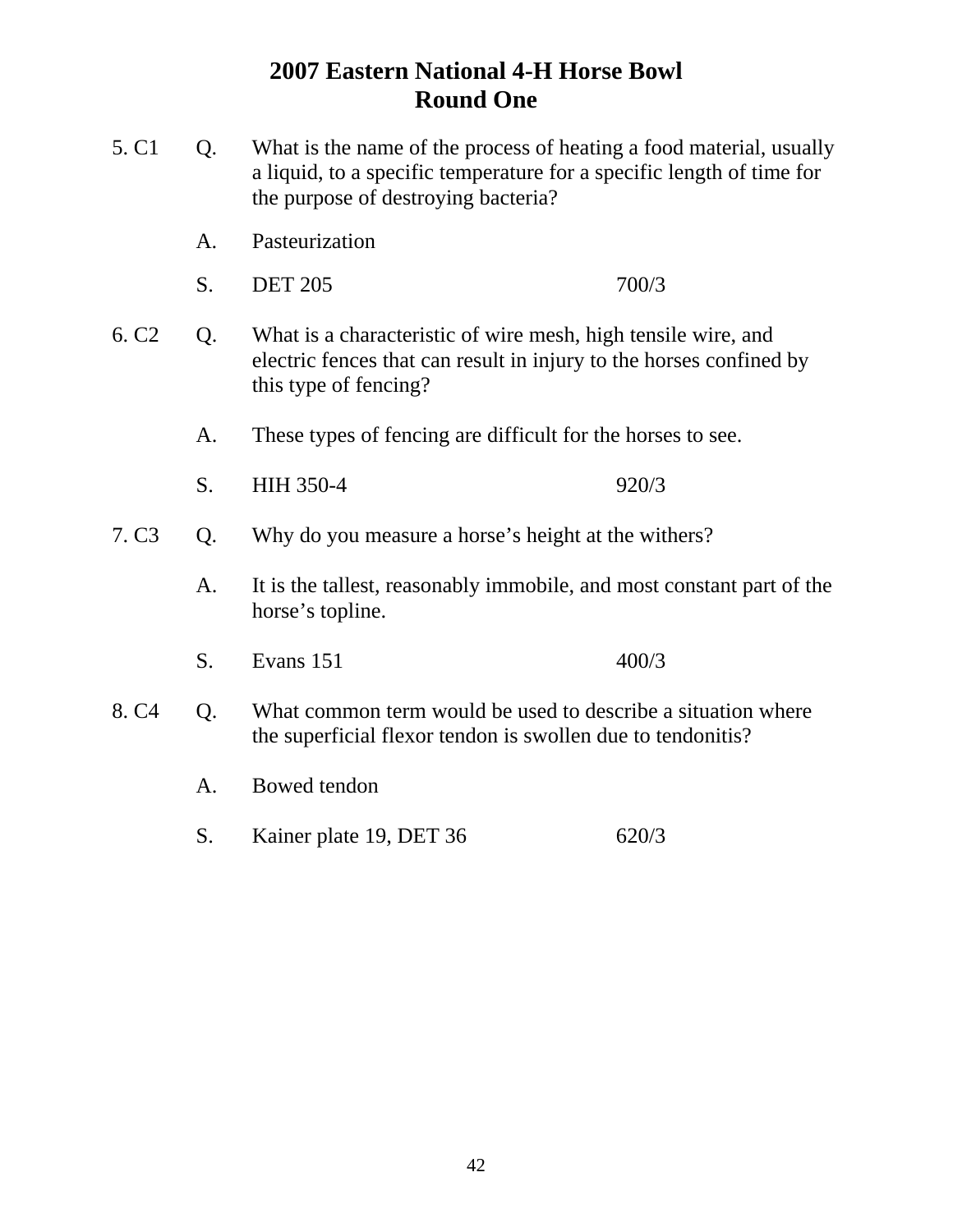- 5. C1 Q. What is the name of the process of heating a food material, usually a liquid, to a specific temperature for a specific length of time for the purpose of destroying bacteria?
	- A. Pasteurization
	- S. DET 205 700/3
- 6. C2 Q. What is a characteristic of wire mesh, high tensile wire, and electric fences that can result in injury to the horses confined by this type of fencing?
	- A. These types of fencing are difficult for the horses to see.
	- S. HIH 350-4 920/3
- 7. C3 Q. Why do you measure a horse's height at the withers?
	- A. It is the tallest, reasonably immobile, and most constant part of the horse's topline.
	- S. Evans 151 400/3
- 8. C4 Q. What common term would be used to describe a situation where the superficial flexor tendon is swollen due to tendonitis?
	- A. Bowed tendon
	- S. Kainer plate 19, DET 36 620/3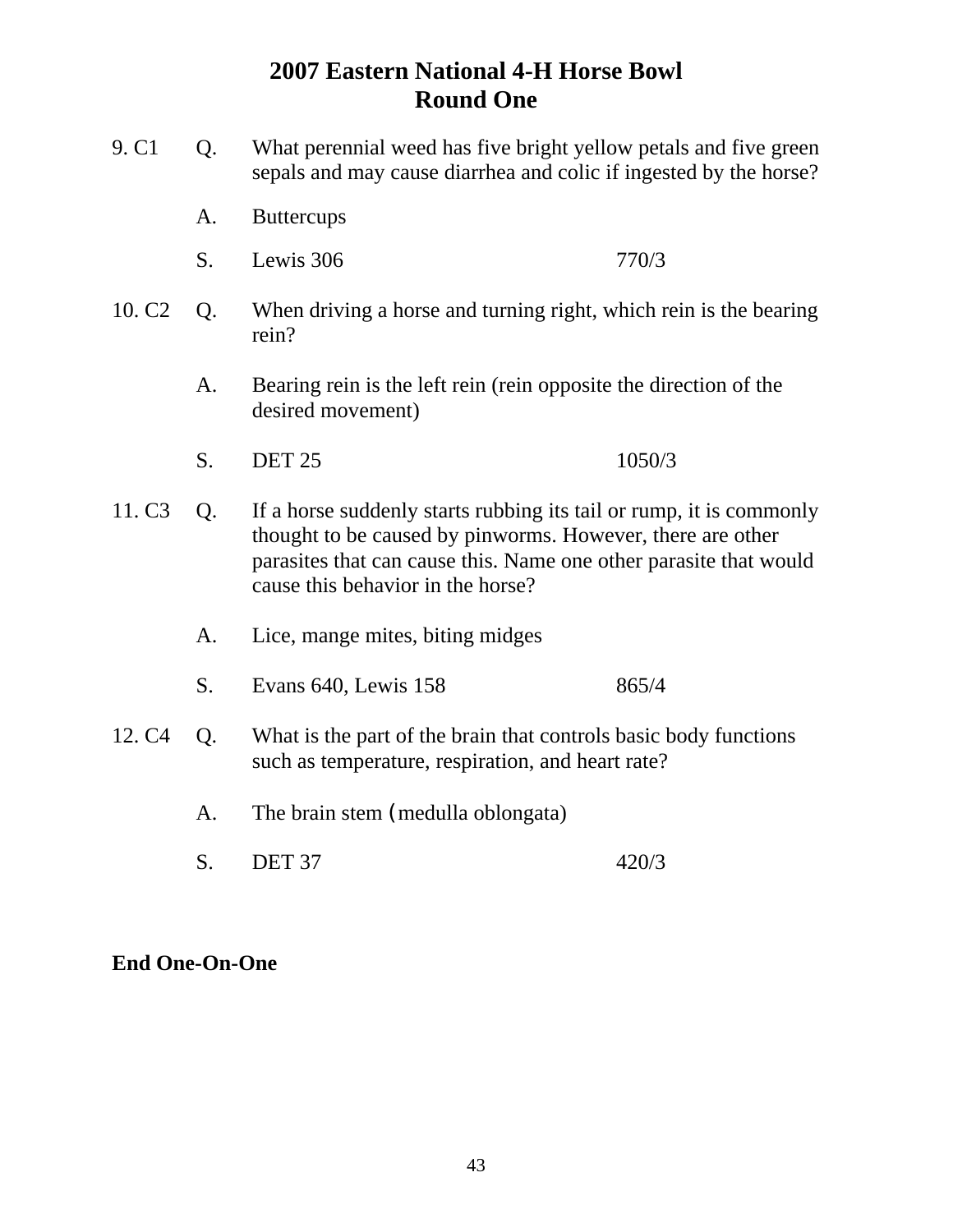- 9. C1 Q. What perennial weed has five bright yellow petals and five green sepals and may cause diarrhea and colic if ingested by the horse?
	- A. Buttercups
	- S. Lewis 306 770/3
- 10. C2 Q. When driving a horse and turning right, which rein is the bearing rein?
	- A. Bearing rein is the left rein (rein opposite the direction of the desired movement)
	- S. DET 25 1050/3
- 11. C3 Q. If a horse suddenly starts rubbing its tail or rump, it is commonly thought to be caused by pinworms. However, there are other parasites that can cause this. Name one other parasite that would cause this behavior in the horse?
	- A. Lice, mange mites, biting midges
	- S. Evans 640, Lewis 158 865/4
- 12. C4 Q. What is the part of the brain that controls basic body functions such as temperature, respiration, and heart rate?
	- A. The brain stem (medulla oblongata)
	- S. DET 37 420/3

#### **End One-On-One**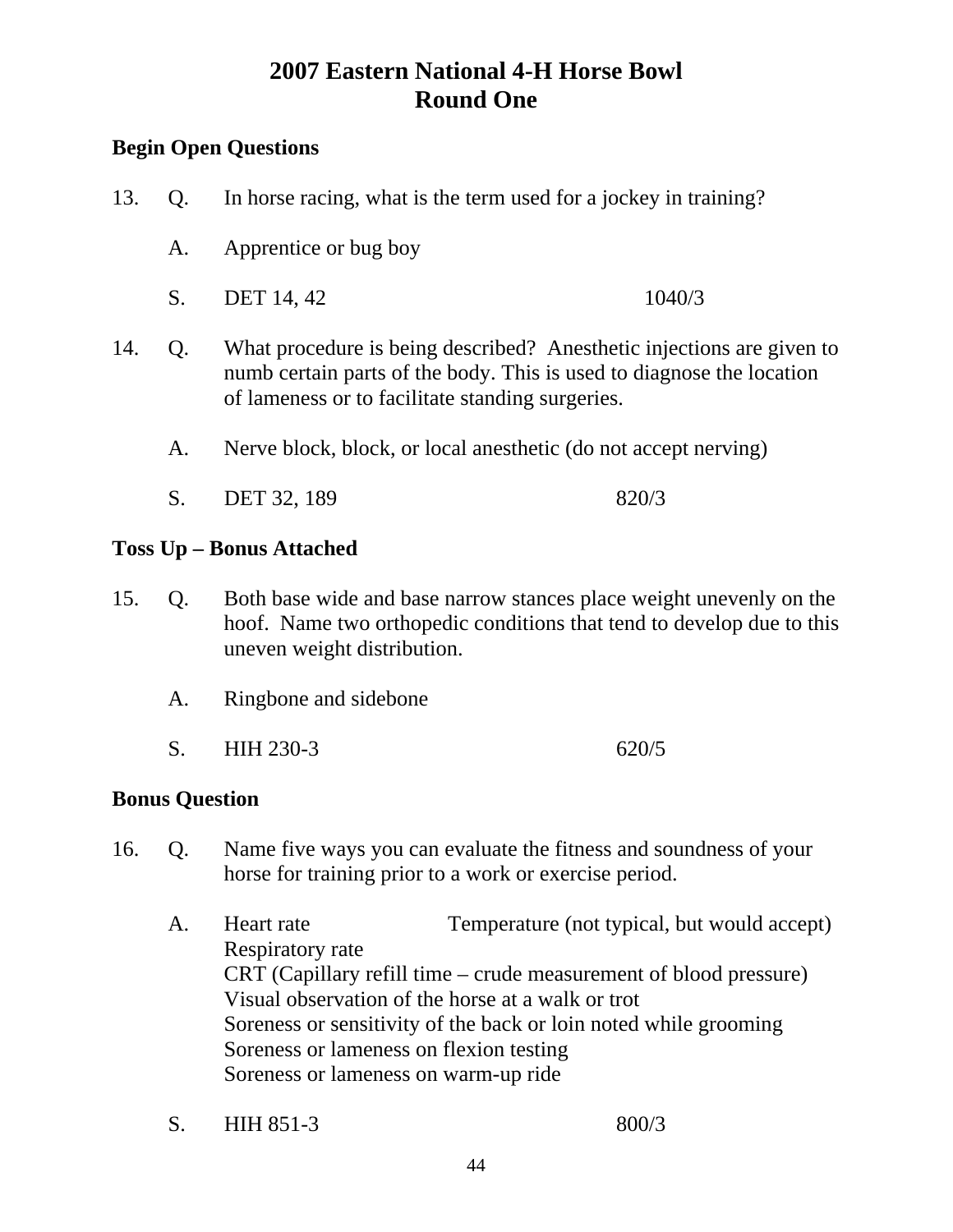### **Begin Open Questions**

- 13. Q. In horse racing, what is the term used for a jockey in training? A. Apprentice or bug boy S. DET 14, 42 1040/3 14. Q. What procedure is being described? Anesthetic injections are given to numb certain parts of the body. This is used to diagnose the location of lameness or to facilitate standing surgeries. A. Nerve block, block, or local anesthetic (do not accept nerving)
	- S. DET 32, 189 820/3

#### **Toss Up – Bonus Attached**

- 15. Q. Both base wide and base narrow stances place weight unevenly on the hoof. Name two orthopedic conditions that tend to develop due to this uneven weight distribution.
	- A. Ringbone and sidebone
	- S. HIH 230-3 620/5

#### **Bonus Question**

- 16. Q. Name five ways you can evaluate the fitness and soundness of your horse for training prior to a work or exercise period.
	- A. Heart rate Temperature (not typical, but would accept) Respiratory rate CRT (Capillary refill time – crude measurement of blood pressure) Visual observation of the horse at a walk or trot Soreness or sensitivity of the back or loin noted while grooming Soreness or lameness on flexion testing Soreness or lameness on warm-up ride
	- S. HIH 851-3 800/3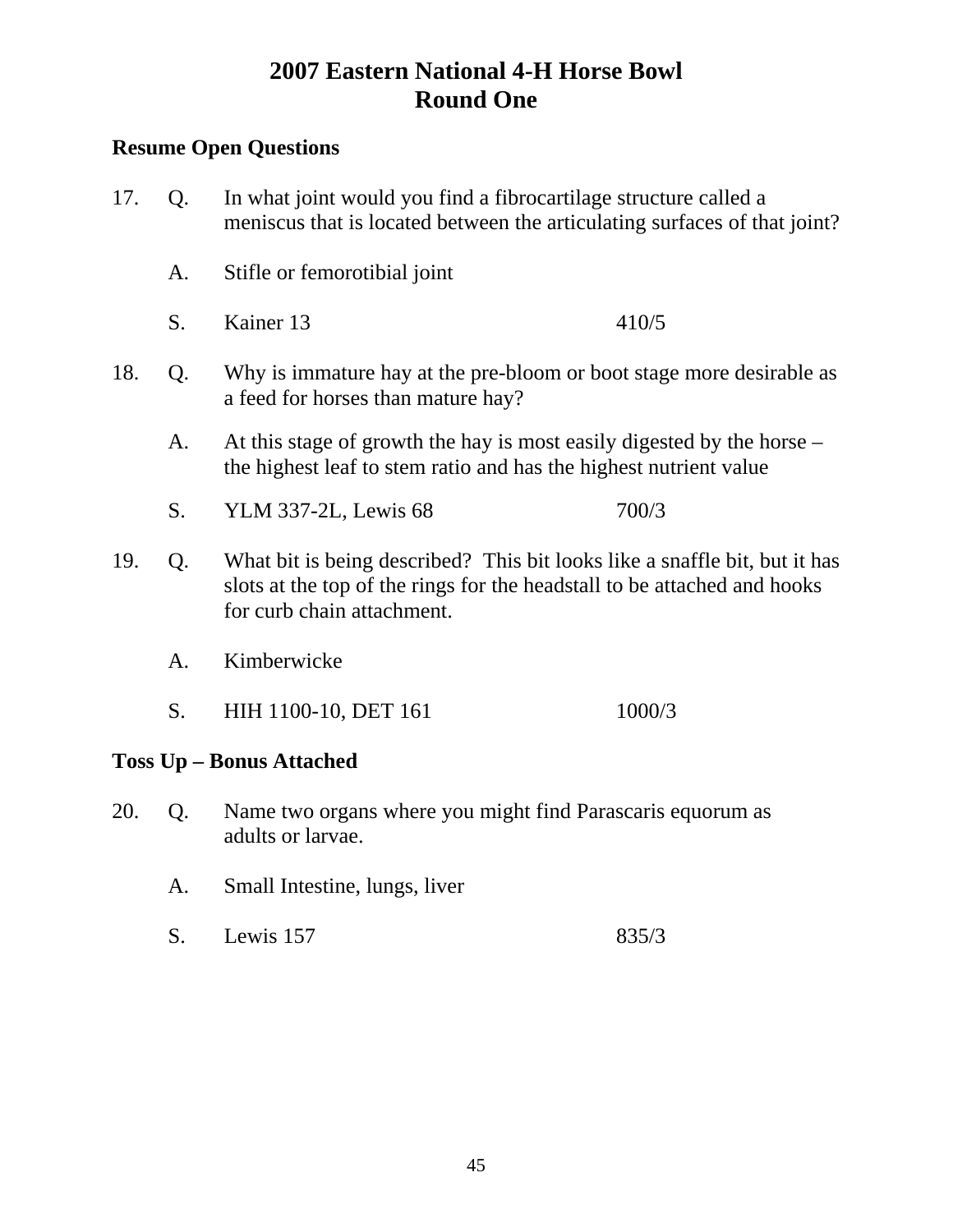- 17. Q. In what joint would you find a fibrocartilage structure called a meniscus that is located between the articulating surfaces of that joint? A. Stifle or femorotibial joint S. Kainer 13 410/5 18. Q. Why is immature hay at the pre-bloom or boot stage more desirable as a feed for horses than mature hay? A. At this stage of growth the hay is most easily digested by the horse – the highest leaf to stem ratio and has the highest nutrient value S. YLM 337-2L, Lewis 68 700/3 19. Q. What bit is being described? This bit looks like a snaffle bit, but it has slots at the top of the rings for the headstall to be attached and hooks for curb chain attachment. A. Kimberwicke S. HIH 1100-10, DET 161 1000/3 **Toss Up – Bonus Attached**  20. Q. Name two organs where you might find Parascaris equorum as adults or larvae.
	- A. Small Intestine, lungs, liver
	- S. Lewis 157 835/3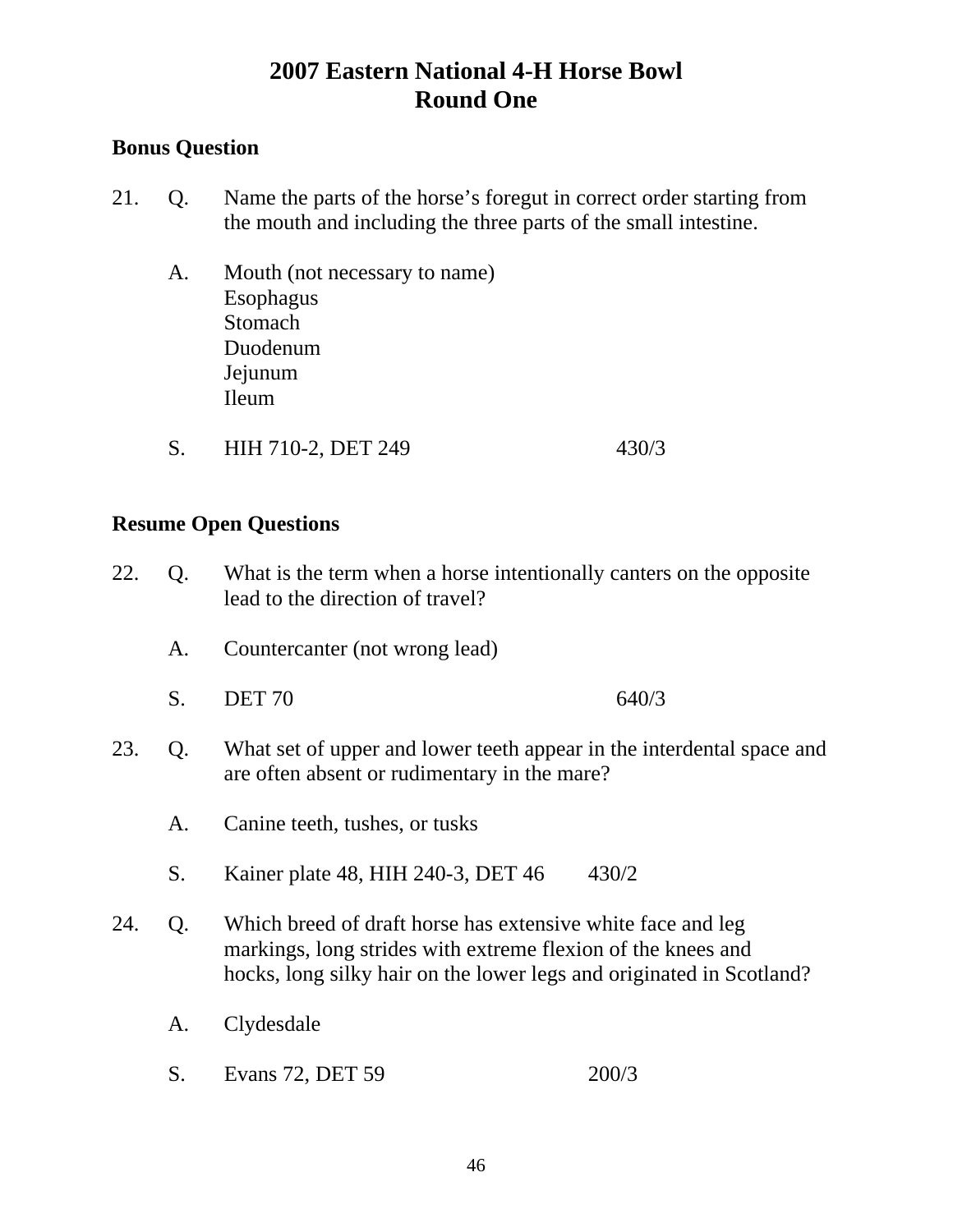### **Bonus Question**

- 21. Q. Name the parts of the horse's foregut in correct order starting from the mouth and including the three parts of the small intestine.
	- A. Mouth (not necessary to name) Esophagus Stomach Duodenum Jejunum Ileum
	- S. HIH 710-2, DET 249 430/3

- 22. Q. What is the term when a horse intentionally canters on the opposite lead to the direction of travel?
	- A. Countercanter (not wrong lead)
	- S. DET 70 640/3
- 23. Q. What set of upper and lower teeth appear in the interdental space and are often absent or rudimentary in the mare?
	- A. Canine teeth, tushes, or tusks
	- S. Kainer plate 48, HIH 240-3, DET 46 430/2
- 24. Q. Which breed of draft horse has extensive white face and leg markings, long strides with extreme flexion of the knees and hocks, long silky hair on the lower legs and originated in Scotland?
	- A. Clydesdale
	- S. Evans 72, DET 59 200/3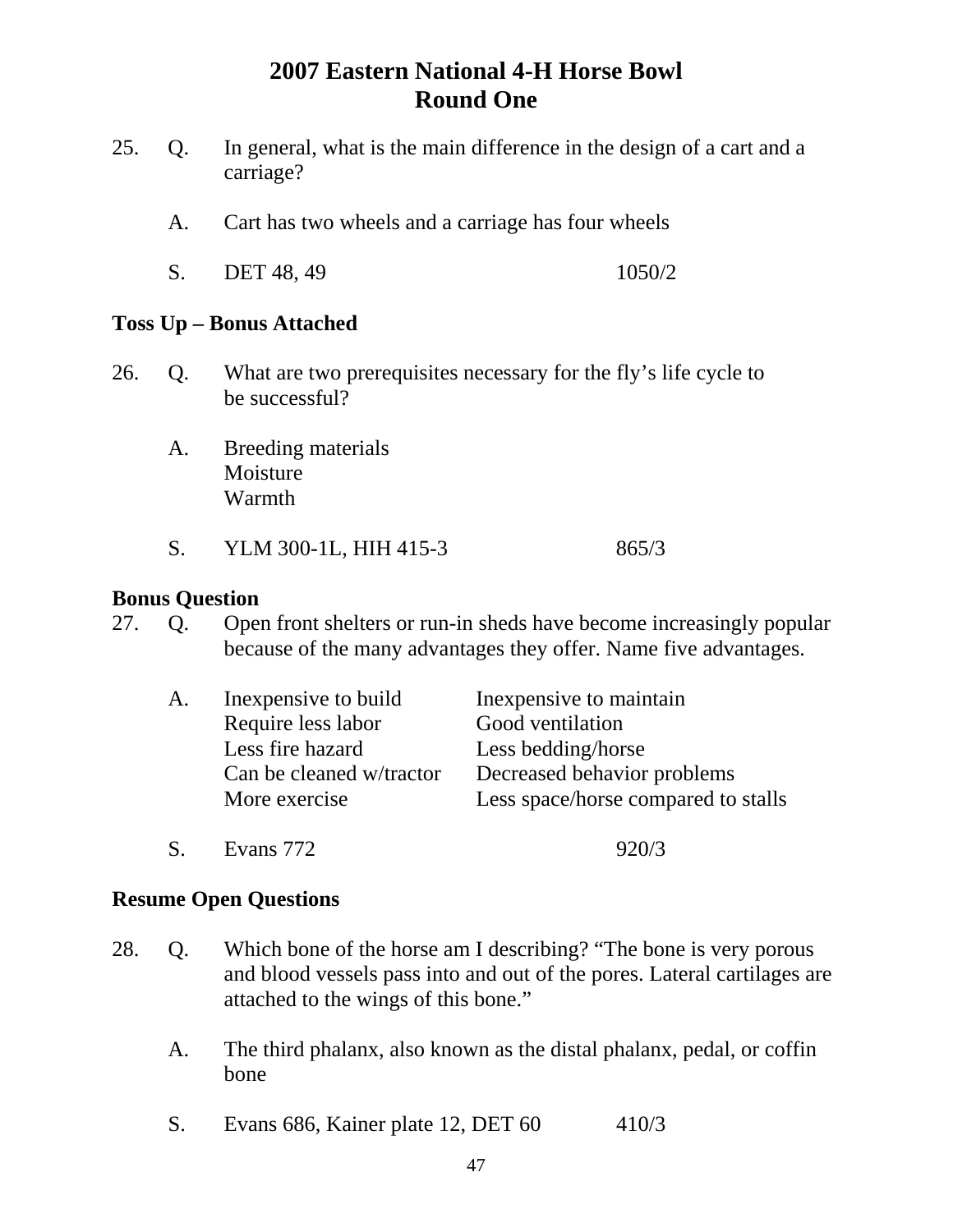- 25. Q. In general, what is the main difference in the design of a cart and a carriage?
	- A. Cart has two wheels and a carriage has four wheels
	- S. DET 48, 49 1050/2

#### **Toss Up – Bonus Attached**

- 26. Q. What are two prerequisites necessary for the fly's life cycle to be successful?
	- A. Breeding materials Moisture Warmth
	- S. YLM 300-1L, HIH 415-3 865/3

#### **Bonus Question**

27. Q. Open front shelters or run-in sheds have become increasingly popular because of the many advantages they offer. Name five advantages.

| A. | In expensive to build    | In expensive to maintain            |
|----|--------------------------|-------------------------------------|
|    | Require less labor       | Good ventilation                    |
|    | Less fire hazard         | Less bedding/horse                  |
|    | Can be cleaned w/tractor | Decreased behavior problems         |
|    | More exercise            | Less space/horse compared to stalls |
|    |                          |                                     |

S. Evans 772 920/3

- 28. Q. Which bone of the horse am I describing? "The bone is very porous and blood vessels pass into and out of the pores. Lateral cartilages are attached to the wings of this bone."
	- A. The third phalanx, also known as the distal phalanx, pedal, or coffin bone
	- S. Evans 686, Kainer plate 12, DET 60 410/3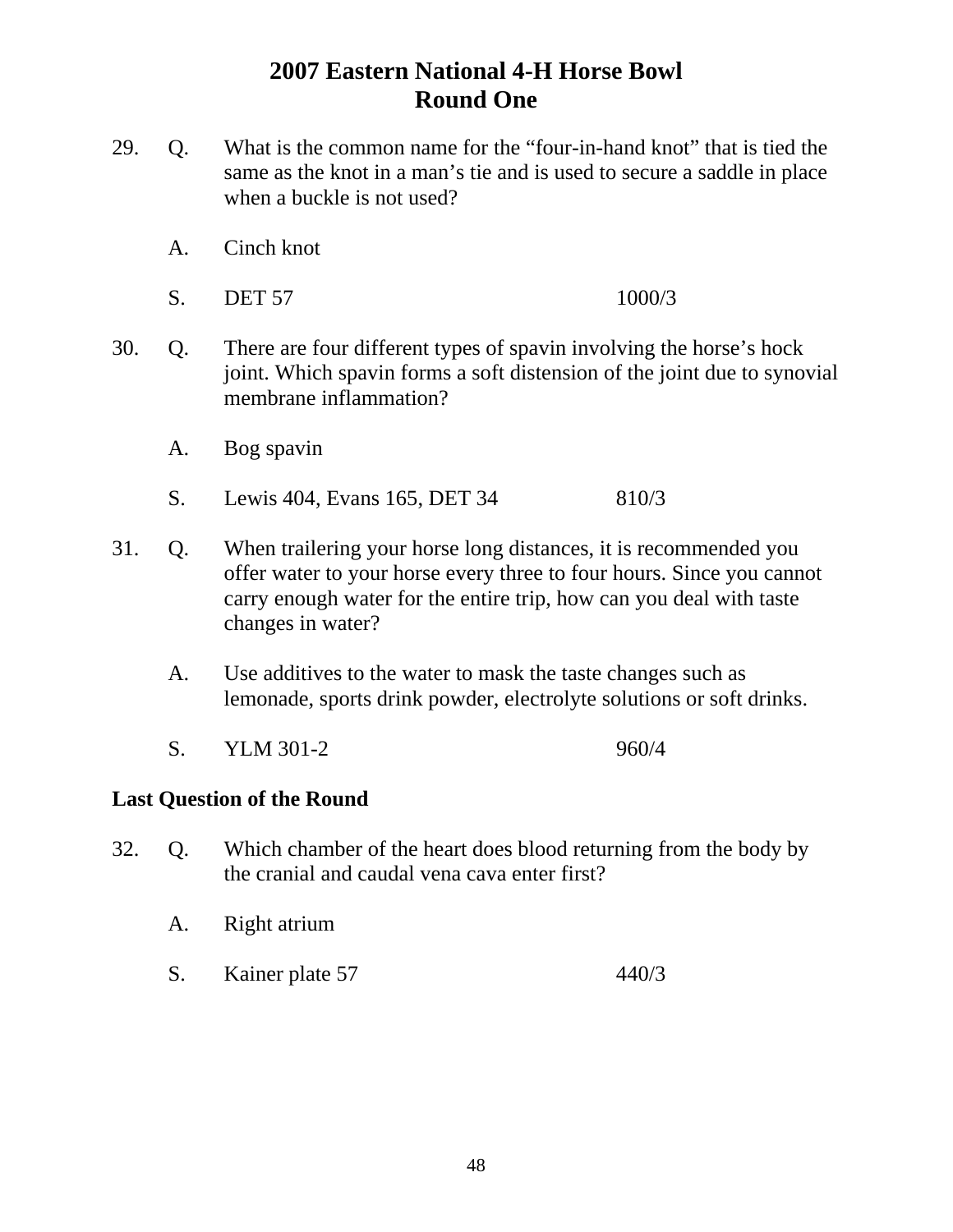- 29. Q. What is the common name for the "four-in-hand knot" that is tied the same as the knot in a man's tie and is used to secure a saddle in place when a buckle is not used?
	- A. Cinch knot
	- S. DET 57 1000/3
- 30. Q. There are four different types of spavin involving the horse's hock joint. Which spavin forms a soft distension of the joint due to synovial membrane inflammation?
	- A. Bog spavin
	- S. Lewis 404, Evans 165, DET 34 810/3
- 31. Q. When trailering your horse long distances, it is recommended you offer water to your horse every three to four hours. Since you cannot carry enough water for the entire trip, how can you deal with taste changes in water?
	- A. Use additives to the water to mask the taste changes such as lemonade, sports drink powder, electrolyte solutions or soft drinks.
	- S. YLM 301-2 960/4

#### **Last Question of the Round**

- 32. Q. Which chamber of the heart does blood returning from the body by the cranial and caudal vena cava enter first?
	- A. Right atrium
	- S. Kainer plate 57 440/3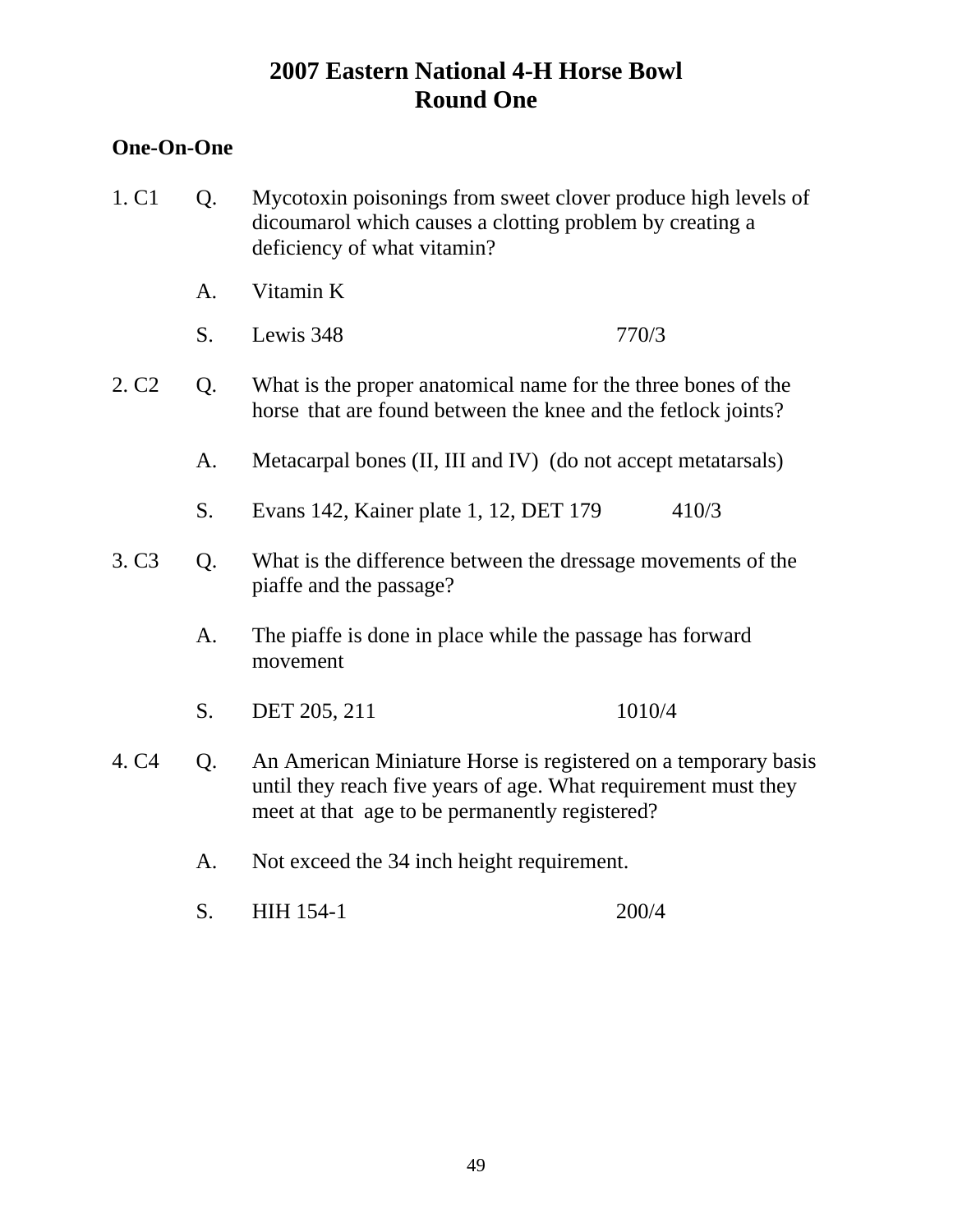#### **One-On-One**

- 1. C1 Q. Mycotoxin poisonings from sweet clover produce high levels of dicoumarol which causes a clotting problem by creating a deficiency of what vitamin?
	- A. Vitamin K
	- S. Lewis 348 770/3
- 2. C2 Q. What is the proper anatomical name for the three bones of the horse that are found between the knee and the fetlock joints?
	- A. Metacarpal bones (II, III and IV) (do not accept metatarsals)
	- S. Evans 142, Kainer plate 1, 12, DET 179 410/3
- 3. C3 Q. What is the difference between the dressage movements of the piaffe and the passage?
	- A. The piaffe is done in place while the passage has forward movement
	- S. DET 205, 211 1010/4
- 4. C4 Q. An American Miniature Horse is registered on a temporary basis until they reach five years of age. What requirement must they meet at that age to be permanently registered?
	- A. Not exceed the 34 inch height requirement.
	- S. HIH 154-1 200/4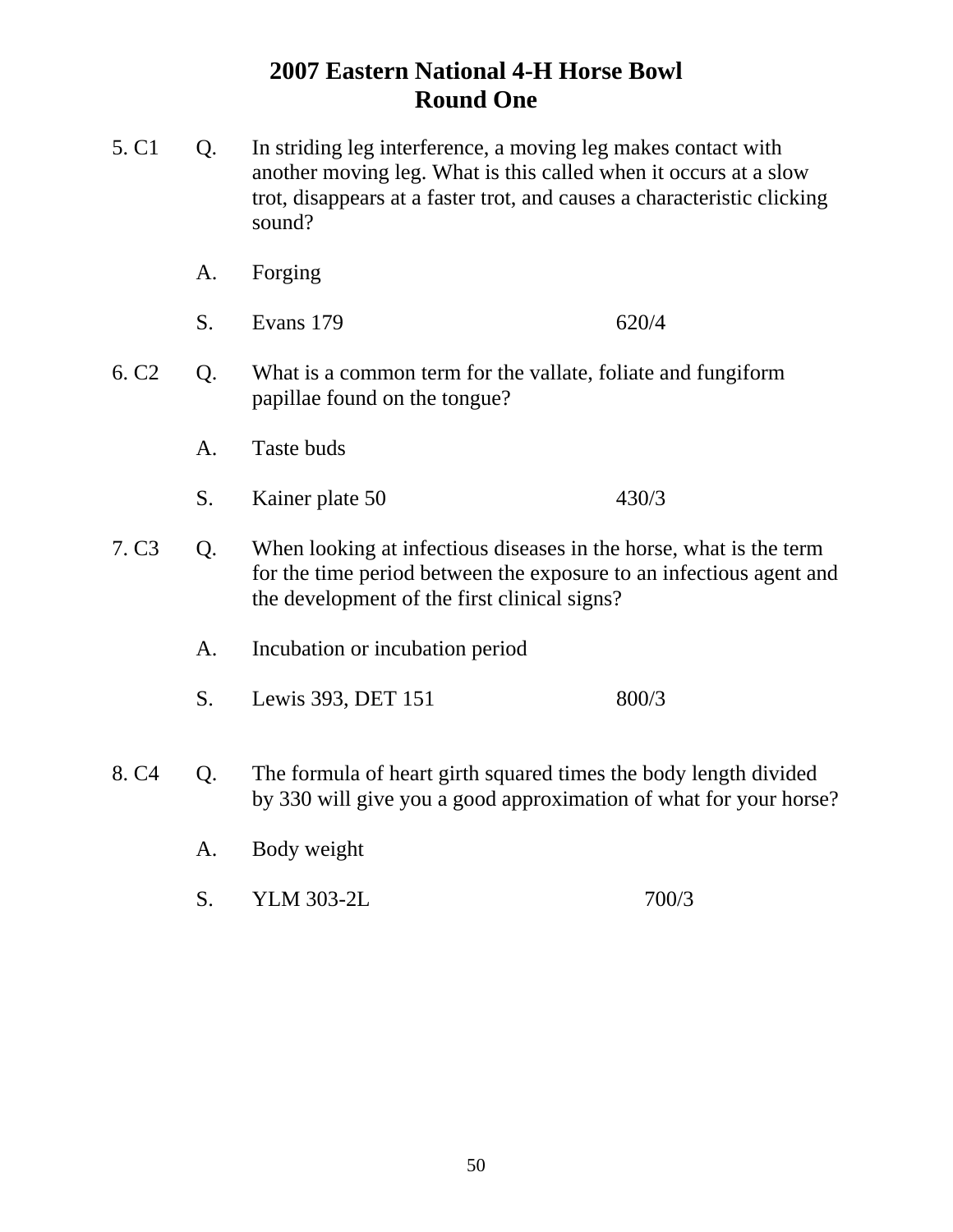- 5. C1 Q. In striding leg interference, a moving leg makes contact with another moving leg. What is this called when it occurs at a slow trot, disappears at a faster trot, and causes a characteristic clicking sound?
	- A. Forging
	- S. Evans 179 620/4
- 6. C2 Q. What is a common term for the vallate, foliate and fungiform papillae found on the tongue?
	- A. Taste buds
	- S. Kainer plate 50 430/3
- 7. C3 Q. When looking at infectious diseases in the horse, what is the term for the time period between the exposure to an infectious agent and the development of the first clinical signs?
	- A. Incubation or incubation period
	- S. Lewis 393, DET 151 800/3
- 8. C4 Q. The formula of heart girth squared times the body length divided by 330 will give you a good approximation of what for your horse?
	- A. Body weight
	- S. YLM 303-2L 700/3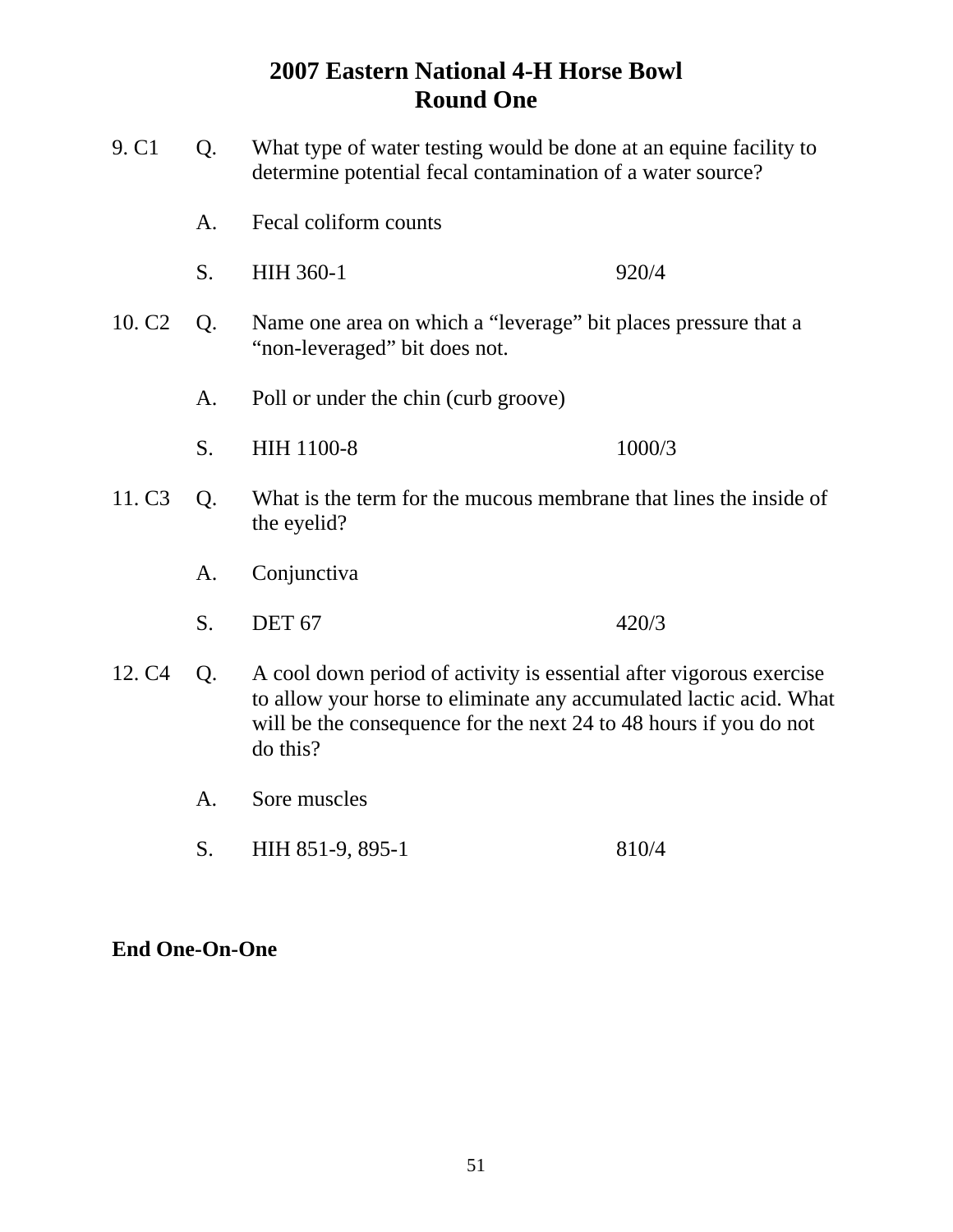| 9. C1              | Q. | What type of water testing would be done at an equine facility to<br>determine potential fecal contamination of a water source?                                                                                            |        |  |
|--------------------|----|----------------------------------------------------------------------------------------------------------------------------------------------------------------------------------------------------------------------------|--------|--|
|                    | A. | Fecal coliform counts                                                                                                                                                                                                      |        |  |
|                    | S. | <b>HIH 360-1</b>                                                                                                                                                                                                           | 920/4  |  |
| 10. C <sub>2</sub> | Q. | Name one area on which a "leverage" bit places pressure that a<br>"non-leveraged" bit does not.                                                                                                                            |        |  |
|                    | A. | Poll or under the chin (curb groove)                                                                                                                                                                                       |        |  |
|                    | S. | HIH 1100-8                                                                                                                                                                                                                 | 1000/3 |  |
| 11. C <sub>3</sub> | Q. | What is the term for the mucous membrane that lines the inside of<br>the eyelid?                                                                                                                                           |        |  |
|                    | A. | Conjunctiva                                                                                                                                                                                                                |        |  |
|                    | S. | <b>DET 67</b>                                                                                                                                                                                                              | 420/3  |  |
| 12. C <sub>4</sub> | Q. | A cool down period of activity is essential after vigorous exercise<br>to allow your horse to eliminate any accumulated lactic acid. What<br>will be the consequence for the next 24 to 48 hours if you do not<br>do this? |        |  |
|                    | A. | Sore muscles                                                                                                                                                                                                               |        |  |

S. HIH 851-9, 895-1 810/4

### **End One-On-One**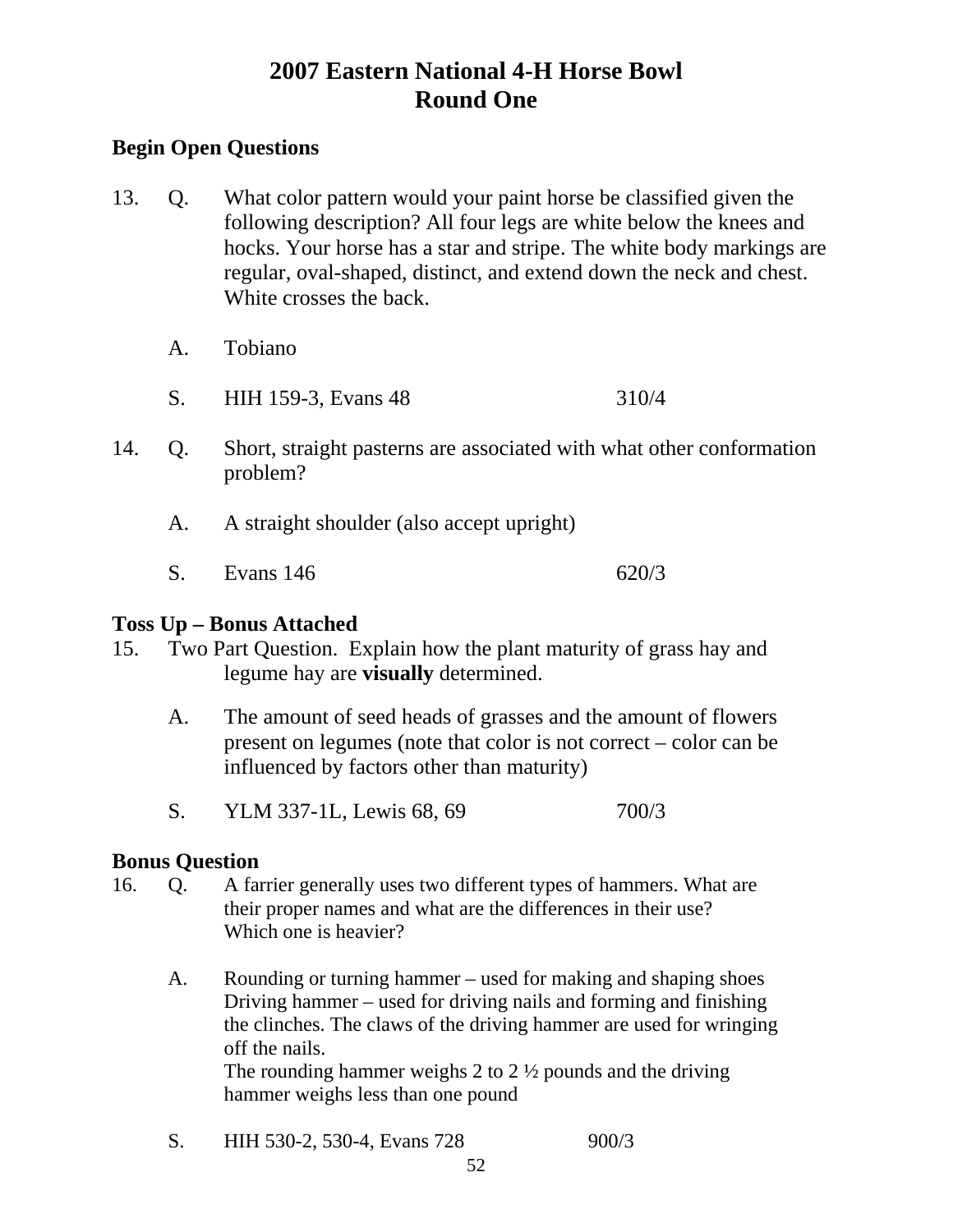### **Begin Open Questions**

- 13. Q. What color pattern would your paint horse be classified given the following description? All four legs are white below the knees and hocks. Your horse has a star and stripe. The white body markings are regular, oval-shaped, distinct, and extend down the neck and chest. White crosses the back.
	- A. Tobiano
	- S. HIH 159-3, Evans 48 310/4
- 14. Q. Short, straight pasterns are associated with what other conformation problem?
	- A. A straight shoulder (also accept upright)
	- S. Evans 146 620/3

#### **Toss Up – Bonus Attached**

- 15. Two Part Question. Explain how the plant maturity of grass hay and legume hay are **visually** determined.
	- A. The amount of seed heads of grasses and the amount of flowers present on legumes (note that color is not correct – color can be influenced by factors other than maturity)
	- S. YLM 337-1L, Lewis 68, 69 700/3

#### **Bonus Question**

- 16. Q. A farrier generally uses two different types of hammers. What are their proper names and what are the differences in their use? Which one is heavier?
	- A. Rounding or turning hammer used for making and shaping shoes Driving hammer – used for driving nails and forming and finishing the clinches. The claws of the driving hammer are used for wringing off the nails. The rounding hammer weighs 2 to  $2 \frac{1}{2}$  pounds and the driving hammer weighs less than one pound
	- S. HIH 530-2, 530-4, Evans 728 900/3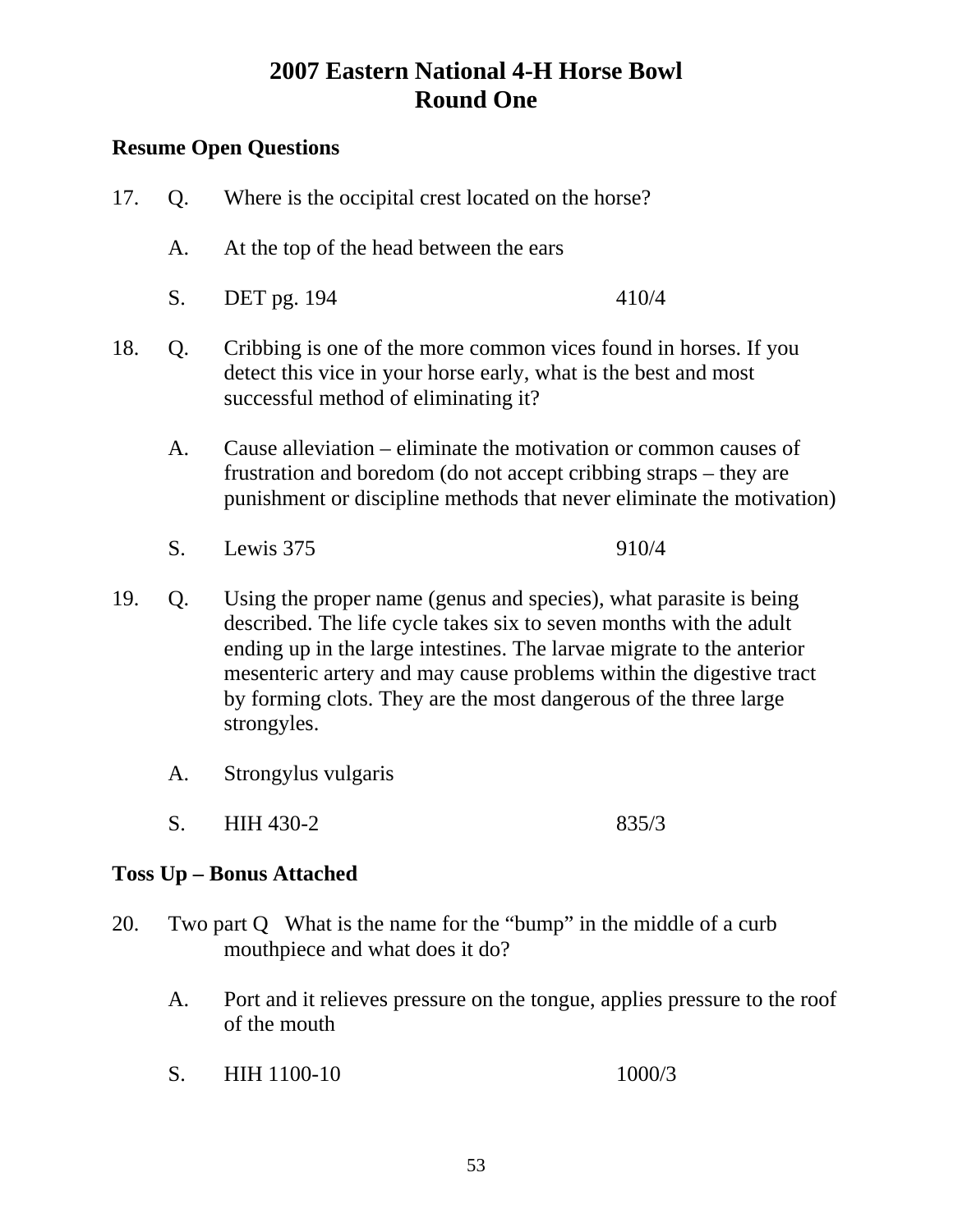### **Resume Open Questions**

| 17.                                                                                                                                                                                      | Q. | Where is the occipital crest located on the horse?                                                                                                                                                                                                                                                                                                                         |       |
|------------------------------------------------------------------------------------------------------------------------------------------------------------------------------------------|----|----------------------------------------------------------------------------------------------------------------------------------------------------------------------------------------------------------------------------------------------------------------------------------------------------------------------------------------------------------------------------|-------|
|                                                                                                                                                                                          | A. | At the top of the head between the ears                                                                                                                                                                                                                                                                                                                                    |       |
|                                                                                                                                                                                          | S. | DET pg. 194                                                                                                                                                                                                                                                                                                                                                                | 410/4 |
| Cribbing is one of the more common vices found in horses. If you<br>18.<br>Q.<br>detect this vice in your horse early, what is the best and most<br>successful method of eliminating it? |    |                                                                                                                                                                                                                                                                                                                                                                            |       |
|                                                                                                                                                                                          | A. | Cause alleviation – eliminate the motivation or common causes of<br>frustration and boredom (do not accept cribbing straps – they are<br>punishment or discipline methods that never eliminate the motivation)                                                                                                                                                             |       |
|                                                                                                                                                                                          | S. | Lewis 375                                                                                                                                                                                                                                                                                                                                                                  | 910/4 |
| 19.                                                                                                                                                                                      | Q. | Using the proper name (genus and species), what parasite is being<br>described. The life cycle takes six to seven months with the adult<br>ending up in the large intestines. The larvae migrate to the anterior<br>mesenteric artery and may cause problems within the digestive tract<br>by forming clots. They are the most dangerous of the three large<br>strongyles. |       |
|                                                                                                                                                                                          | A. | Strongylus vulgaris                                                                                                                                                                                                                                                                                                                                                        |       |

S. HIH 430-2 835/3

### **Toss Up – Bonus Attached**

- 20. Two part Q What is the name for the "bump" in the middle of a curb mouthpiece and what does it do?
	- A. Port and it relieves pressure on the tongue, applies pressure to the roof of the mouth
	- S. HIH 1100-10 1000/3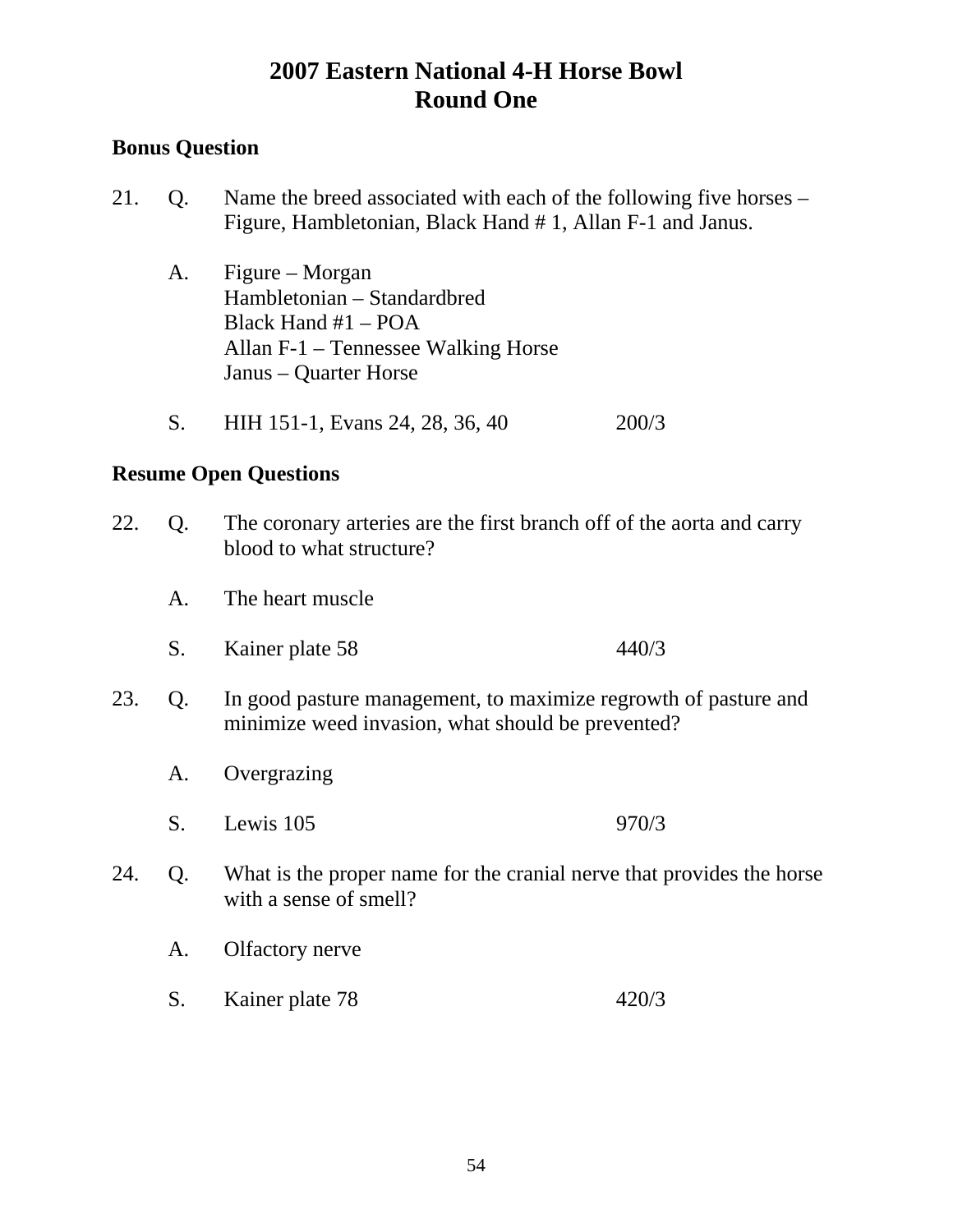### **Bonus Question**

- 21. Q. Name the breed associated with each of the following five horses Figure, Hambletonian, Black Hand # 1, Allan F-1 and Janus.
	- A. Figure Morgan Hambletonian – Standardbred Black Hand #1 – POA Allan F-1 – Tennessee Walking Horse Janus – Quarter Horse
	- S. HIH 151-1, Evans 24, 28, 36, 40 200/3

|  | 22. Q. The coronary arteries are the first branch off of the aorta and carry |
|--|------------------------------------------------------------------------------|
|  | blood to what structure?                                                     |

- A. The heart muscle
- S. Kainer plate 58 440/3
- 23. Q. In good pasture management, to maximize regrowth of pasture and minimize weed invasion, what should be prevented?
	- A. Overgrazing
	- S. Lewis 105 970/3
- 24. Q. What is the proper name for the cranial nerve that provides the horse with a sense of smell?
	- A. Olfactory nerve
	- S. Kainer plate 78 420/3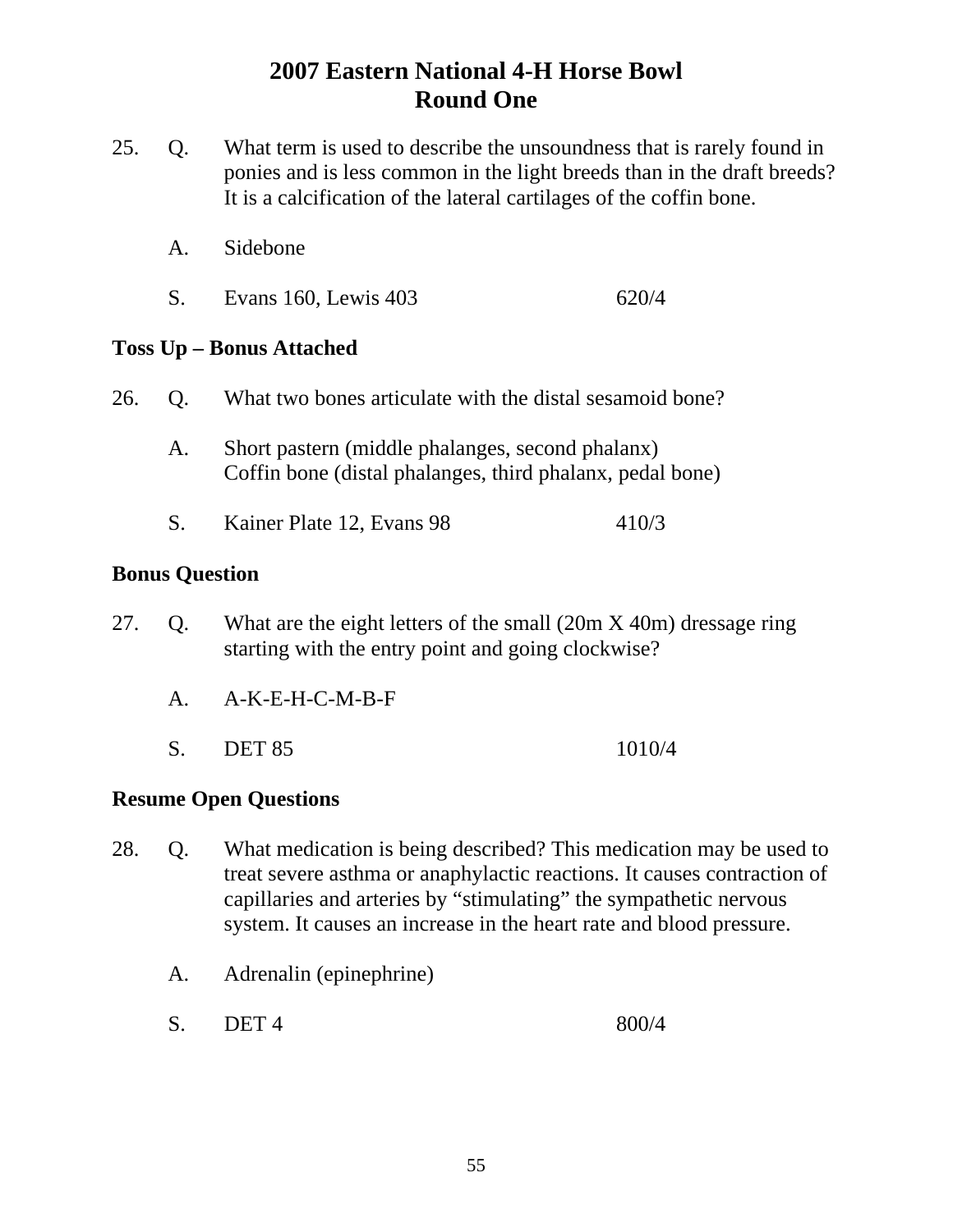- 25. Q. What term is used to describe the unsoundness that is rarely found in ponies and is less common in the light breeds than in the draft breeds? It is a calcification of the lateral cartilages of the coffin bone.
	- A. Sidebone
	- S. Evans 160, Lewis 403 620/4

#### **Toss Up – Bonus Attached**

- 26. Q. What two bones articulate with the distal sesamoid bone?
	- A. Short pastern (middle phalanges, second phalanx) Coffin bone (distal phalanges, third phalanx, pedal bone)
	- S. Kainer Plate 12, Evans 98 410/3

#### **Bonus Question**

- 27. Q. What are the eight letters of the small (20m X 40m) dressage ring starting with the entry point and going clockwise?
	- A. A-K-E-H-C-M-B-F
	- S. DET 85 1010/4

- 28. Q. What medication is being described? This medication may be used to treat severe asthma or anaphylactic reactions. It causes contraction of capillaries and arteries by "stimulating" the sympathetic nervous system. It causes an increase in the heart rate and blood pressure.
	- A. Adrenalin (epinephrine)
- S. DET 4 800/4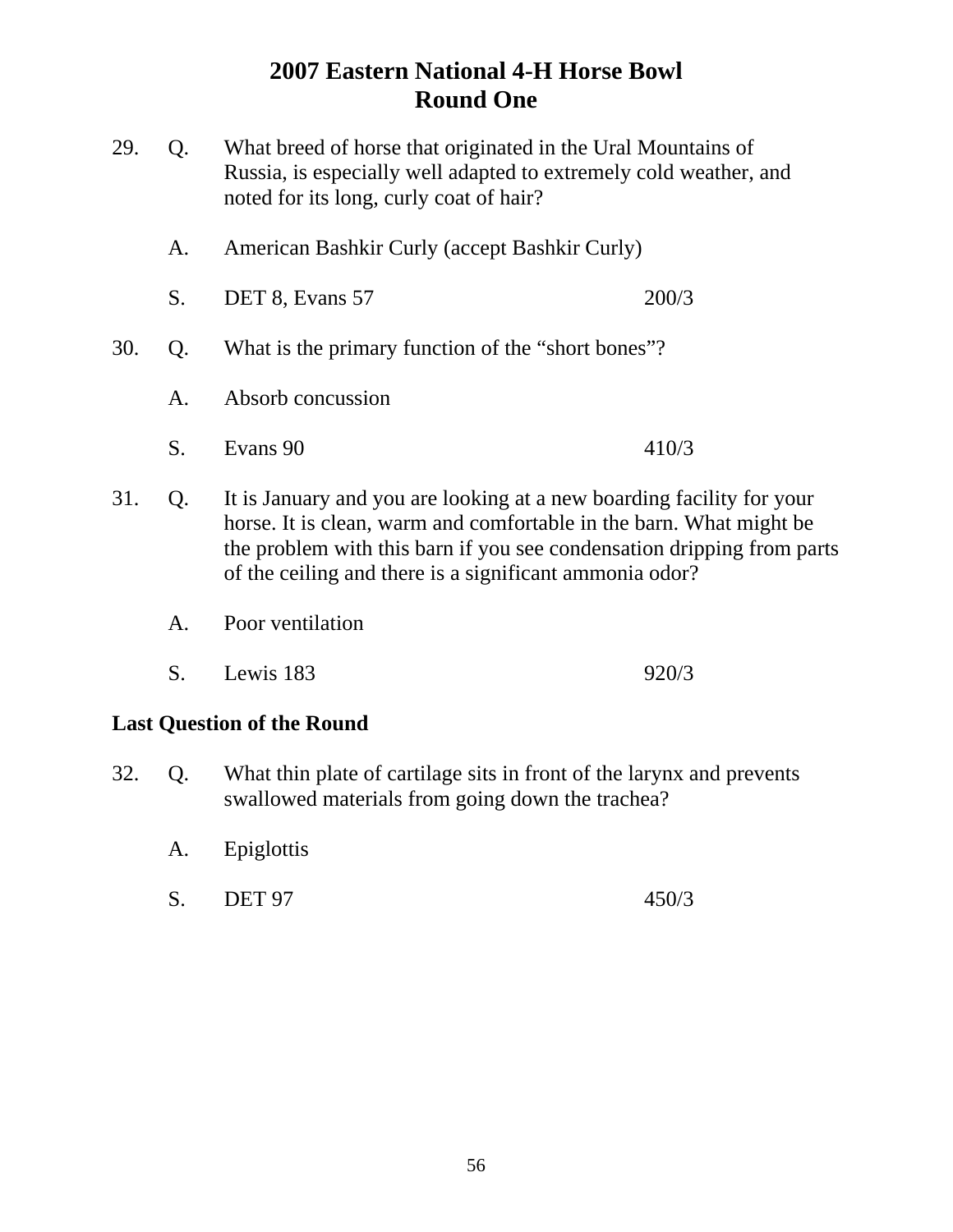| 29. | Q. | What breed of horse that originated in the Ural Mountains of<br>Russia, is especially well adapted to extremely cold weather, and<br>noted for its long, curly coat of hair?                                                                                                      |       |
|-----|----|-----------------------------------------------------------------------------------------------------------------------------------------------------------------------------------------------------------------------------------------------------------------------------------|-------|
|     | A. | American Bashkir Curly (accept Bashkir Curly)                                                                                                                                                                                                                                     |       |
|     | S. | DET 8, Evans 57                                                                                                                                                                                                                                                                   | 200/3 |
| 30. | Q. | What is the primary function of the "short bones"?                                                                                                                                                                                                                                |       |
|     | A. | Absorb concussion                                                                                                                                                                                                                                                                 |       |
|     | S. | Evans 90                                                                                                                                                                                                                                                                          | 410/3 |
| 31. | Q. | It is January and you are looking at a new boarding facility for your<br>horse. It is clean, warm and comfortable in the barn. What might be<br>the problem with this barn if you see condensation dripping from parts<br>of the ceiling and there is a significant ammonia odor? |       |

- A. Poor ventilation
- S. Lewis 183 920/3

### **Last Question of the Round**

- 32. Q. What thin plate of cartilage sits in front of the larynx and prevents swallowed materials from going down the trachea?
	- A. Epiglottis
	- S. DET 97 450/3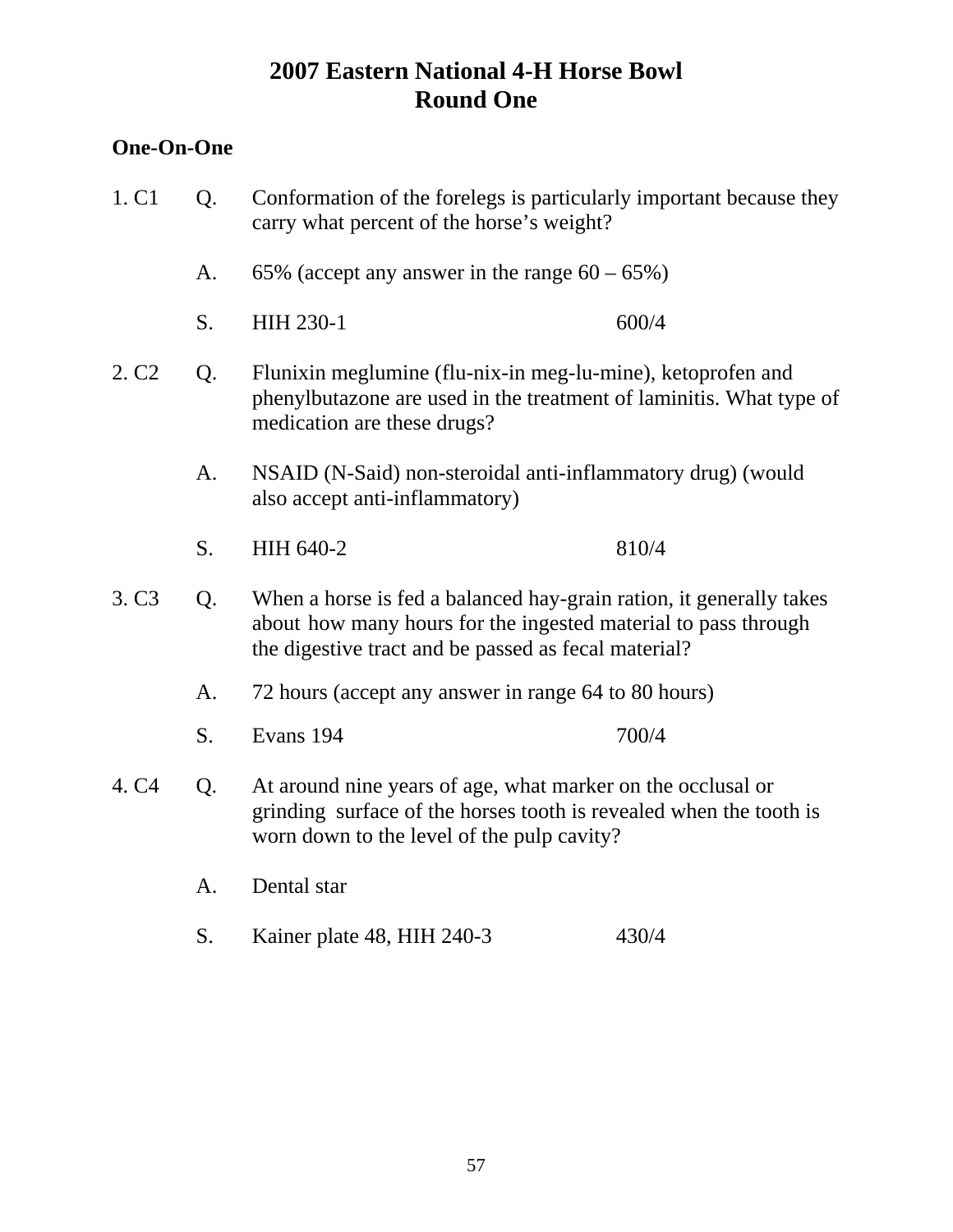#### **One-On-One**

- 1. C1 Q. Conformation of the forelegs is particularly important because they carry what percent of the horse's weight? A.  $65\%$  (accept any answer in the range  $60 - 65\%$ ) S. HIH 230-1 600/4 2. C2 Q. Flunixin meglumine (flu-nix-in meg-lu-mine), ketoprofen and phenylbutazone are used in the treatment of laminitis. What type of medication are these drugs? A. NSAID (N-Said) non-steroidal anti-inflammatory drug) (would also accept anti-inflammatory) S. HIH 640-2 810/4 3. C3 Q. When a horse is fed a balanced hay-grain ration, it generally takes about how many hours for the ingested material to pass through the digestive tract and be passed as fecal material? A. 72 hours (accept any answer in range 64 to 80 hours) S. Evans 194 700/4 4. C4 Q. At around nine years of age, what marker on the occlusal or grinding surface of the horses tooth is revealed when the tooth is worn down to the level of the pulp cavity? A. Dental star
	- S. Kainer plate 48, HIH 240-3 430/4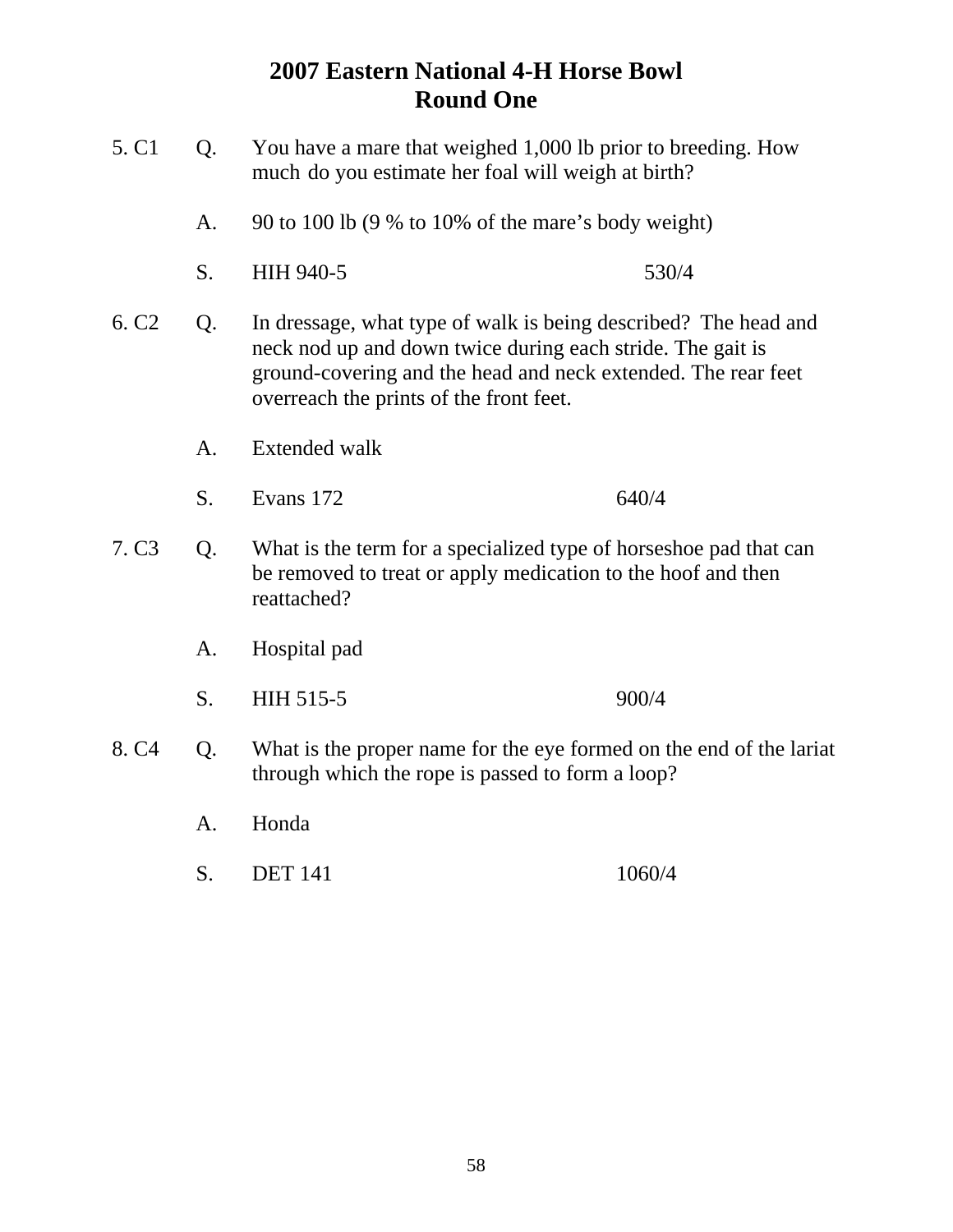- 5. C1 Q. You have a mare that weighed 1,000 lb prior to breeding. How much do you estimate her foal will weigh at birth? A. 90 to 100 lb (9 % to 10% of the mare's body weight) S. HIH 940-5 530/4 6. C2 Q. In dressage, what type of walk is being described? The head and neck nod up and down twice during each stride. The gait is ground-covering and the head and neck extended. The rear feet overreach the prints of the front feet. A. Extended walk S. Evans 172 640/4 7. C3 Q. What is the term for a specialized type of horseshoe pad that can be removed to treat or apply medication to the hoof and then reattached? A. Hospital pad S. HIH 515-5 900/4 8. C4 Q. What is the proper name for the eye formed on the end of the lariat through which the rope is passed to form a loop? A. Honda
	- S. DET 141 1060/4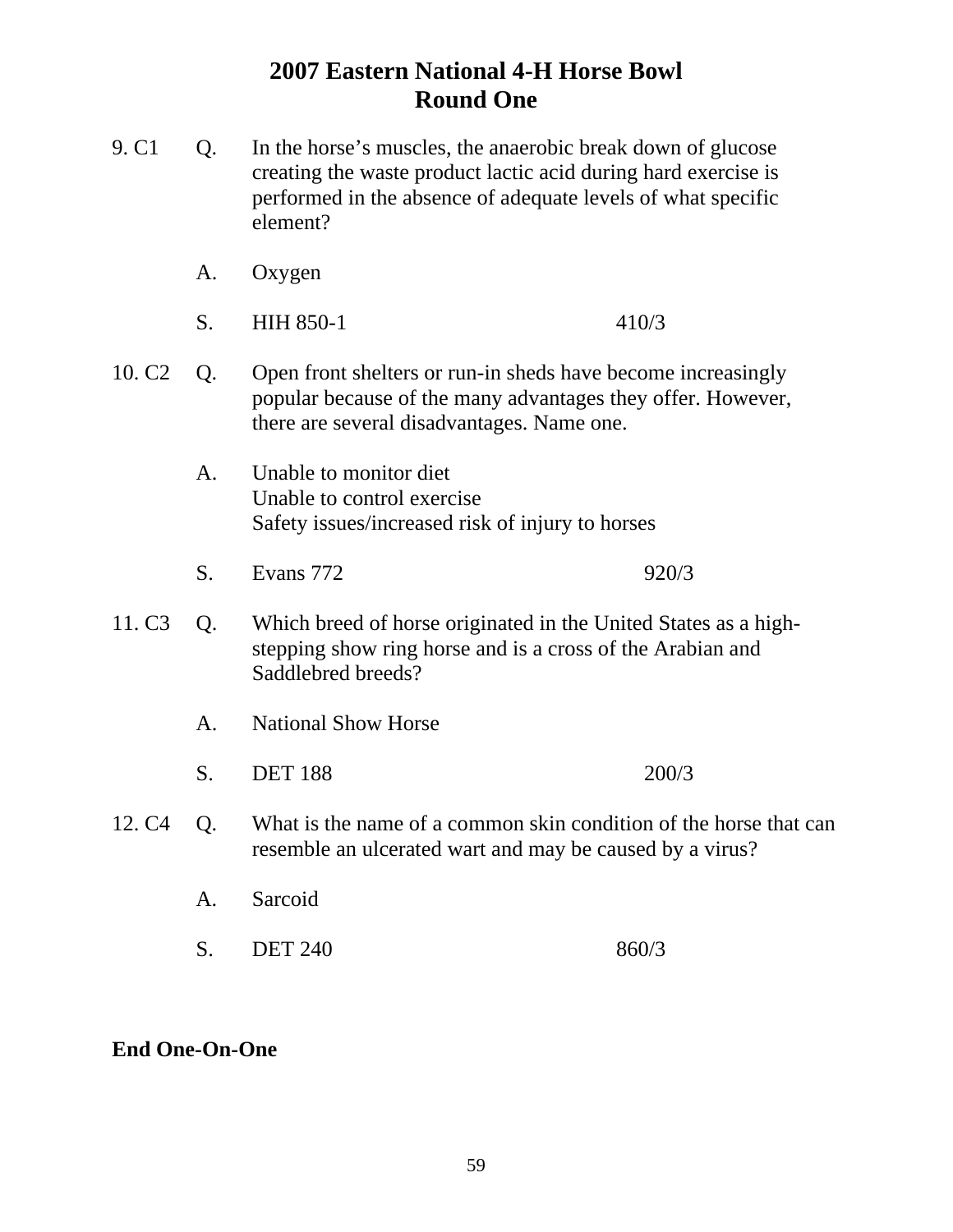- 9. C1 Q. In the horse's muscles, the anaerobic break down of glucose creating the waste product lactic acid during hard exercise is performed in the absence of adequate levels of what specific element?
	- A. Oxygen
	- S. HIH 850-1 410/3
- 10. C2 Q. Open front shelters or run-in sheds have become increasingly popular because of the many advantages they offer. However, there are several disadvantages. Name one.
	- A. Unable to monitor diet Unable to control exercise Safety issues/increased risk of injury to horses
	- S. Evans 772 920/3
- 11. C3 Q. Which breed of horse originated in the United States as a high stepping show ring horse and is a cross of the Arabian and Saddlebred breeds?
	- A. National Show Horse
	- S. DET 188 200/3
- 12. C4 Q. What is the name of a common skin condition of the horse that can resemble an ulcerated wart and may be caused by a virus?
	- A. Sarcoid
	- S. DET 240 860/3

#### **End One-On-One**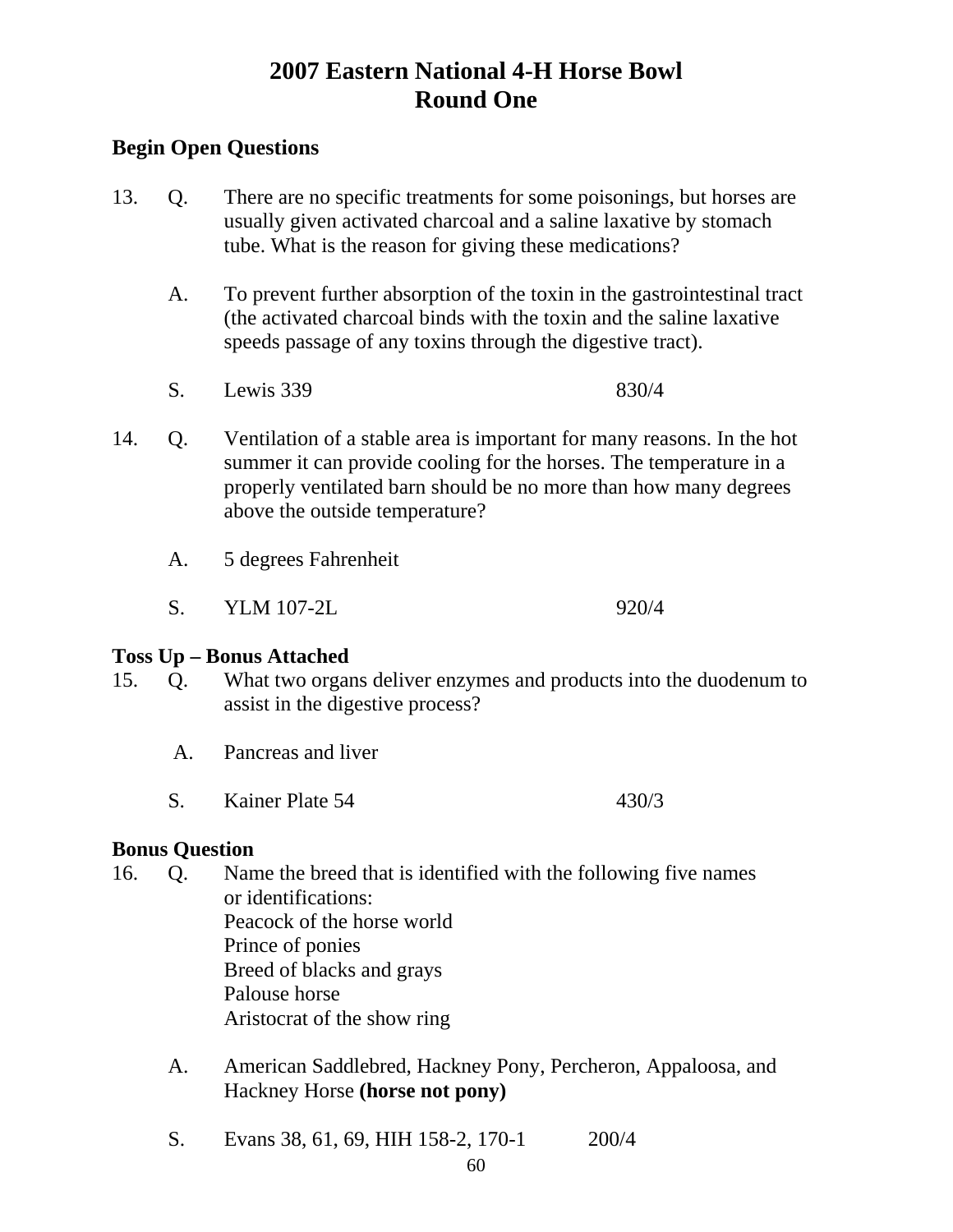### **Begin Open Questions**

- 13. Q. There are no specific treatments for some poisonings, but horses are usually given activated charcoal and a saline laxative by stomach tube. What is the reason for giving these medications?
	- A. To prevent further absorption of the toxin in the gastrointestinal tract (the activated charcoal binds with the toxin and the saline laxative speeds passage of any toxins through the digestive tract).
	- S. Lewis 339 830/4
- 14. Q. Ventilation of a stable area is important for many reasons. In the hot summer it can provide cooling for the horses. The temperature in a properly ventilated barn should be no more than how many degrees above the outside temperature?
	- A. 5 degrees Fahrenheit
	- S. YLM 107-2L 920/4

#### **Toss Up – Bonus Attached**

- 15. Q. What two organs deliver enzymes and products into the duodenum to assist in the digestive process?
	- A. Pancreas and liver
	- S. Kainer Plate 54 430/3

#### **Bonus Question**

- 16. Q. Name the breed that is identified with the following five names or identifications: Peacock of the horse world Prince of ponies Breed of blacks and grays Palouse horse Aristocrat of the show ring
	- A. American Saddlebred, Hackney Pony, Percheron, Appaloosa, and Hackney Horse **(horse not pony)**
	- S. Evans 38, 61, 69, HIH 158-2, 170-1 200/4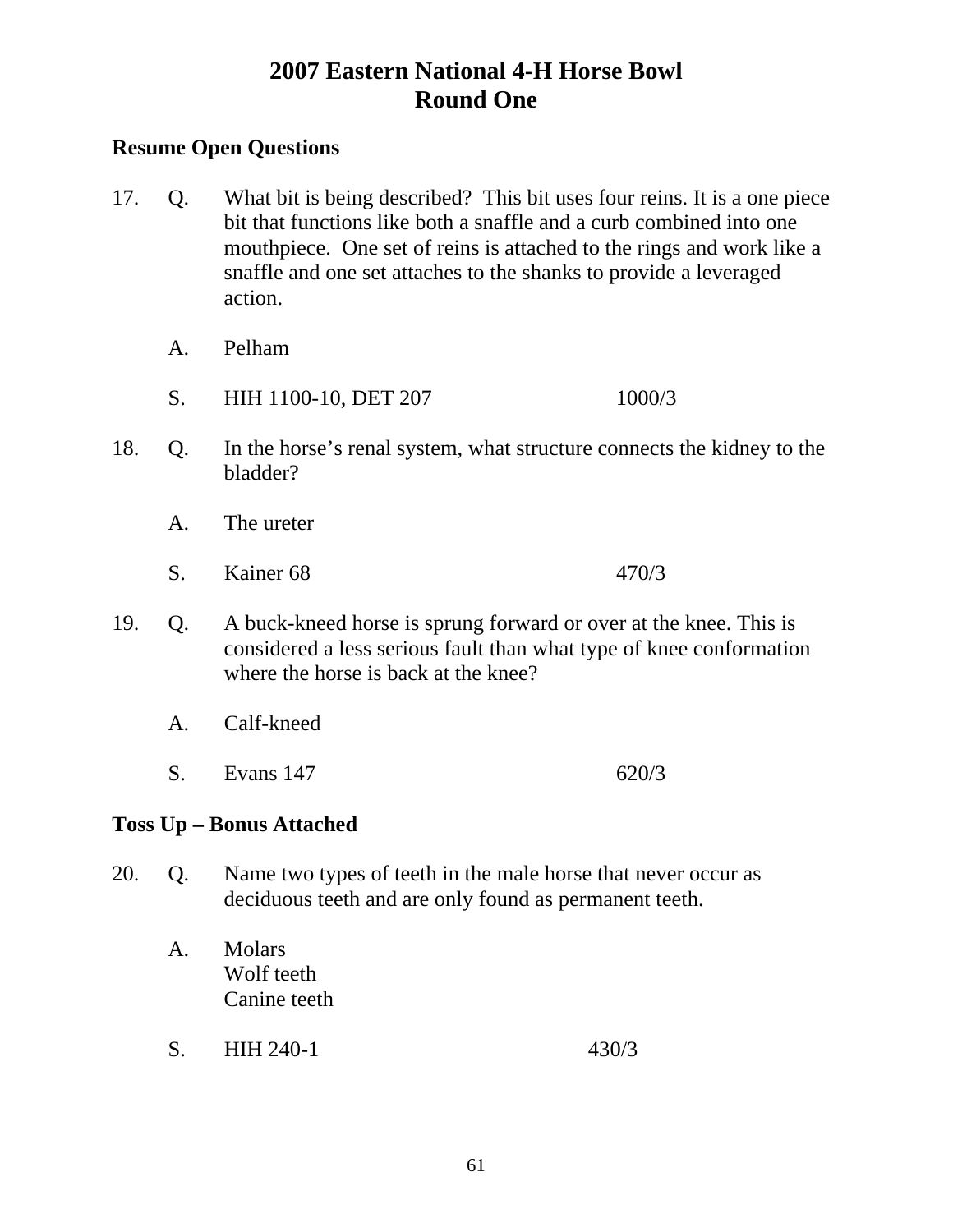#### **Resume Open Questions**

- 17. Q. What bit is being described? This bit uses four reins. It is a one piece bit that functions like both a snaffle and a curb combined into one mouthpiece. One set of reins is attached to the rings and work like a snaffle and one set attaches to the shanks to provide a leveraged action.
	- A. Pelham
	- S. HIH 1100-10, DET 207 1000/3
- 18. Q. In the horse's renal system, what structure connects the kidney to the bladder?
	- A. The ureter
	- S. Kainer 68 470/3
- 19. Q. A buck-kneed horse is sprung forward or over at the knee. This is considered a less serious fault than what type of knee conformation where the horse is back at the knee?
	- A. Calf-kneed
	- S. Evans 147 620/3

### **Toss Up – Bonus Attached**

- 20. Q. Name two types of teeth in the male horse that never occur as deciduous teeth and are only found as permanent teeth.
	- A. Molars Wolf teeth Canine teeth
	- S. HIH 240-1 430/3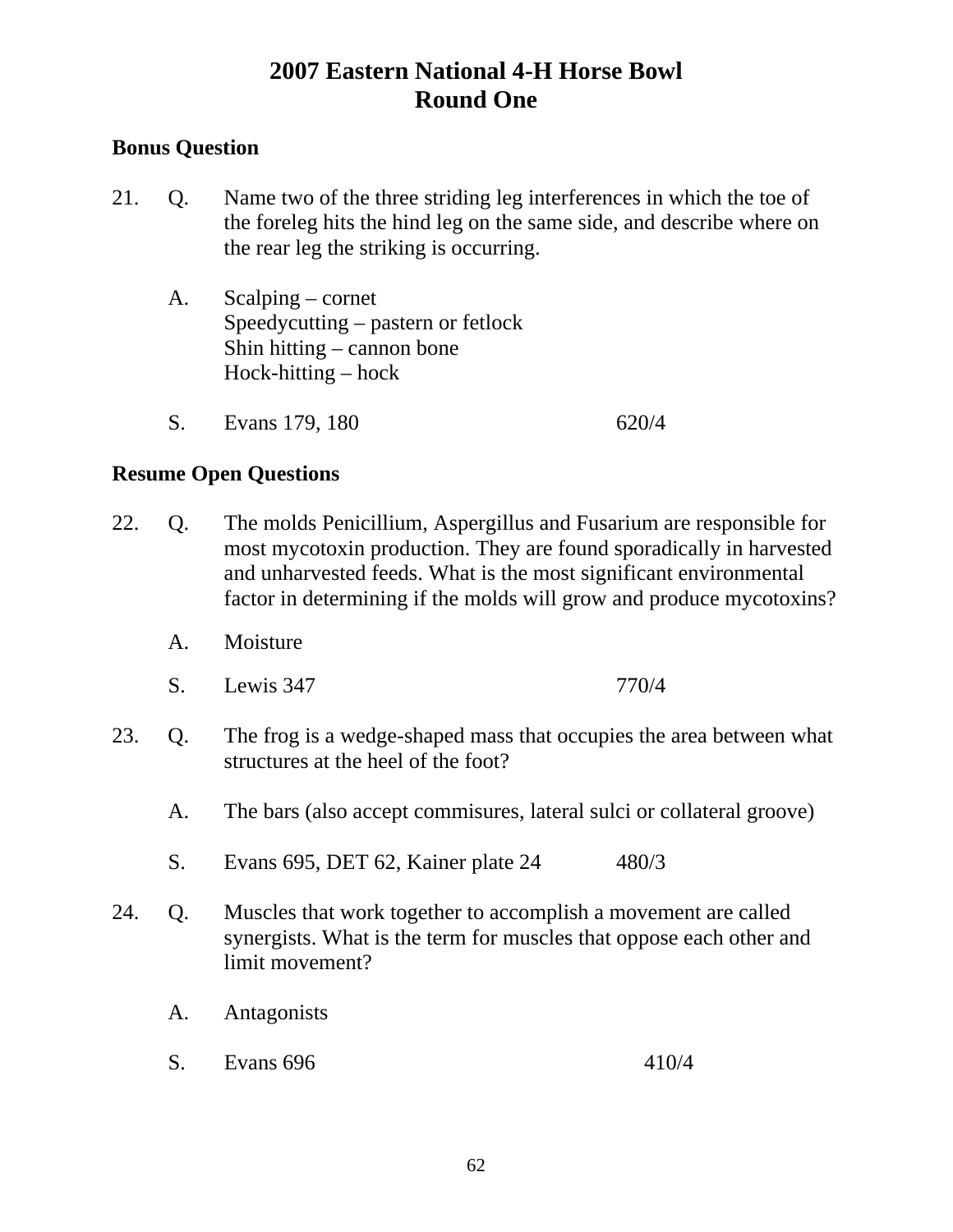#### **Bonus Question**

- 21. Q. Name two of the three striding leg interferences in which the toe of the foreleg hits the hind leg on the same side, and describe where on the rear leg the striking is occurring.
	- A. Scalping cornet Speedycutting – pastern or fetlock Shin hitting – cannon bone Hock-hitting – hock
	- S. Evans 179, 180 620/4

- 22. Q. The molds Penicillium, Aspergillus and Fusarium are responsible for most mycotoxin production. They are found sporadically in harvested and unharvested feeds. What is the most significant environmental factor in determining if the molds will grow and produce mycotoxins?
	- A. Moisture
	- S. Lewis 347 770/4
- 23. Q. The frog is a wedge-shaped mass that occupies the area between what structures at the heel of the foot?
	- A. The bars (also accept commisures, lateral sulci or collateral groove)
	- S. Evans 695, DET 62, Kainer plate 24 480/3
- 24. Q. Muscles that work together to accomplish a movement are called synergists. What is the term for muscles that oppose each other and limit movement?
	- A. Antagonists
	- S. Evans 696 410/4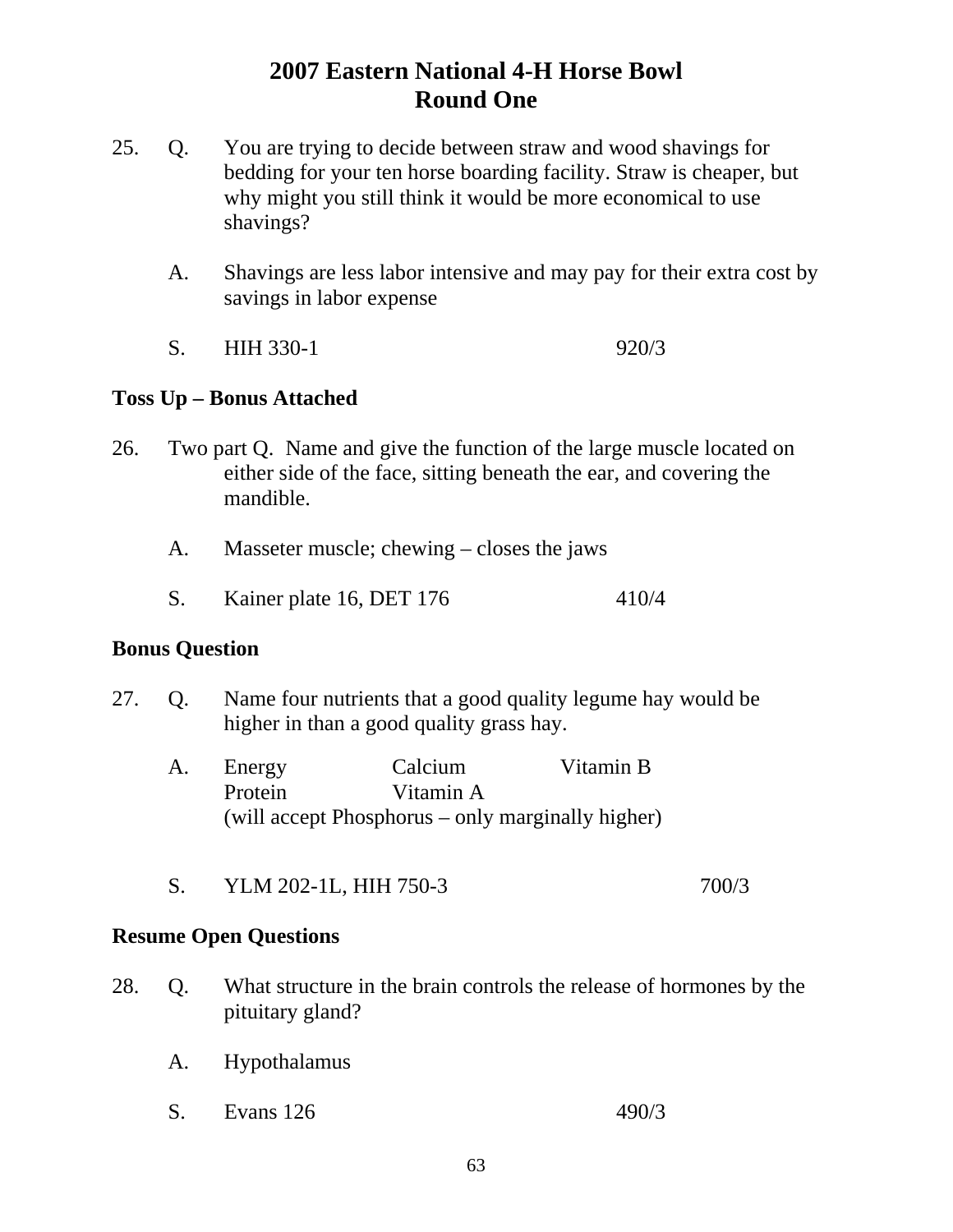- 25. Q. You are trying to decide between straw and wood shavings for bedding for your ten horse boarding facility. Straw is cheaper, but why might you still think it would be more economical to use shavings?
	- A. Shavings are less labor intensive and may pay for their extra cost by savings in labor expense
	- S. HIH 330-1 920/3

### **Toss Up – Bonus Attached**

- 26. Two part Q. Name and give the function of the large muscle located on either side of the face, sitting beneath the ear, and covering the mandible.
	- A. Masseter muscle; chewing closes the jaws
	- S. Kainer plate 16, DET 176 410/4

#### **Bonus Question**

- 27. Q. Name four nutrients that a good quality legume hay would be higher in than a good quality grass hay.
	- A. Energy Calcium Vitamin B Protein Vitamin A (will accept Phosphorus – only marginally higher)
	- S. YLM 202-1L, HIH 750-3 700/3

- 28. Q. What structure in the brain controls the release of hormones by the pituitary gland?
	- A. Hypothalamus
	- S. Evans 126 490/3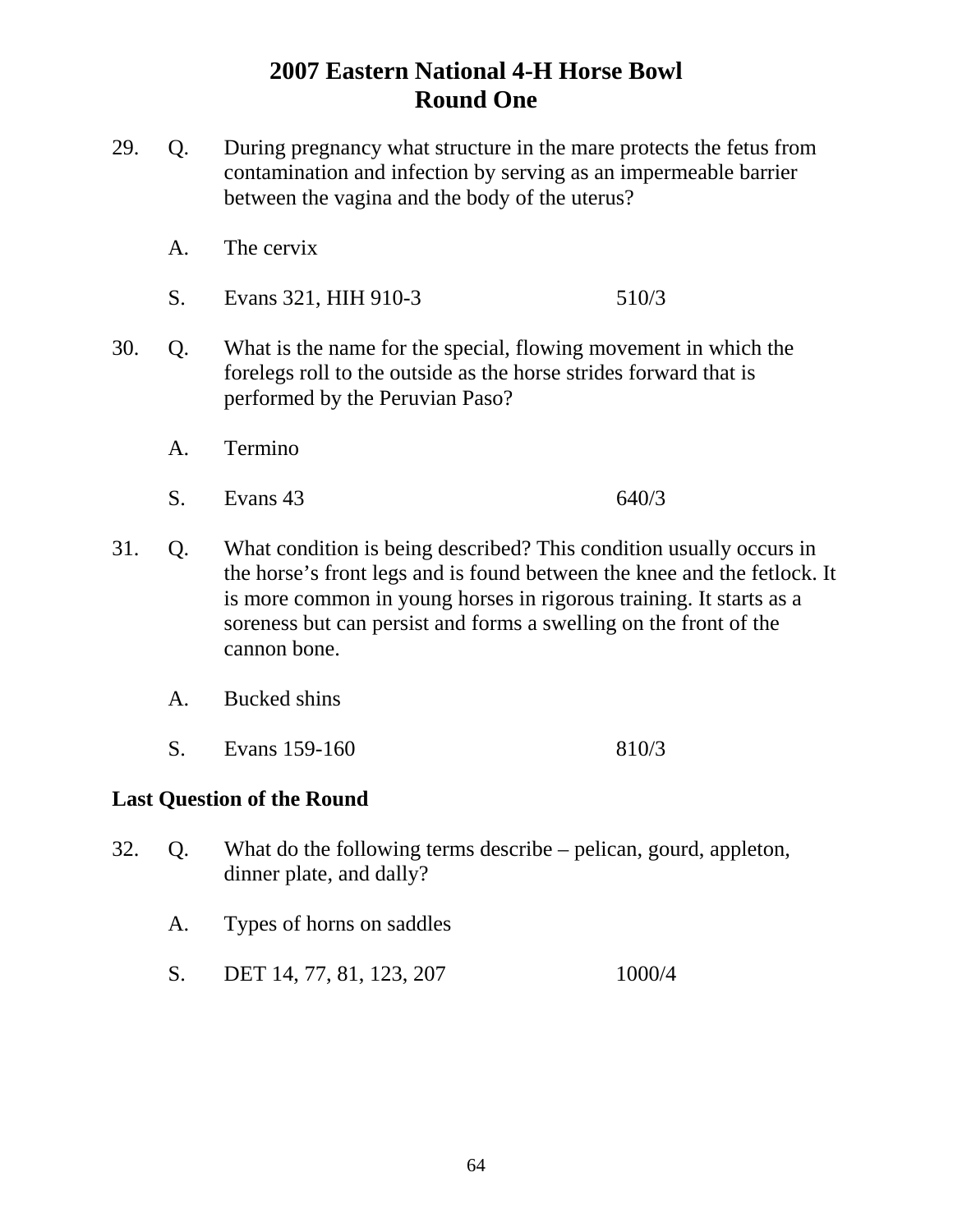- 29. Q. During pregnancy what structure in the mare protects the fetus from contamination and infection by serving as an impermeable barrier between the vagina and the body of the uterus?
	- A. The cervix
	- S. Evans 321, HIH 910-3 510/3
- 30. Q. What is the name for the special, flowing movement in which the forelegs roll to the outside as the horse strides forward that is performed by the Peruvian Paso?
	- A. Termino
	- S. Evans 43 640/3
- 31. Q. What condition is being described? This condition usually occurs in the horse's front legs and is found between the knee and the fetlock. It is more common in young horses in rigorous training. It starts as a soreness but can persist and forms a swelling on the front of the cannon bone.
	- A. Bucked shins
	- S. Evans 159-160 810/3

#### **Last Question of the Round**

- 32. Q. What do the following terms describe pelican, gourd, appleton, dinner plate, and dally?
	- A. Types of horns on saddles
	- S. DET 14, 77, 81, 123, 207 1000/4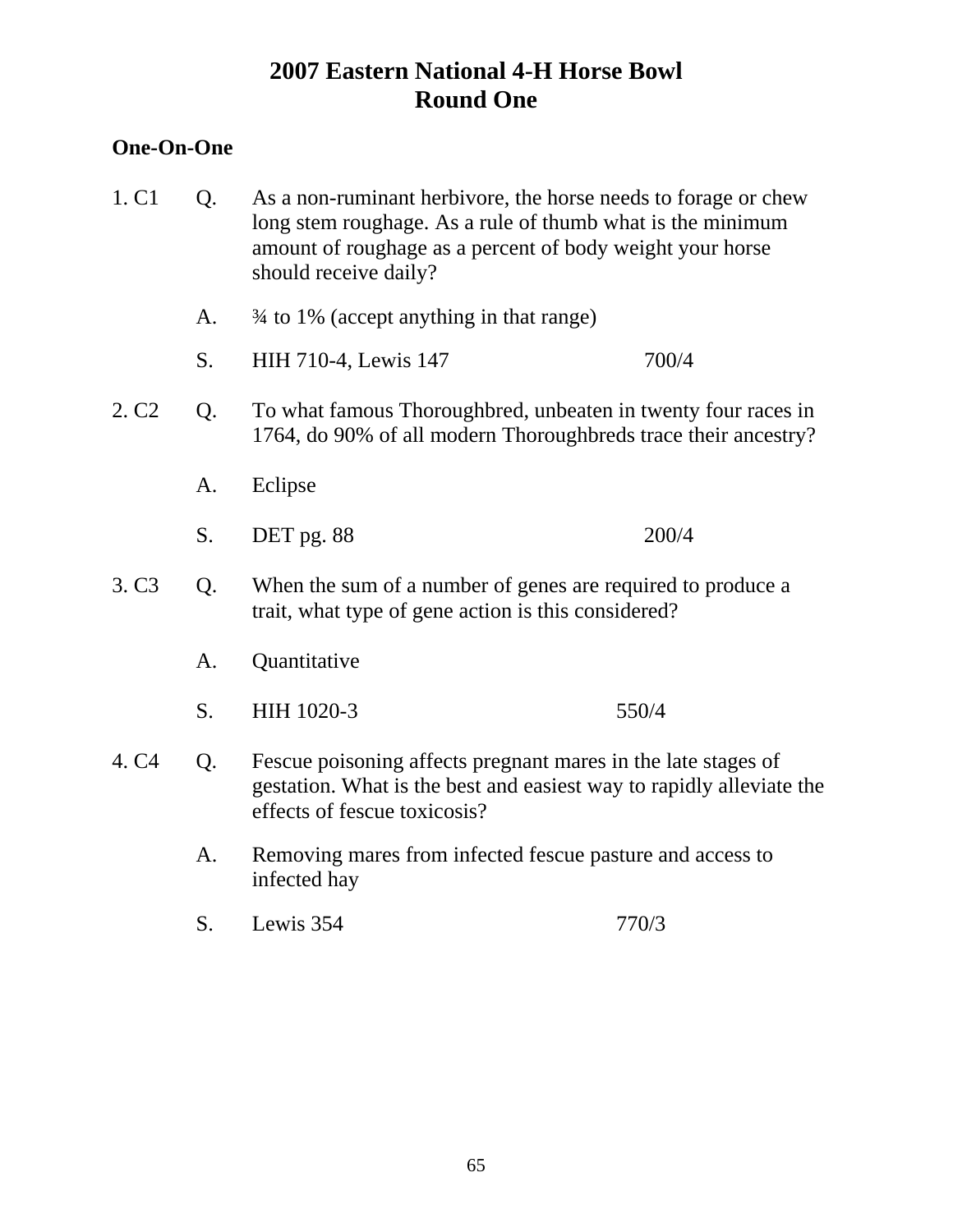### **One-On-One**

| 1. C1             | Q. | As a non-ruminant herbivore, the horse needs to forage or chew<br>long stem roughage. As a rule of thumb what is the minimum<br>amount of roughage as a percent of body weight your horse<br>should receive daily? |       |
|-------------------|----|--------------------------------------------------------------------------------------------------------------------------------------------------------------------------------------------------------------------|-------|
|                   | A. | 3/4 to 1% (accept anything in that range)                                                                                                                                                                          |       |
|                   | S. | HIH 710-4, Lewis 147                                                                                                                                                                                               | 700/4 |
| 2. C <sub>2</sub> | Q. | To what famous Thoroughbred, unbeaten in twenty four races in<br>1764, do 90% of all modern Thoroughbreds trace their ancestry?                                                                                    |       |
|                   | A. | Eclipse                                                                                                                                                                                                            |       |
|                   | S. | DET pg. 88                                                                                                                                                                                                         | 200/4 |
| 3. C <sub>3</sub> | Q. | When the sum of a number of genes are required to produce a<br>trait, what type of gene action is this considered?                                                                                                 |       |
|                   | A. | Quantitative                                                                                                                                                                                                       |       |
|                   | S. | HIH 1020-3                                                                                                                                                                                                         | 550/4 |
| 4. C4             | Q. | Fescue poisoning affects pregnant mares in the late stages of<br>gestation. What is the best and easiest way to rapidly alleviate the<br>effects of fescue toxicosis?                                              |       |
|                   | A. | Removing mares from infected fescue pasture and access to<br>infected hay                                                                                                                                          |       |
|                   | S. | Lewis 354                                                                                                                                                                                                          | 770/3 |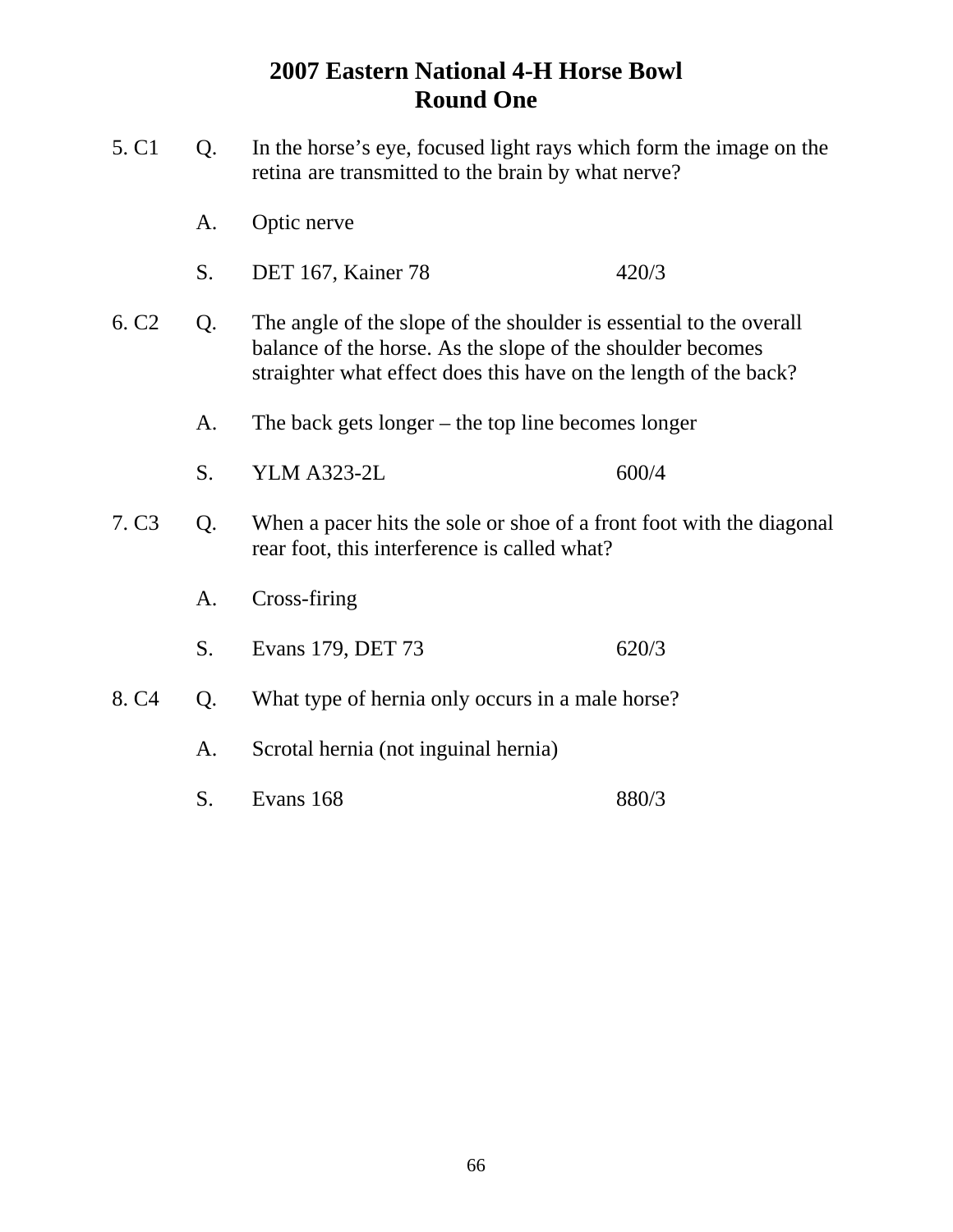| 5. C1                   | Q. | In the horse's eye, focused light rays which form the image on the<br>retina are transmitted to the brain by what nerve?                                                                             |       |
|-------------------------|----|------------------------------------------------------------------------------------------------------------------------------------------------------------------------------------------------------|-------|
|                         | A. | Optic nerve                                                                                                                                                                                          |       |
|                         | S. | DET 167, Kainer 78                                                                                                                                                                                   | 420/3 |
| 6. C <sub>2</sub>       | Q. | The angle of the slope of the shoulder is essential to the overall<br>balance of the horse. As the slope of the shoulder becomes<br>straighter what effect does this have on the length of the back? |       |
|                         | A. | The back gets longer $-$ the top line becomes longer                                                                                                                                                 |       |
|                         | S. | <b>YLM A323-2L</b>                                                                                                                                                                                   | 600/4 |
| 7. C <sub>3</sub><br>Q. |    | When a pacer hits the sole or shoe of a front foot with the diagonal<br>rear foot, this interference is called what?                                                                                 |       |
|                         | A. | Cross-firing                                                                                                                                                                                         |       |
|                         | S. | Evans 179, DET 73                                                                                                                                                                                    | 620/3 |
| 8. C <sub>4</sub>       | Q. | What type of hernia only occurs in a male horse?                                                                                                                                                     |       |
|                         | A. | Scrotal hernia (not inguinal hernia)                                                                                                                                                                 |       |
|                         | S. | Evans 168                                                                                                                                                                                            | 880/3 |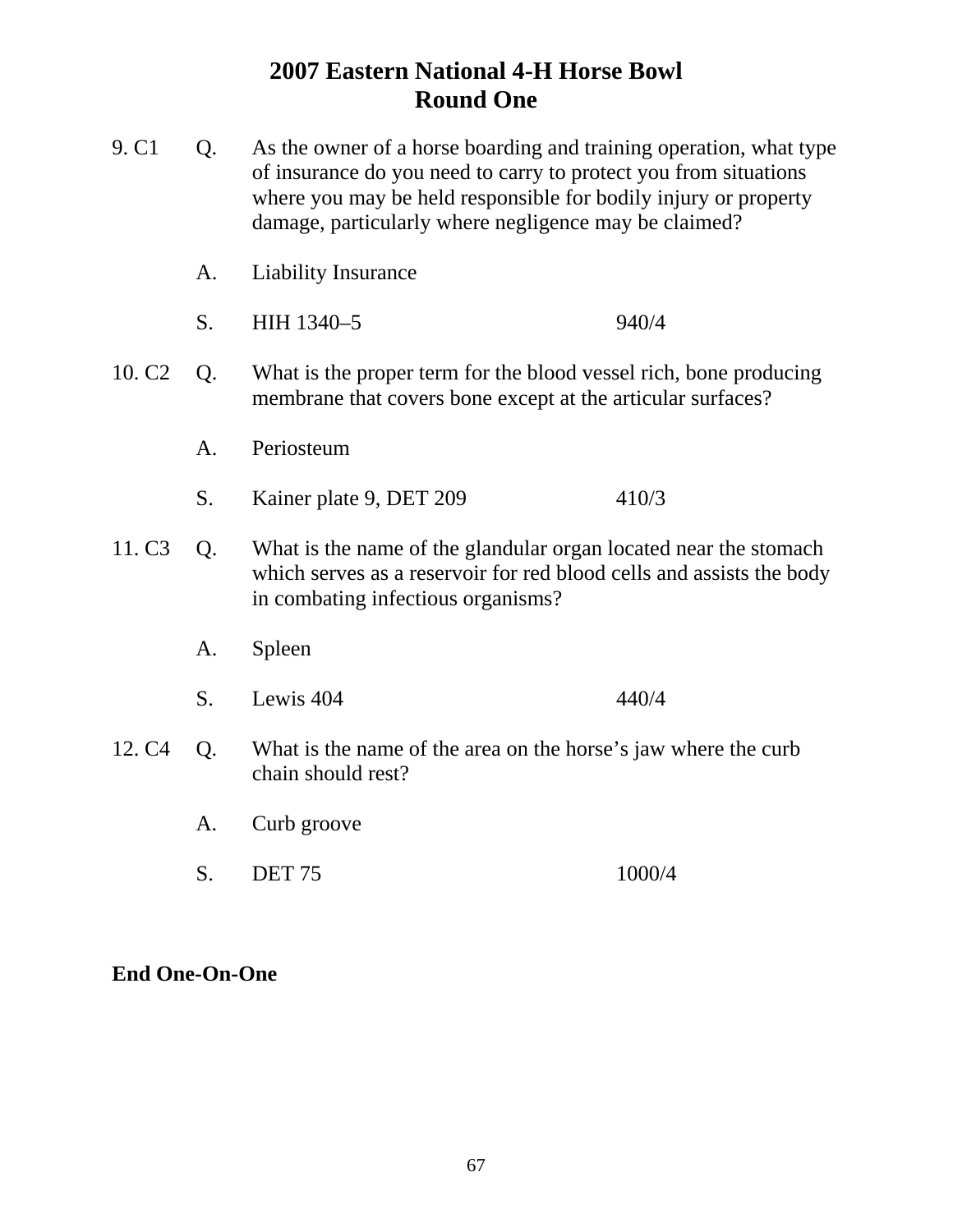| 9. C1              | Q. | As the owner of a horse boarding and training operation, what type<br>of insurance do you need to carry to protect you from situations<br>where you may be held responsible for bodily injury or property<br>damage, particularly where negligence may be claimed? |                                                                                                                                          |  |
|--------------------|----|--------------------------------------------------------------------------------------------------------------------------------------------------------------------------------------------------------------------------------------------------------------------|------------------------------------------------------------------------------------------------------------------------------------------|--|
|                    | A. | <b>Liability Insurance</b>                                                                                                                                                                                                                                         |                                                                                                                                          |  |
|                    | S. | HIH 1340-5                                                                                                                                                                                                                                                         | 940/4                                                                                                                                    |  |
| 10. C <sub>2</sub> | Q. | What is the proper term for the blood vessel rich, bone producing<br>membrane that covers bone except at the articular surfaces?                                                                                                                                   |                                                                                                                                          |  |
|                    | A. | Periosteum                                                                                                                                                                                                                                                         |                                                                                                                                          |  |
|                    | S. | Kainer plate 9, DET 209                                                                                                                                                                                                                                            | 410/3                                                                                                                                    |  |
| 11. C <sub>3</sub> | Q. | in combating infectious organisms?                                                                                                                                                                                                                                 | What is the name of the glandular organ located near the stomach<br>which serves as a reservoir for red blood cells and assists the body |  |
|                    | A. | Spleen                                                                                                                                                                                                                                                             |                                                                                                                                          |  |
|                    | S. | Lewis 404                                                                                                                                                                                                                                                          | 440/4                                                                                                                                    |  |
| 12. C <sub>4</sub> | Q. | What is the name of the area on the horse's jaw where the curb<br>chain should rest?                                                                                                                                                                               |                                                                                                                                          |  |
|                    | A. | Curb groove                                                                                                                                                                                                                                                        |                                                                                                                                          |  |
|                    | S. | <b>DET 75</b>                                                                                                                                                                                                                                                      | 1000/4                                                                                                                                   |  |

### **End One-On-One**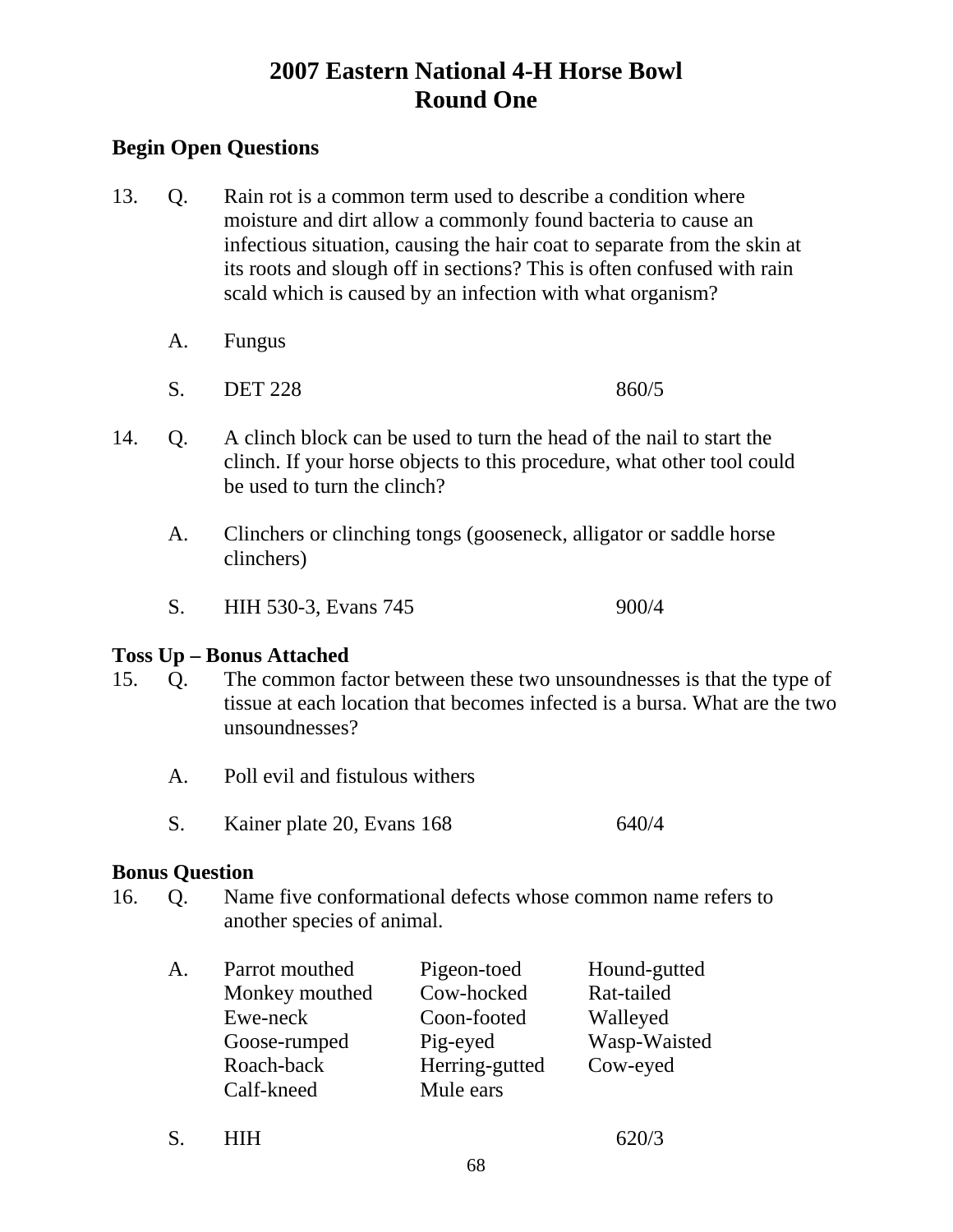### **Begin Open Questions**

- 13. Q. Rain rot is a common term used to describe a condition where moisture and dirt allow a commonly found bacteria to cause an infectious situation, causing the hair coat to separate from the skin at its roots and slough off in sections? This is often confused with rain scald which is caused by an infection with what organism?
	- A. Fungus
	- S. DET 228 860/5
- 14. Q. A clinch block can be used to turn the head of the nail to start the clinch. If your horse objects to this procedure, what other tool could be used to turn the clinch?
	- A. Clinchers or clinching tongs (gooseneck, alligator or saddle horse clinchers)
	- S. HIH 530-3, Evans 745 900/4

#### **Toss Up – Bonus Attached**

- 15. Q. The common factor between these two unsoundnesses is that the type of tissue at each location that becomes infected is a bursa. What are the two unsoundnesses?
	- A. Poll evil and fistulous withers
	- S. Kainer plate 20, Evans 168 640/4

#### **Bonus Question**

16. Q. Name five conformational defects whose common name refers to another species of animal.

| A. | Parrot mouthed | Pigeon-toed    | Hound-gutted |
|----|----------------|----------------|--------------|
|    | Monkey mouthed | Cow-hocked     | Rat-tailed   |
|    | Ewe-neck       | Coon-footed    | Walleyed     |
|    | Goose-rumped   | Pig-eyed       | Wasp-Waisted |
|    | Roach-back     | Herring-gutted | Cow-eyed     |
|    | Calf-kneed     | Mule ears      |              |

S. **HIH 620/3**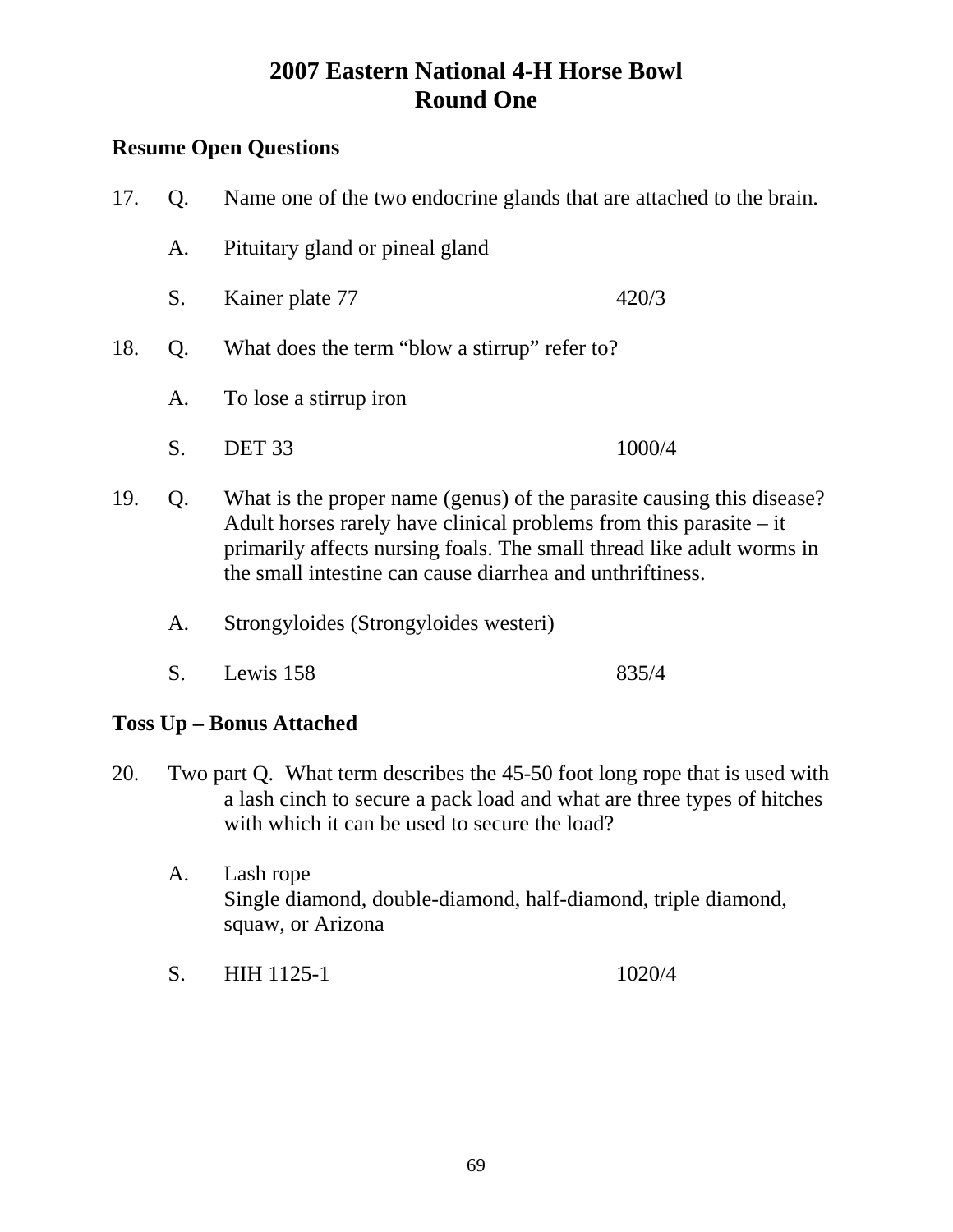### **Resume Open Questions**

| 17. | Q <sub>r</sub> | Name one of the two endocrine glands that are attached to the brain.                                                                                                                                                                                                                |        |
|-----|----------------|-------------------------------------------------------------------------------------------------------------------------------------------------------------------------------------------------------------------------------------------------------------------------------------|--------|
|     | A.             | Pituitary gland or pineal gland                                                                                                                                                                                                                                                     |        |
|     | S.             | Kainer plate 77                                                                                                                                                                                                                                                                     | 420/3  |
| 18. | Q <sub>r</sub> | What does the term "blow a stirrup" refer to?                                                                                                                                                                                                                                       |        |
|     | A.             | To lose a stirrup iron                                                                                                                                                                                                                                                              |        |
|     | S.             | DET <sub>33</sub>                                                                                                                                                                                                                                                                   | 1000/4 |
| 19. | Q.             | What is the proper name (genus) of the parasite causing this disease?<br>Adult horses rarely have clinical problems from this parasite $-$ it<br>primarily affects nursing foals. The small thread like adult worms in<br>the small intestine can cause diarrhea and unthriftiness. |        |
|     | A.             | Strongyloides (Strongyloides westeri)                                                                                                                                                                                                                                               |        |

S. Lewis 158 835/4

### **Toss Up – Bonus Attached**

- 20. Two part Q. What term describes the 45-50 foot long rope that is used with a lash cinch to secure a pack load and what are three types of hitches with which it can be used to secure the load?
	- A. Lash rope Single diamond, double-diamond, half-diamond, triple diamond, squaw, or Arizona
	- S. HIH 1125-1 1020/4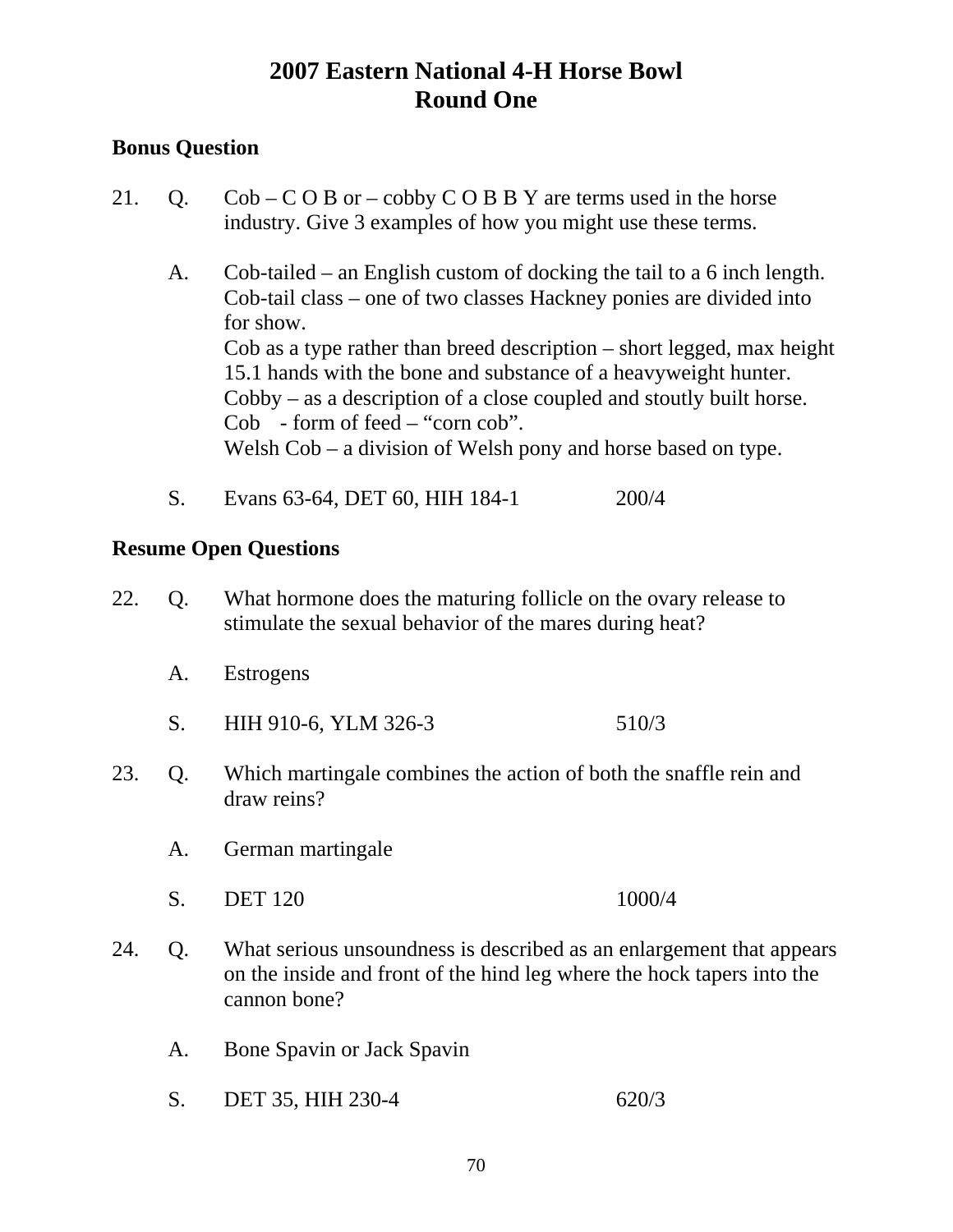### **Bonus Question**

- 21. Q.  $\text{Cob} \text{COB}$  or cobby  $\text{COB}$  B Y are terms used in the horse industry. Give 3 examples of how you might use these terms.
	- A. Cob-tailed an English custom of docking the tail to a 6 inch length. Cob-tail class – one of two classes Hackney ponies are divided into for show. Cob as a type rather than breed description – short legged, max height 15.1 hands with the bone and substance of a heavyweight hunter. Cobby – as a description of a close coupled and stoutly built horse. Cob - form of feed – "corn cob". Welsh Cob – a division of Welsh pony and horse based on type.
	- S. Evans 63-64, DET 60, HIH 184-1 200/4

- 22. Q. What hormone does the maturing follicle on the ovary release to stimulate the sexual behavior of the mares during heat?
	- A. Estrogens
	- S. HIH 910-6, YLM 326-3 510/3
- 23. Q. Which martingale combines the action of both the snaffle rein and draw reins?
	- A. German martingale
	- S. DET 120 1000/4
- 24. Q. What serious unsoundness is described as an enlargement that appears on the inside and front of the hind leg where the hock tapers into the cannon bone?
	- A. Bone Spavin or Jack Spavin
	- S. DET 35, HIH 230-4 620/3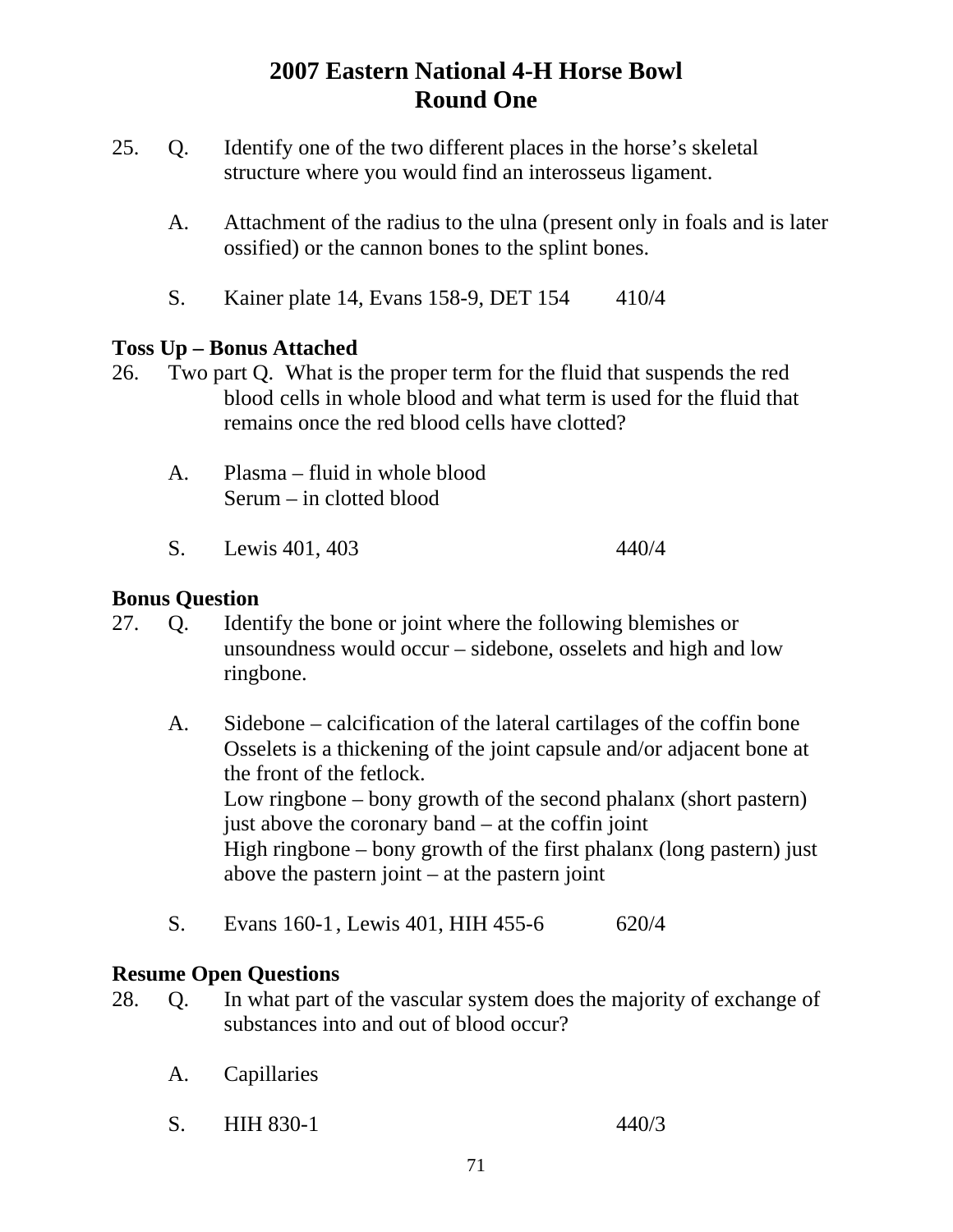- 25. Q. Identify one of the two different places in the horse's skeletal structure where you would find an interosseus ligament.
	- A. Attachment of the radius to the ulna (present only in foals and is later ossified) or the cannon bones to the splint bones.
	- S. Kainer plate 14, Evans 158-9, DET 154 410/4

### **Toss Up – Bonus Attached**

- 26. Two part Q. What is the proper term for the fluid that suspends the red blood cells in whole blood and what term is used for the fluid that remains once the red blood cells have clotted?
	- A. Plasma fluid in whole blood Serum – in clotted blood
	- S. Lewis 401, 403 440/4

#### **Bonus Question**

- 27. Q. Identify the bone or joint where the following blemishes or unsoundness would occur – sidebone, osselets and high and low ringbone.
	- A. Sidebone calcification of the lateral cartilages of the coffin bone Osselets is a thickening of the joint capsule and/or adjacent bone at the front of the fetlock. Low ringbone – bony growth of the second phalanx (short pastern) just above the coronary band – at the coffin joint High ringbone – bony growth of the first phalanx (long pastern) just above the pastern joint – at the pastern joint
	- S. Evans 160-1, Lewis 401, HIH 455-6 620/4

- 28. Q. In what part of the vascular system does the majority of exchange of substances into and out of blood occur?
	- A. Capillaries
	- S. HIH 830-1 440/3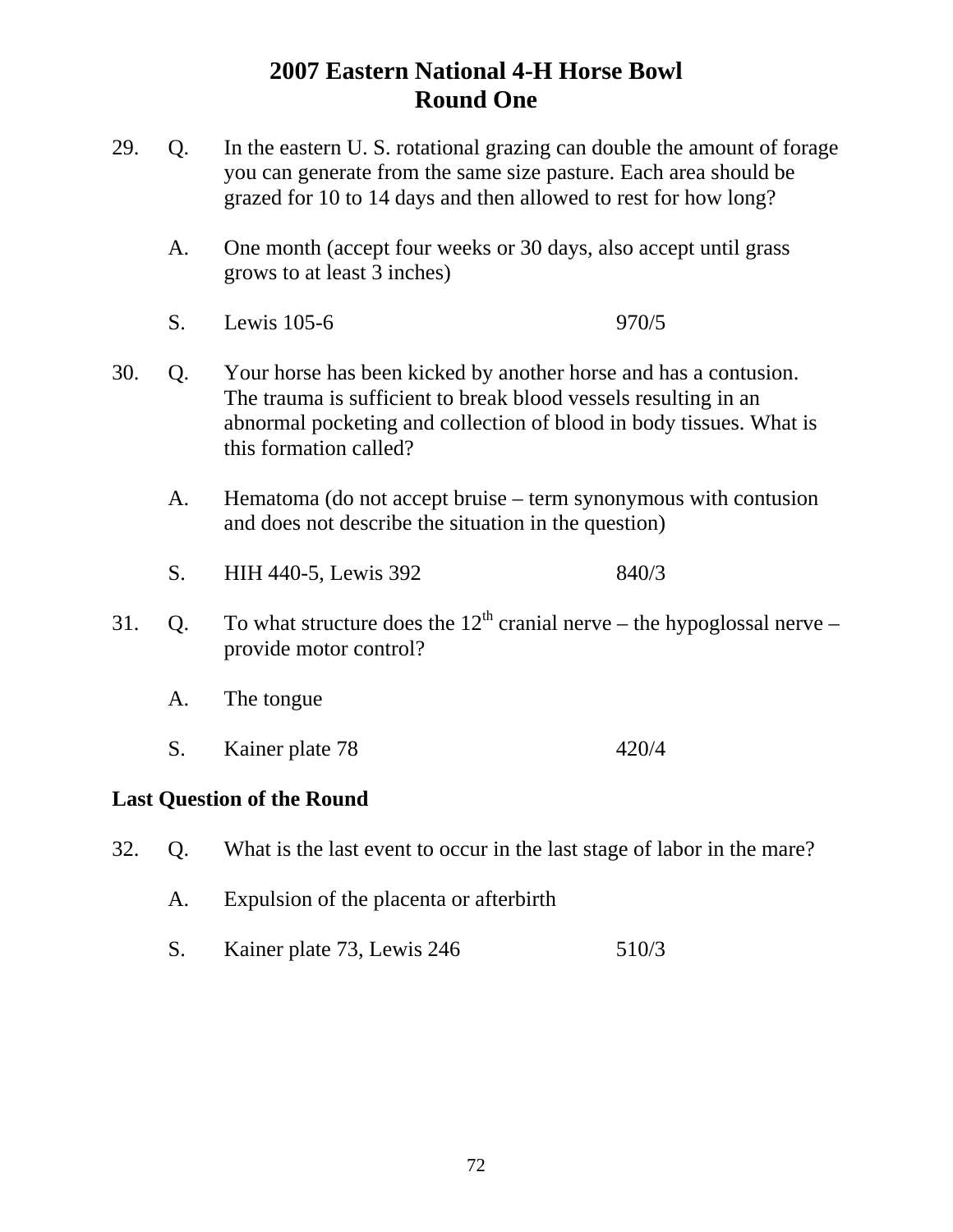- 29. Q. In the eastern U. S. rotational grazing can double the amount of forage you can generate from the same size pasture. Each area should be grazed for 10 to 14 days and then allowed to rest for how long?
	- A. One month (accept four weeks or 30 days, also accept until grass grows to at least 3 inches)
	- S. Lewis 105-6 970/5
- 30. Q. Your horse has been kicked by another horse and has a contusion. The trauma is sufficient to break blood vessels resulting in an abnormal pocketing and collection of blood in body tissues. What is this formation called?
	- A. Hematoma (do not accept bruise term synonymous with contusion and does not describe the situation in the question)
	- S. HIH 440-5, Lewis 392 840/3
- 31. Q. To what structure does the  $12<sup>th</sup>$  cranial nerve the hypoglossal nerve provide motor control?
	- A. The tongue
	- S. Kainer plate 78 420/4

#### **Last Question of the Round**

- 32. Q. What is the last event to occur in the last stage of labor in the mare?
	- A. Expulsion of the placenta or afterbirth
	- S. Kainer plate 73, Lewis 246 510/3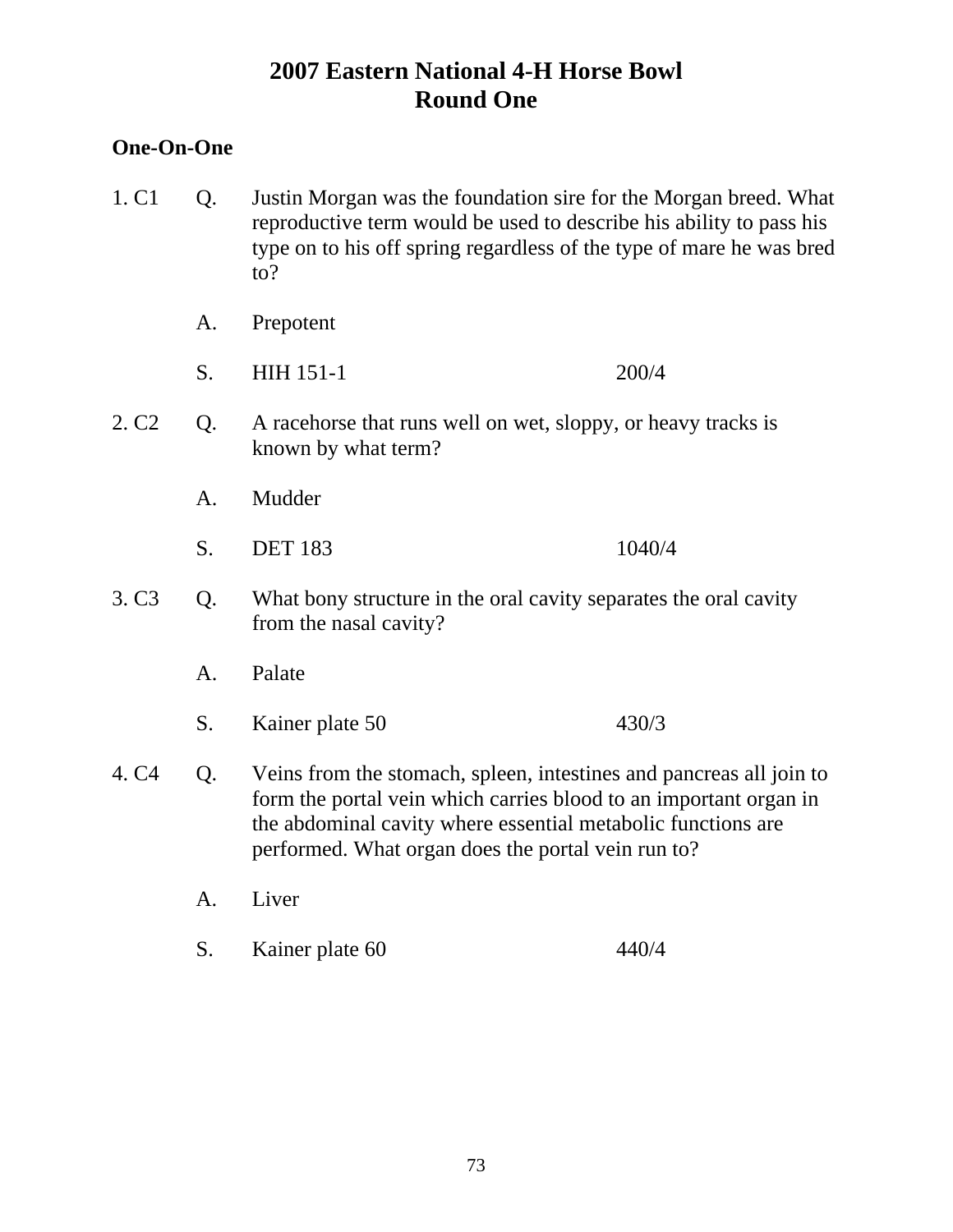### **One-On-One**

- 1. C1 Q. Justin Morgan was the foundation sire for the Morgan breed. What reproductive term would be used to describe his ability to pass his type on to his off spring regardless of the type of mare he was bred to?
	- A. Prepotent
	- S. HIH 151-1 200/4
- 2. C2 Q. A racehorse that runs well on wet, sloppy, or heavy tracks is known by what term?
	- A. Mudder
	- S. DET 183 1040/4
- 3. C3 Q. What bony structure in the oral cavity separates the oral cavity from the nasal cavity?
	- A. Palate
	- S. Kainer plate 50 430/3
- 4. C4 Q. Veins from the stomach, spleen, intestines and pancreas all join to form the portal vein which carries blood to an important organ in the abdominal cavity where essential metabolic functions are performed. What organ does the portal vein run to?
	- A. Liver
	- S. Kainer plate 60 440/4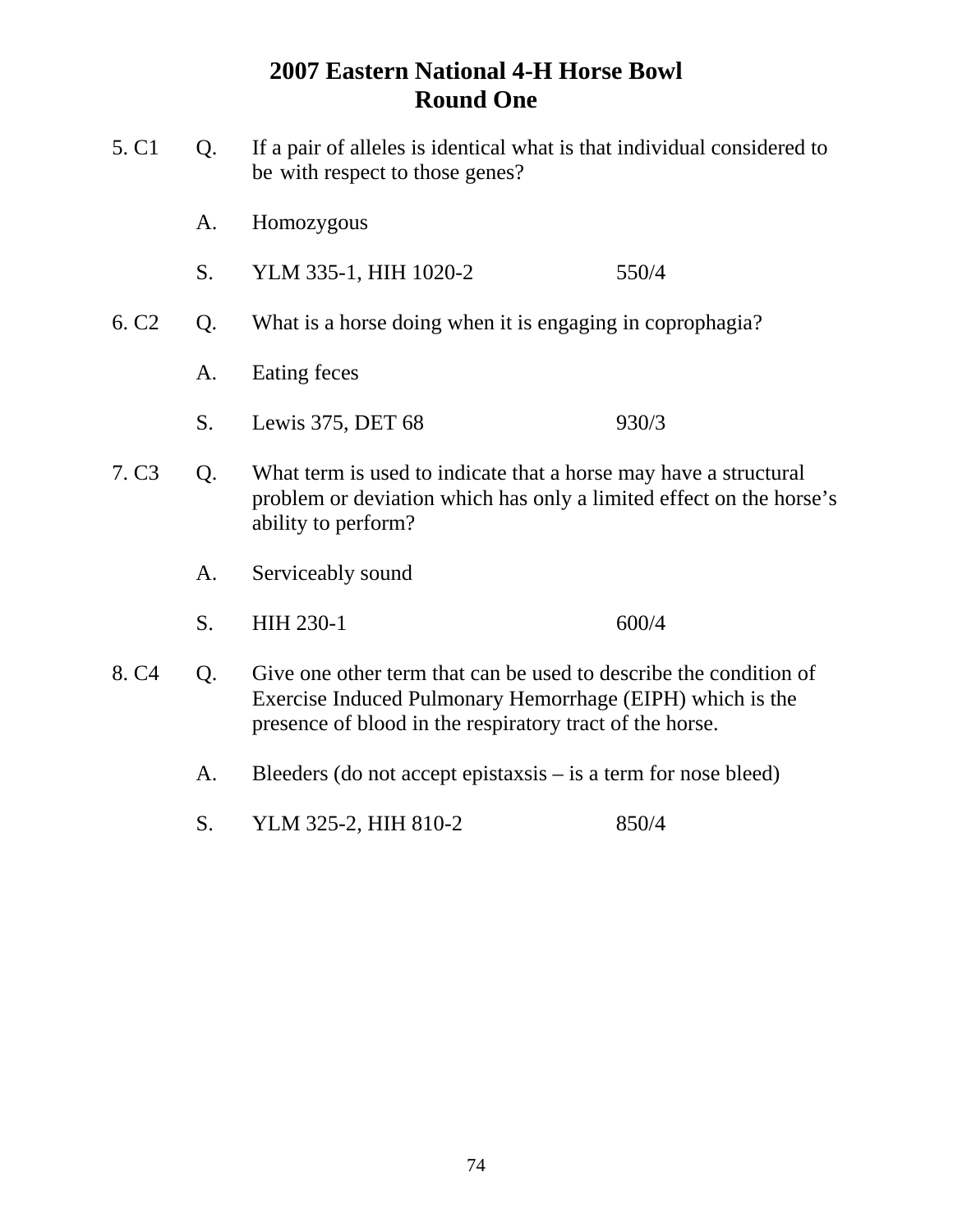| 5. C <sub>1</sub> | Q. | If a pair of alleles is identical what is that individual considered to<br>be with respect to those genes?                                                                                 |       |  |
|-------------------|----|--------------------------------------------------------------------------------------------------------------------------------------------------------------------------------------------|-------|--|
|                   | A. | Homozygous                                                                                                                                                                                 |       |  |
|                   | S. | YLM 335-1, HIH 1020-2                                                                                                                                                                      | 550/4 |  |
| 6. C <sub>2</sub> | Q. | What is a horse doing when it is engaging in coprophagia?                                                                                                                                  |       |  |
|                   | A. | Eating feces                                                                                                                                                                               |       |  |
|                   | S. | Lewis 375, DET 68                                                                                                                                                                          | 930/3 |  |
| 7. C <sub>3</sub> | Q. | What term is used to indicate that a horse may have a structural<br>problem or deviation which has only a limited effect on the horse's<br>ability to perform?                             |       |  |
|                   | A. | Serviceably sound                                                                                                                                                                          |       |  |
|                   | S. | HIH 230-1                                                                                                                                                                                  | 600/4 |  |
| 8. C <sub>4</sub> | Q. | Give one other term that can be used to describe the condition of<br>Exercise Induced Pulmonary Hemorrhage (EIPH) which is the<br>presence of blood in the respiratory tract of the horse. |       |  |
|                   | A. | Bleeders (do not accept epistaxsis $-$ is a term for nose bleed)                                                                                                                           |       |  |
|                   | S. | YLM 325-2, HIH 810-2                                                                                                                                                                       | 850/4 |  |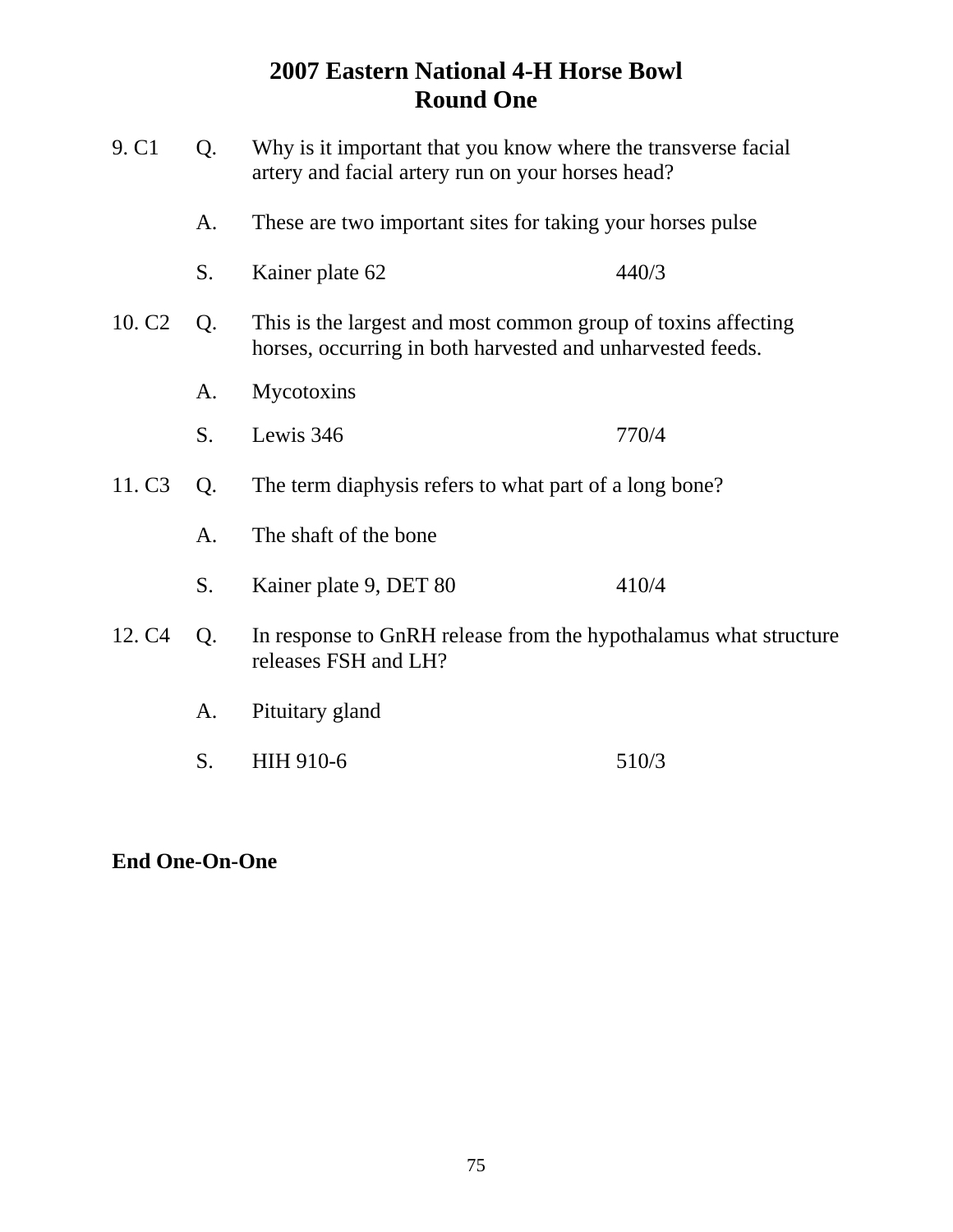| 9. C <sub>1</sub>  | Why is it important that you know where the transverse facial<br>Q.<br>artery and facial artery run on your horses head?<br>These are two important sites for taking your horses pulse<br>A. |                                                                                                                             |       |  |
|--------------------|----------------------------------------------------------------------------------------------------------------------------------------------------------------------------------------------|-----------------------------------------------------------------------------------------------------------------------------|-------|--|
|                    |                                                                                                                                                                                              |                                                                                                                             |       |  |
|                    | S.                                                                                                                                                                                           | Kainer plate 62                                                                                                             | 440/3 |  |
| 10. C <sub>2</sub> | Q.                                                                                                                                                                                           | This is the largest and most common group of toxins affecting<br>horses, occurring in both harvested and unharvested feeds. |       |  |
|                    | A.                                                                                                                                                                                           | Mycotoxins                                                                                                                  |       |  |
|                    | S.                                                                                                                                                                                           | Lewis 346                                                                                                                   | 770/4 |  |
| 11. C <sub>3</sub> | The term diaphysis refers to what part of a long bone?<br>Q.                                                                                                                                 |                                                                                                                             |       |  |
|                    | A.                                                                                                                                                                                           | The shaft of the bone                                                                                                       |       |  |
|                    | S.                                                                                                                                                                                           | Kainer plate 9, DET 80                                                                                                      | 410/4 |  |
| 12. C <sub>4</sub> | Q.                                                                                                                                                                                           | In response to GnRH release from the hypothalamus what structure<br>releases FSH and LH?                                    |       |  |
|                    | A.                                                                                                                                                                                           | Pituitary gland                                                                                                             |       |  |
|                    | S.                                                                                                                                                                                           | HIH 910-6                                                                                                                   | 510/3 |  |
|                    |                                                                                                                                                                                              |                                                                                                                             |       |  |

**End One-On-One**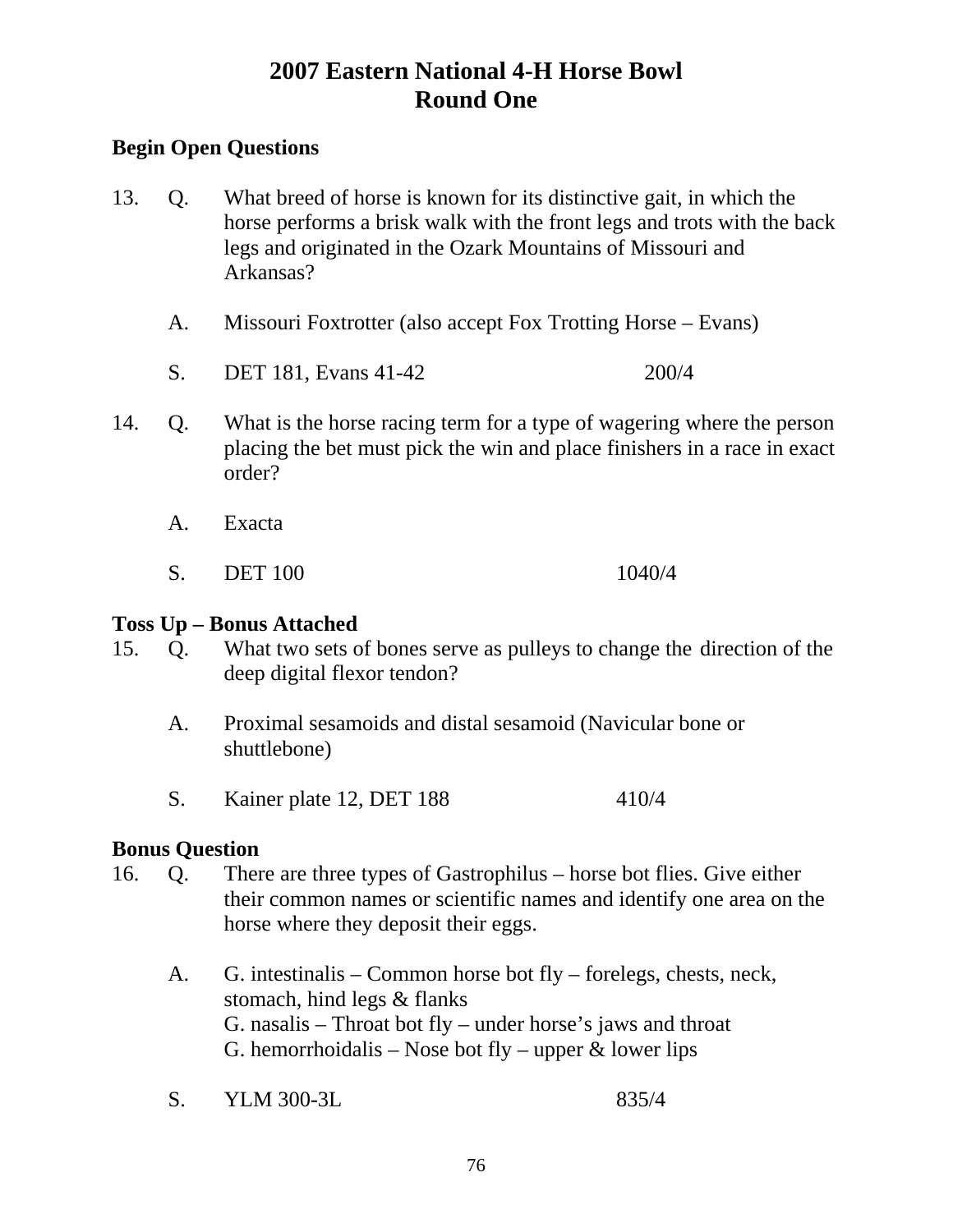## **Begin Open Questions**

- 13. Q. What breed of horse is known for its distinctive gait, in which the horse performs a brisk walk with the front legs and trots with the back legs and originated in the Ozark Mountains of Missouri and Arkansas?
	- A. Missouri Foxtrotter (also accept Fox Trotting Horse Evans)
	- S. DET 181, Evans 41-42 200/4
- 14. Q. What is the horse racing term for a type of wagering where the person placing the bet must pick the win and place finishers in a race in exact order?
	- A. Exacta
	- S. DET 100 1040/4

#### **Toss Up – Bonus Attached**

- 15. Q. What two sets of bones serve as pulleys to change the direction of the deep digital flexor tendon?
	- A. Proximal sesamoids and distal sesamoid (Navicular bone or shuttlebone)
	- S. Kainer plate 12, DET 188 410/4

#### **Bonus Question**

- 16. Q. There are three types of Gastrophilus horse bot flies. Give either their common names or scientific names and identify one area on the horse where they deposit their eggs.
	- A. G. intestinalis Common horse bot fly forelegs, chests, neck, stomach, hind legs & flanks G. nasalis – Throat bot fly – under horse's jaws and throat G. hemorrhoidalis – Nose bot fly – upper  $\&$  lower lips
	- S. YLM 300-3L 835/4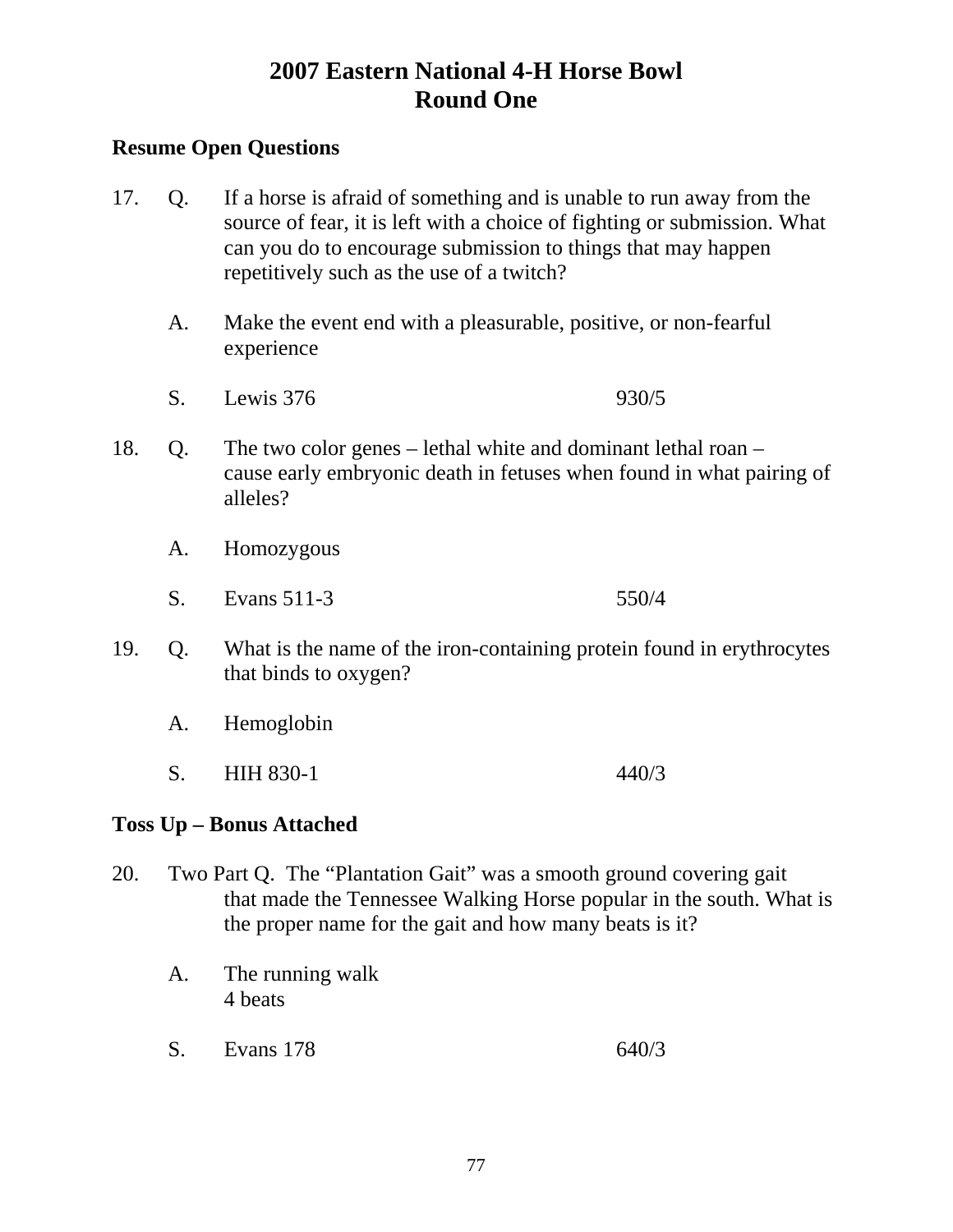### **Resume Open Questions**

- 17. Q. If a horse is afraid of something and is unable to run away from the source of fear, it is left with a choice of fighting or submission. What can you do to encourage submission to things that may happen repetitively such as the use of a twitch?
	- A. Make the event end with a pleasurable, positive, or non-fearful experience
	- S. Lewis 376 930/5
- 18. Q. The two color genes lethal white and dominant lethal roan cause early embryonic death in fetuses when found in what pairing of alleles?
	- A. Homozygous
	- S. Evans 511-3 550/4
- 19. Q. What is the name of the iron-containing protein found in erythrocytes that binds to oxygen?
	- A. Hemoglobin
	- S. HIH 830-1 440/3

## **Toss Up – Bonus Attached**

- 20. Two Part Q. The "Plantation Gait" was a smooth ground covering gait that made the Tennessee Walking Horse popular in the south. What is the proper name for the gait and how many beats is it?
	- A. The running walk 4 beats
	- S. Evans 178 640/3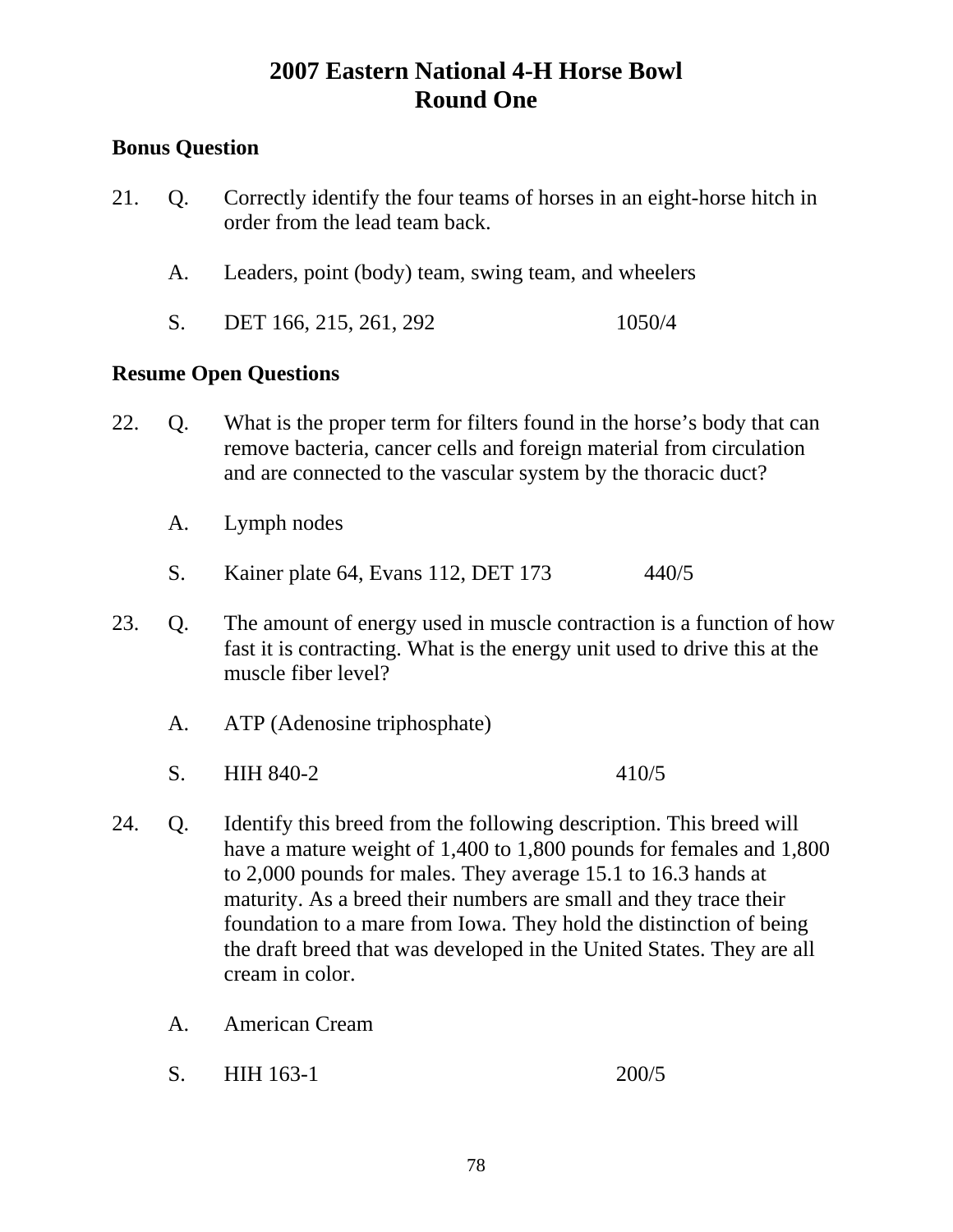## **Bonus Question**

- 21. Q. Correctly identify the four teams of horses in an eight-horse hitch in order from the lead team back.
	- A. Leaders, point (body) team, swing team, and wheelers
	- S. DET 166, 215, 261, 292 1050/4

- 22. Q. What is the proper term for filters found in the horse's body that can remove bacteria, cancer cells and foreign material from circulation and are connected to the vascular system by the thoracic duct?
	- A. Lymph nodes
	- S. Kainer plate 64, Evans 112, DET 173 440/5
- 23. Q. The amount of energy used in muscle contraction is a function of how fast it is contracting. What is the energy unit used to drive this at the muscle fiber level?
	- A. ATP (Adenosine triphosphate)
	- S. HIH 840-2 410/5
- 24. Q. Identify this breed from the following description. This breed will have a mature weight of 1,400 to 1,800 pounds for females and 1,800 to 2,000 pounds for males. They average 15.1 to 16.3 hands at maturity. As a breed their numbers are small and they trace their foundation to a mare from Iowa. They hold the distinction of being the draft breed that was developed in the United States. They are all cream in color.
	- A. American Cream
	- S. HIH 163-1 200/5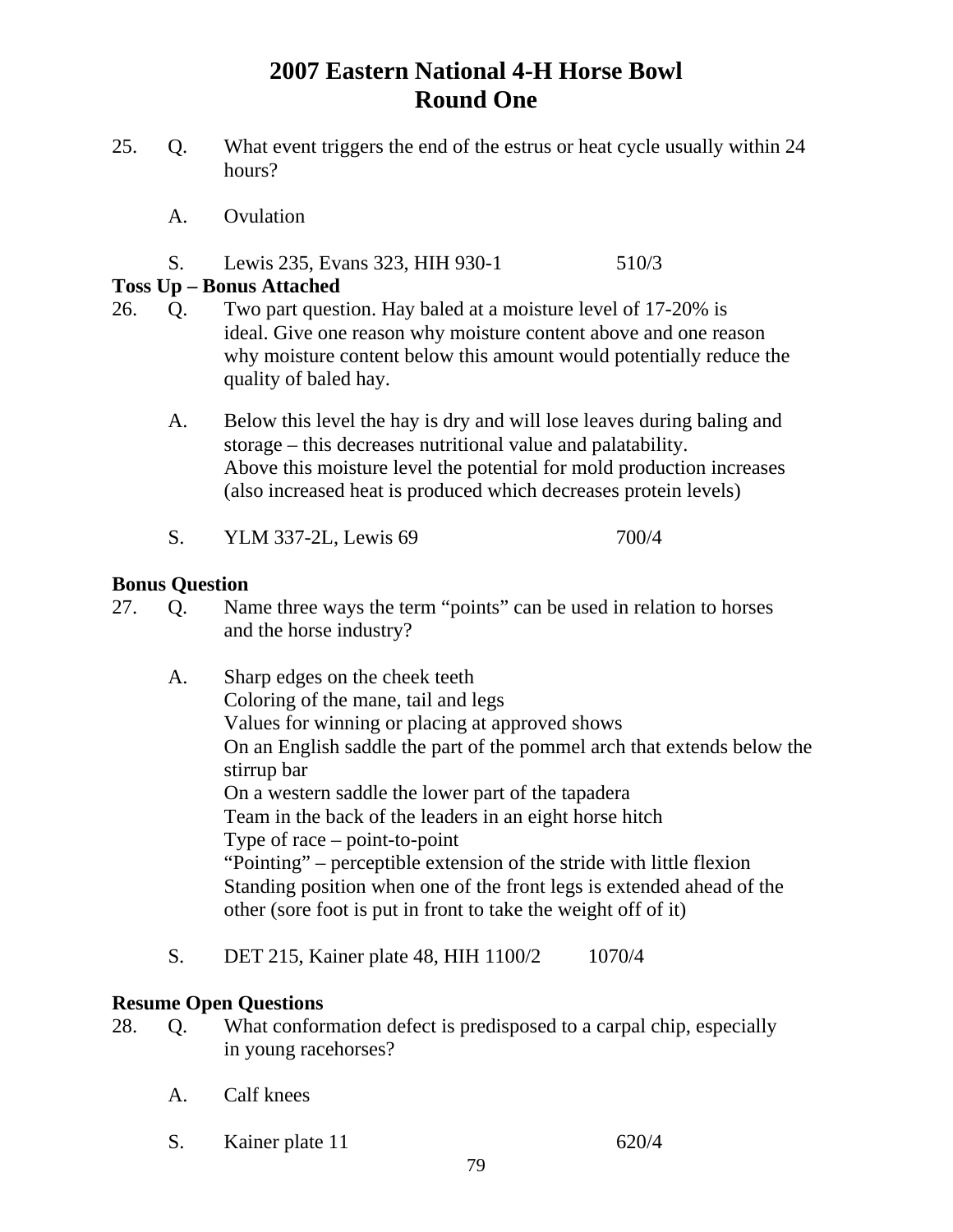- 25. Q. What event triggers the end of the estrus or heat cycle usually within 24 hours?
	- A. Ovulation
	- S. Lewis 235, Evans 323, HIH 930-1 510/3

### **Toss Up – Bonus Attached**

- 26. Q. Two part question. Hay baled at a moisture level of 17-20% is ideal. Give one reason why moisture content above and one reason why moisture content below this amount would potentially reduce the quality of baled hay.
	- A. Below this level the hay is dry and will lose leaves during baling and storage – this decreases nutritional value and palatability. Above this moisture level the potential for mold production increases (also increased heat is produced which decreases protein levels)
	- S. YLM 337-2L, Lewis 69 700/4

### **Bonus Question**

- 27. Q. Name three ways the term "points" can be used in relation to horses and the horse industry?
	- A. Sharp edges on the cheek teeth Coloring of the mane, tail and legs Values for winning or placing at approved shows On an English saddle the part of the pommel arch that extends below the stirrup bar On a western saddle the lower part of the tapadera Team in the back of the leaders in an eight horse hitch Type of race – point-to-point "Pointing" – perceptible extension of the stride with little flexion Standing position when one of the front legs is extended ahead of the other (sore foot is put in front to take the weight off of it)
	- S. DET 215, Kainer plate 48, HIH 1100/2 1070/4

- 28. Q. What conformation defect is predisposed to a carpal chip, especially in young racehorses?
	- A. Calf knees
	- S. Kainer plate 11 620/4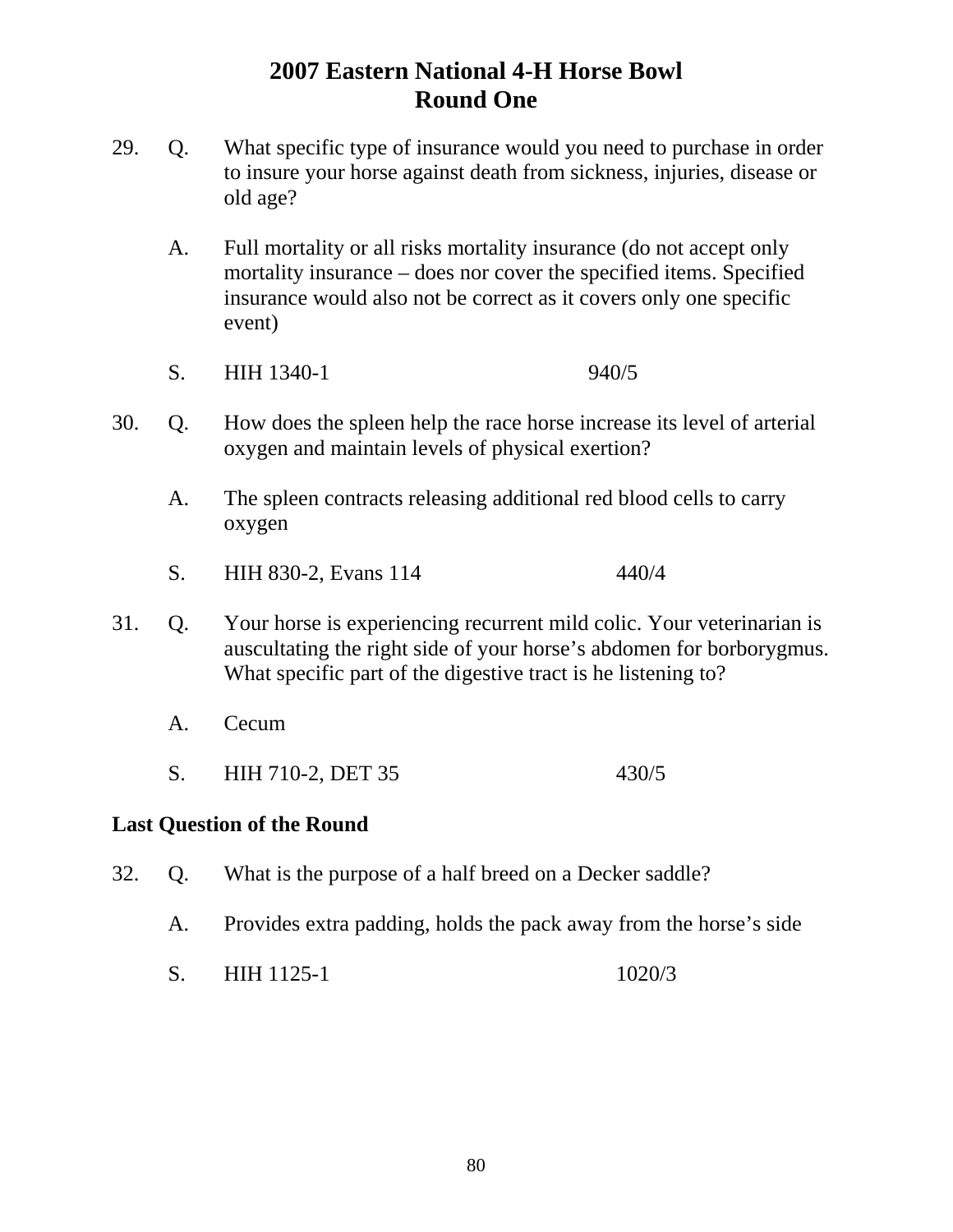- 29. Q. What specific type of insurance would you need to purchase in order to insure your horse against death from sickness, injuries, disease or old age?
	- A. Full mortality or all risks mortality insurance (do not accept only mortality insurance – does nor cover the specified items. Specified insurance would also not be correct as it covers only one specific event)
	- S. HIH 1340-1 940/5
- 30. Q. How does the spleen help the race horse increase its level of arterial oxygen and maintain levels of physical exertion?
	- A. The spleen contracts releasing additional red blood cells to carry oxygen
	- S. HIH 830-2, Evans 114 440/4
- 31. Q. Your horse is experiencing recurrent mild colic. Your veterinarian is auscultating the right side of your horse's abdomen for borborygmus. What specific part of the digestive tract is he listening to?
	- A. Cecum
	- S. HIH 710-2, DET 35 430/5

#### **Last Question of the Round**

- 32. Q. What is the purpose of a half breed on a Decker saddle?
	- A. Provides extra padding, holds the pack away from the horse's side
	- S. HIH 1125-1 1020/3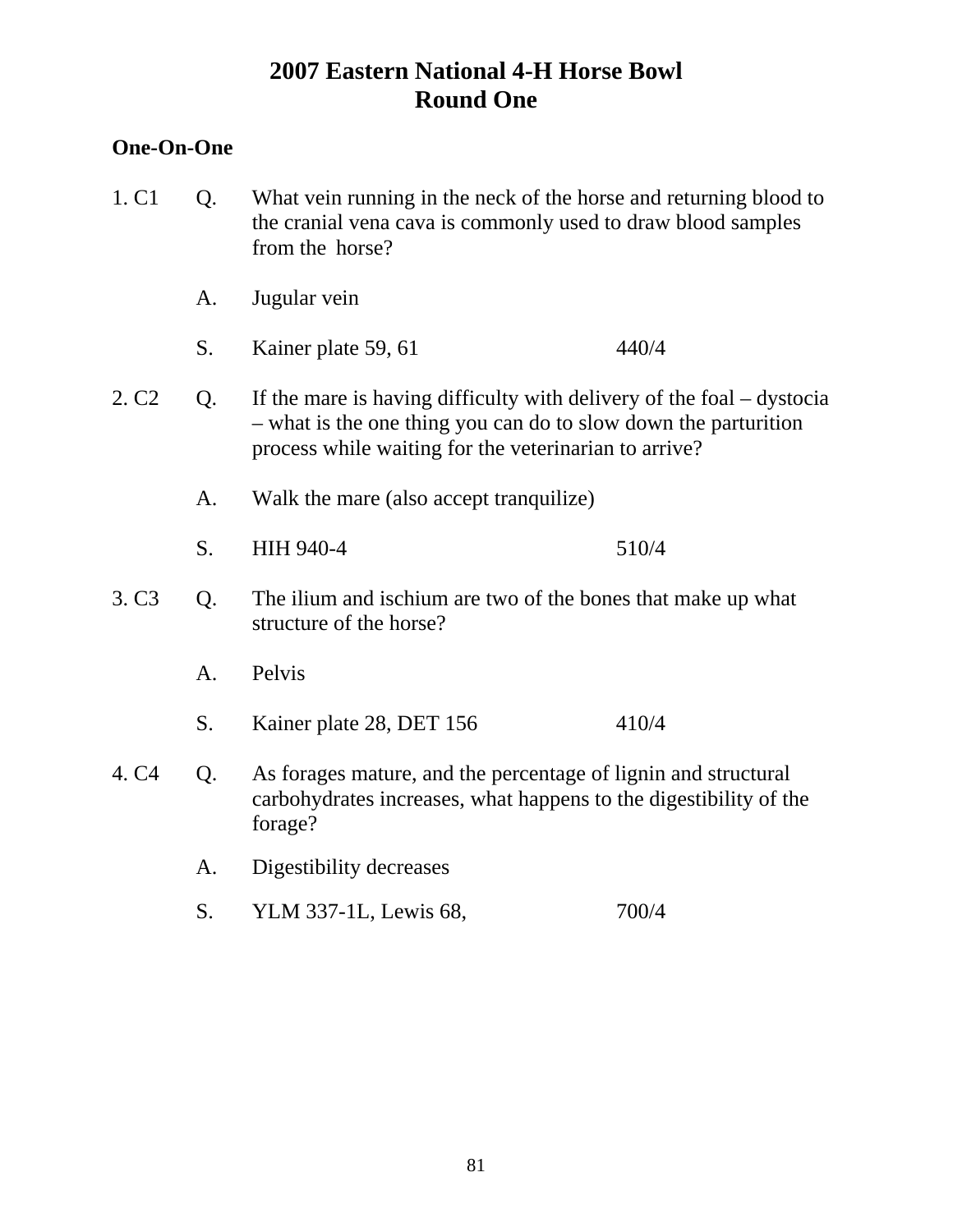## **One-On-One**

| 1. C1             | Q. | What vein running in the neck of the horse and returning blood to<br>the cranial vena cava is commonly used to draw blood samples<br>from the horse?                                                |       |  |
|-------------------|----|-----------------------------------------------------------------------------------------------------------------------------------------------------------------------------------------------------|-------|--|
|                   | A. | Jugular vein                                                                                                                                                                                        |       |  |
|                   | S. | Kainer plate 59, 61                                                                                                                                                                                 | 440/4 |  |
| 2. C <sub>2</sub> | Q. | If the mare is having difficulty with delivery of the foal $-$ dystocia<br>- what is the one thing you can do to slow down the parturition<br>process while waiting for the veterinarian to arrive? |       |  |
|                   | A. | Walk the mare (also accept tranquilize)                                                                                                                                                             |       |  |
|                   | S. | HIH 940-4                                                                                                                                                                                           | 510/4 |  |
| 3. C <sub>3</sub> | Q. | The ilium and ischium are two of the bones that make up what<br>structure of the horse?                                                                                                             |       |  |
|                   | A. | Pelvis                                                                                                                                                                                              |       |  |
|                   | S. | Kainer plate 28, DET 156                                                                                                                                                                            | 410/4 |  |
| 4. C4             | Q. | As forages mature, and the percentage of lignin and structural<br>carbohydrates increases, what happens to the digestibility of the<br>forage?                                                      |       |  |
|                   | A. | Digestibility decreases                                                                                                                                                                             |       |  |
|                   | S. | YLM 337-1L, Lewis 68,                                                                                                                                                                               | 700/4 |  |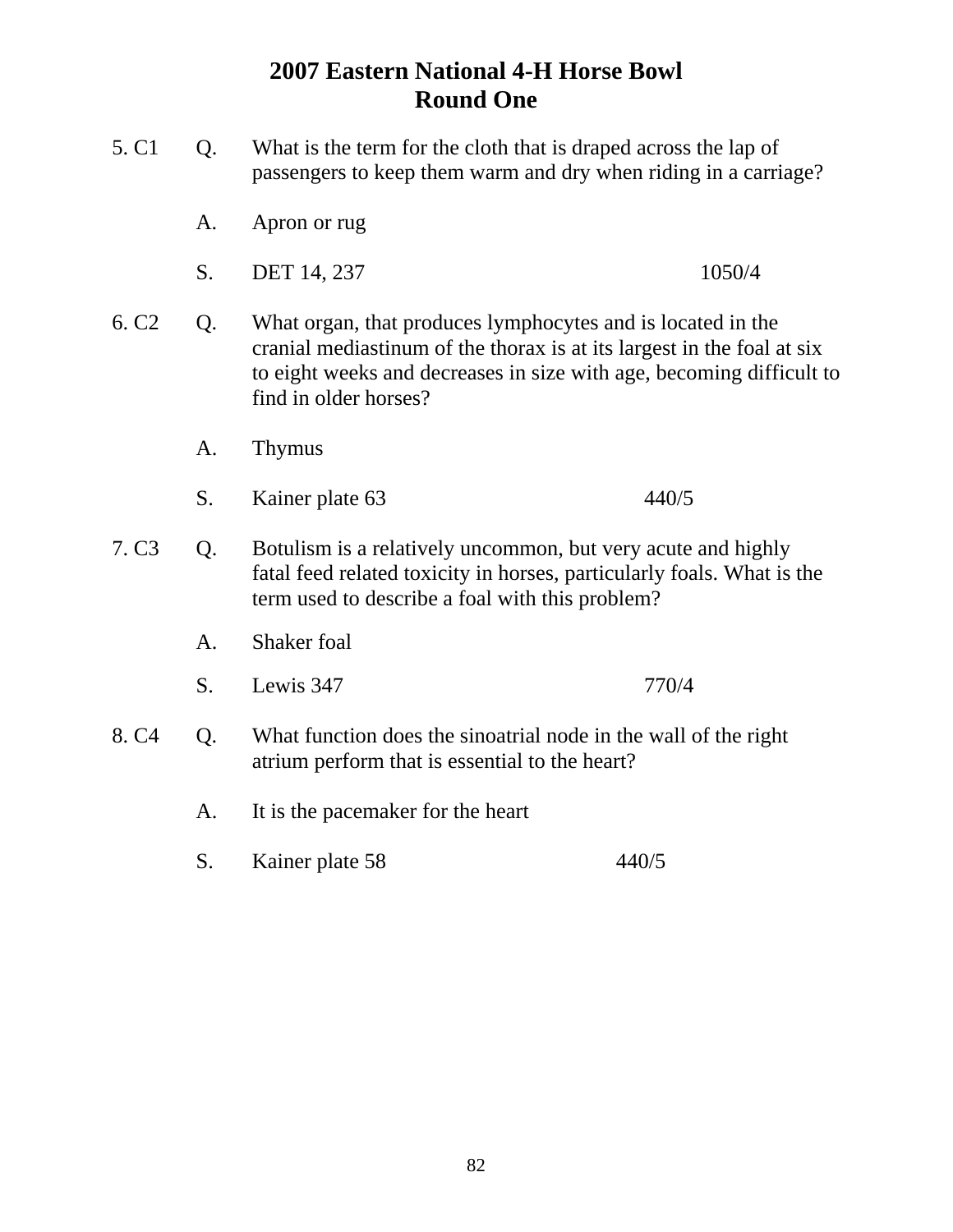- 5. C1 Q. What is the term for the cloth that is draped across the lap of passengers to keep them warm and dry when riding in a carriage? A. Apron or rug S. DET 14, 237 1050/4 6. C2 Q. What organ, that produces lymphocytes and is located in the cranial mediastinum of the thorax is at its largest in the foal at six to eight weeks and decreases in size with age, becoming difficult to find in older horses? A. Thymus S. Kainer plate 63 440/5 7. C3 Q. Botulism is a relatively uncommon, but very acute and highly fatal feed related toxicity in horses, particularly foals. What is the term used to describe a foal with this problem? A. Shaker foal S. Lewis 347 770/4 8. C4 Q. What function does the sinoatrial node in the wall of the right atrium perform that is essential to the heart? A. It is the pacemaker for the heart
	- S. Kainer plate 58 440/5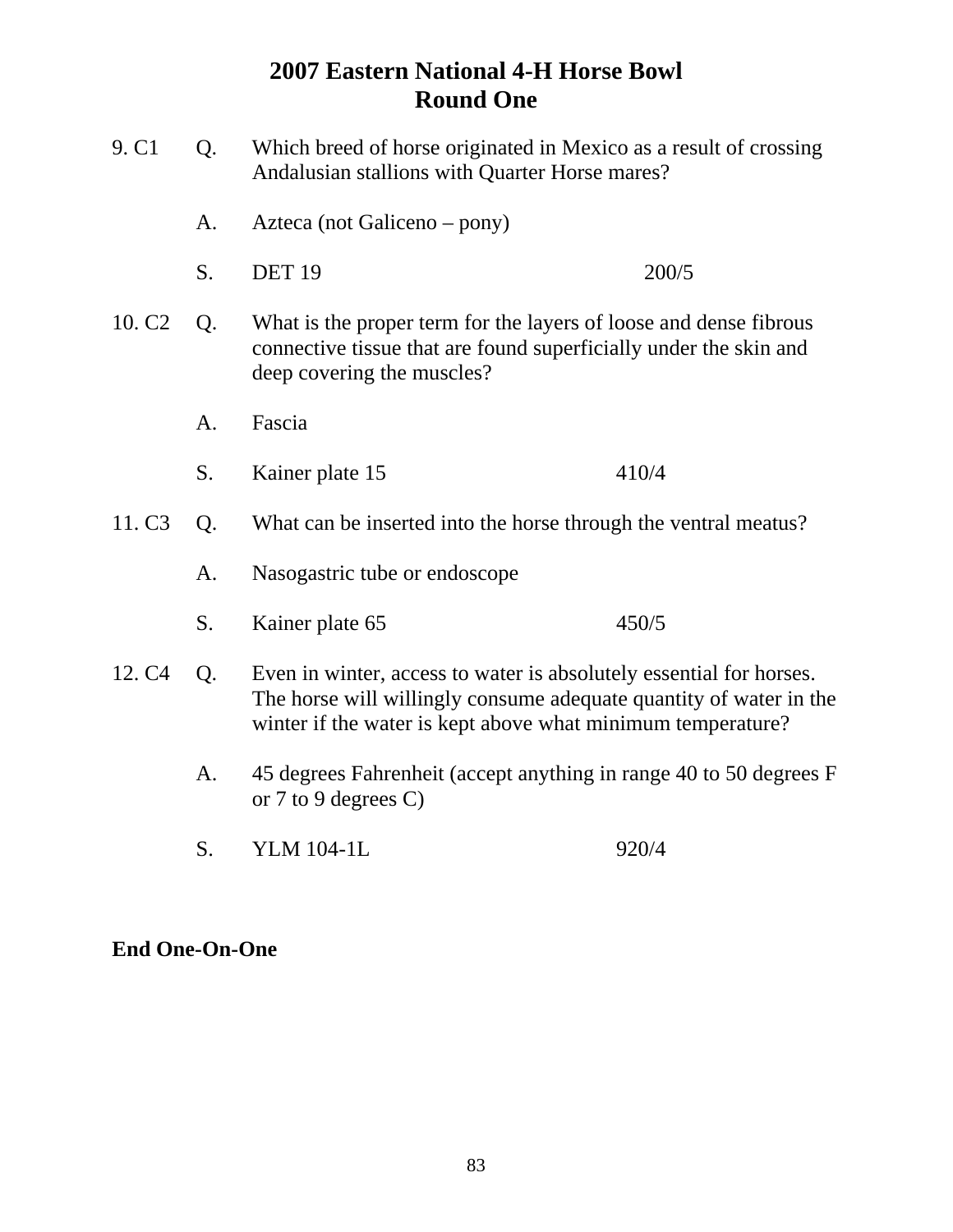| 9. C <sub>1</sub>  | Q. | Andalusian stallions with Quarter Horse mares?                                                                                                                                                           | Which breed of horse originated in Mexico as a result of crossing |
|--------------------|----|----------------------------------------------------------------------------------------------------------------------------------------------------------------------------------------------------------|-------------------------------------------------------------------|
|                    | A. | Azteca (not Galiceno – pony)                                                                                                                                                                             |                                                                   |
|                    | S. | <b>DET 19</b>                                                                                                                                                                                            | 200/5                                                             |
| 10. C <sub>2</sub> | Q. | What is the proper term for the layers of loose and dense fibrous<br>connective tissue that are found superficially under the skin and<br>deep covering the muscles?                                     |                                                                   |
|                    | A. | Fascia                                                                                                                                                                                                   |                                                                   |
|                    | S. | Kainer plate 15                                                                                                                                                                                          | 410/4                                                             |
| 11. C <sub>3</sub> | Q. | What can be inserted into the horse through the ventral meatus?                                                                                                                                          |                                                                   |
|                    | A. | Nasogastric tube or endoscope                                                                                                                                                                            |                                                                   |
|                    | S. | Kainer plate 65                                                                                                                                                                                          | 450/5                                                             |
| 12. C <sub>4</sub> | Q. | Even in winter, access to water is absolutely essential for horses.<br>The horse will willingly consume adequate quantity of water in the<br>winter if the water is kept above what minimum temperature? |                                                                   |
|                    | A. | 45 degrees Fahrenheit (accept anything in range 40 to 50 degrees F<br>or 7 to 9 degrees $C$ )                                                                                                            |                                                                   |
|                    | S. | <b>YLM 104-1L</b>                                                                                                                                                                                        | 920/4                                                             |

## **End One-On-One**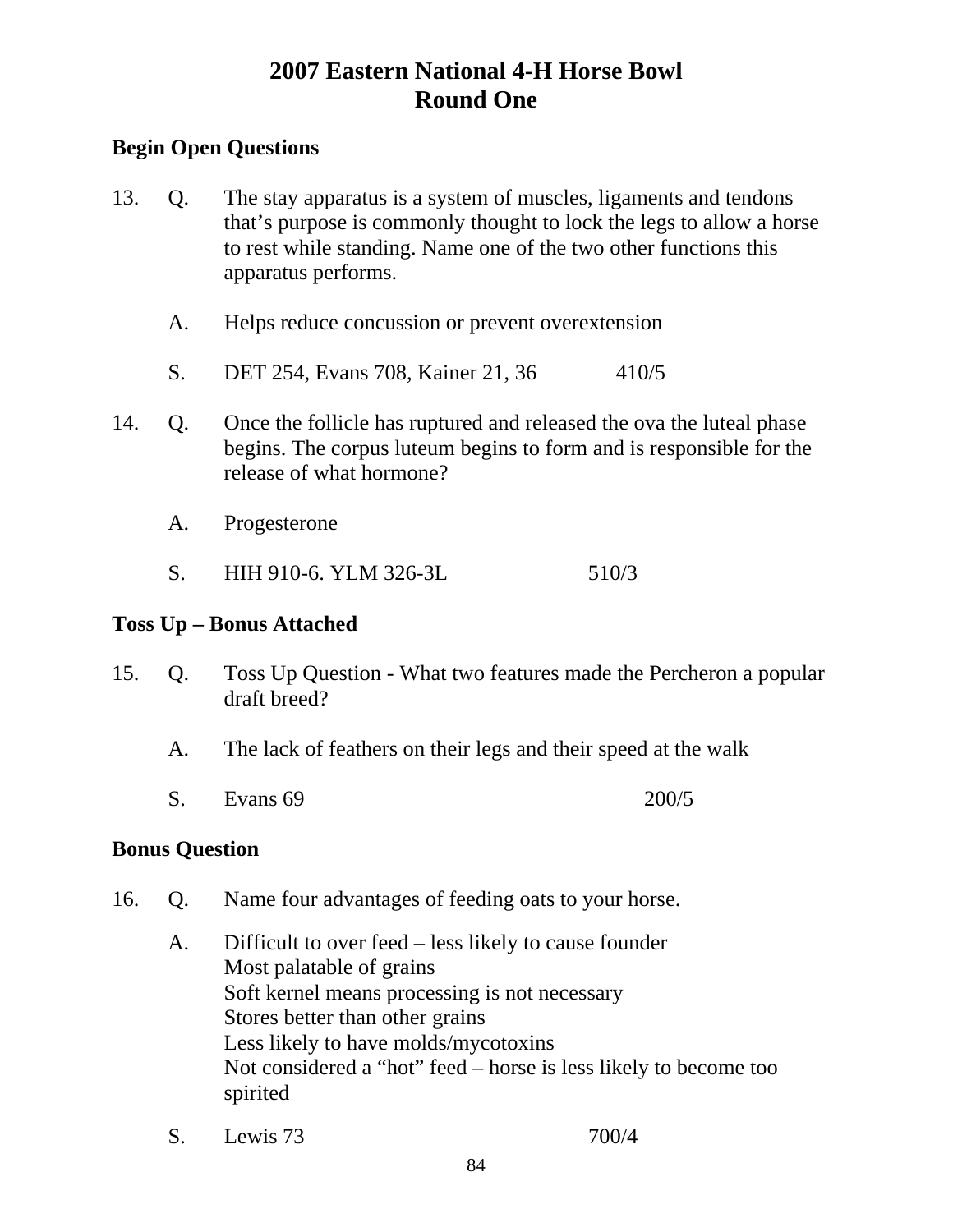## **Begin Open Questions**

- 13. Q. The stay apparatus is a system of muscles, ligaments and tendons that's purpose is commonly thought to lock the legs to allow a horse to rest while standing. Name one of the two other functions this apparatus performs.
	- A. Helps reduce concussion or prevent overextension
	- S. DET 254, Evans 708, Kainer 21, 36 410/5
- 14. Q. Once the follicle has ruptured and released the ova the luteal phase begins. The corpus luteum begins to form and is responsible for the release of what hormone?
	- A. Progesterone
	- S. HIH 910-6. YLM 326-3L 510/3

## **Toss Up – Bonus Attached**

- 15. Q. Toss Up Question What two features made the Percheron a popular draft breed?
	- A. The lack of feathers on their legs and their speed at the walk
	- S. Evans 69 200/5

#### **Bonus Question**

- 16. Q. Name four advantages of feeding oats to your horse.
	- A. Difficult to over feed less likely to cause founder Most palatable of grains Soft kernel means processing is not necessary Stores better than other grains Less likely to have molds/mycotoxins Not considered a "hot" feed – horse is less likely to become too spirited
	- S. Lewis 73 700/4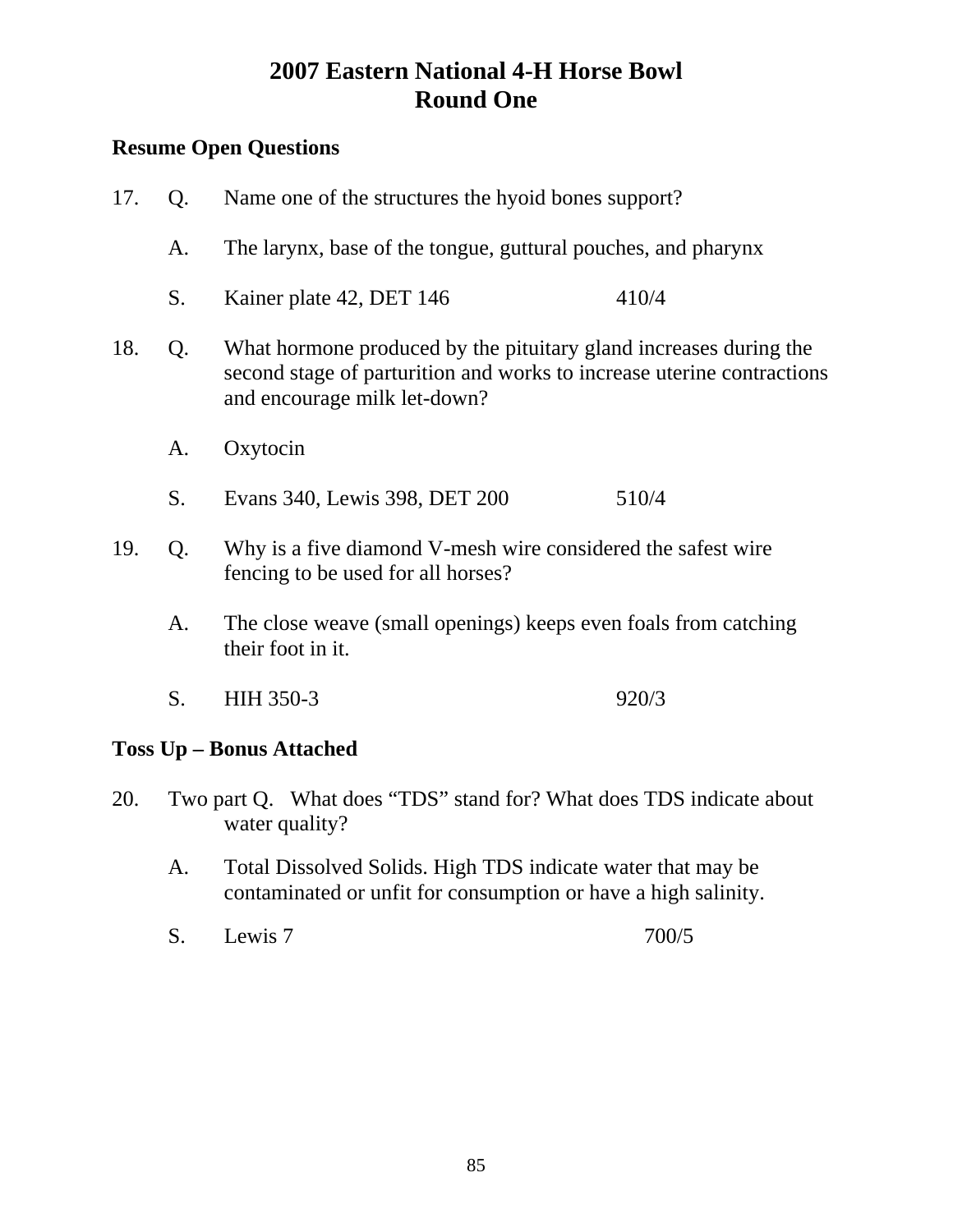## **Resume Open Questions**

17. Q. Name one of the structures the hyoid bones support? A. The larynx, base of the tongue, guttural pouches, and pharynx S. Kainer plate 42, DET 146 410/4 18. Q. What hormone produced by the pituitary gland increases during the second stage of parturition and works to increase uterine contractions and encourage milk let-down? A. Oxytocin S. Evans 340, Lewis 398, DET 200 510/4 19. Q. Why is a five diamond V-mesh wire considered the safest wire fencing to be used for all horses? A. The close weave (small openings) keeps even foals from catching their foot in it. S. HIH 350-3 920/3

## **Toss Up – Bonus Attached**

- 20. Two part Q. What does "TDS" stand for? What does TDS indicate about water quality?
	- A. Total Dissolved Solids. High TDS indicate water that may be contaminated or unfit for consumption or have a high salinity.
	- S. Lewis 7 700/5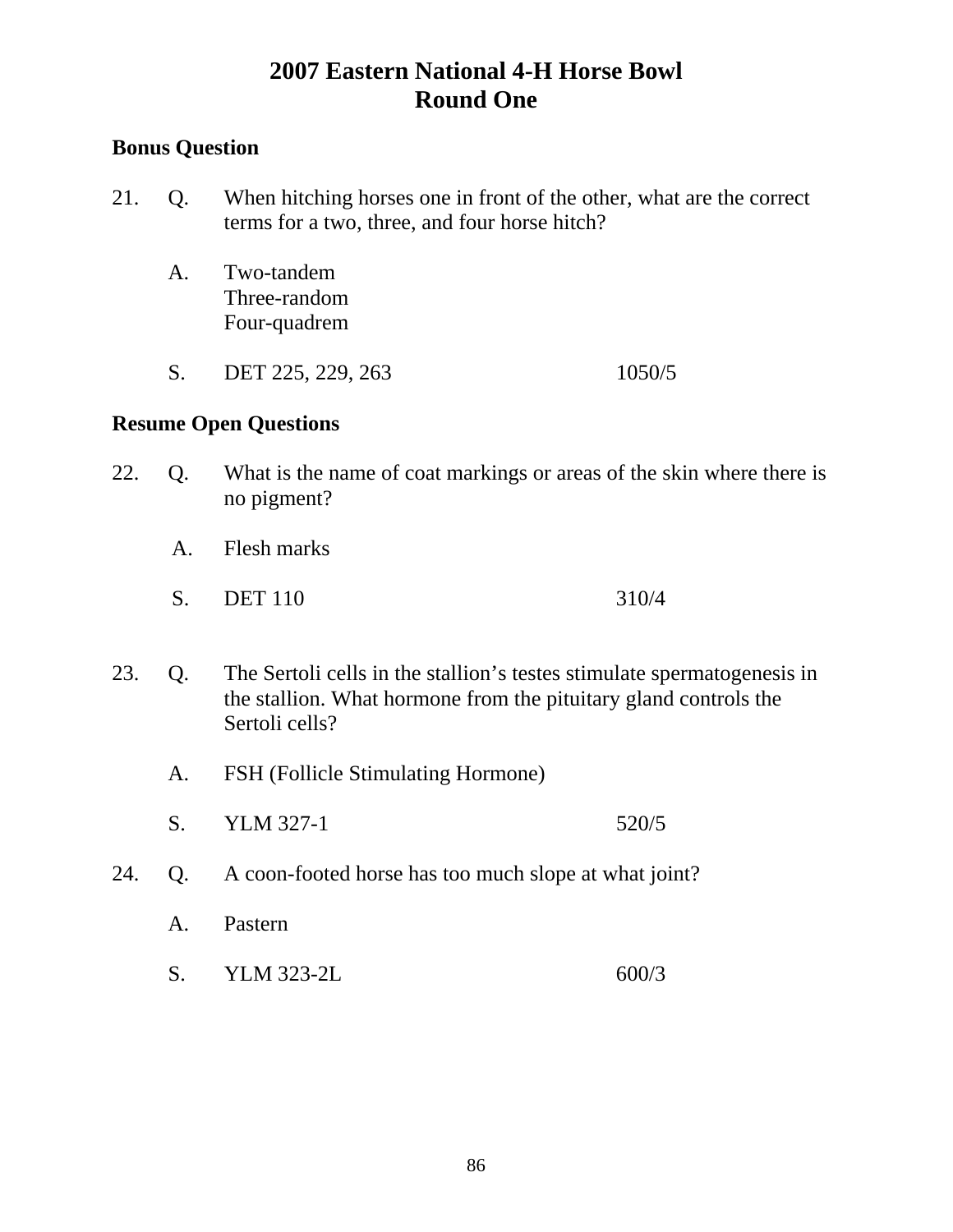## **Bonus Question**

- 21. Q. When hitching horses one in front of the other, what are the correct terms for a two, three, and four horse hitch?
	- A. Two-tandem Three-random Four-quadrem
	- S. DET 225, 229, 263 1050/5

- 22. Q. What is the name of coat markings or areas of the skin where there is no pigment?
	- A. Flesh marks
	- S. DET 110 310/4
- 23. Q. The Sertoli cells in the stallion's testes stimulate spermatogenesis in the stallion. What hormone from the pituitary gland controls the Sertoli cells?
	- A. FSH (Follicle Stimulating Hormone)
	- S. YLM 327-1 520/5
- 24. Q. A coon-footed horse has too much slope at what joint?
	- A. Pastern
	- S. YLM 323-2L 600/3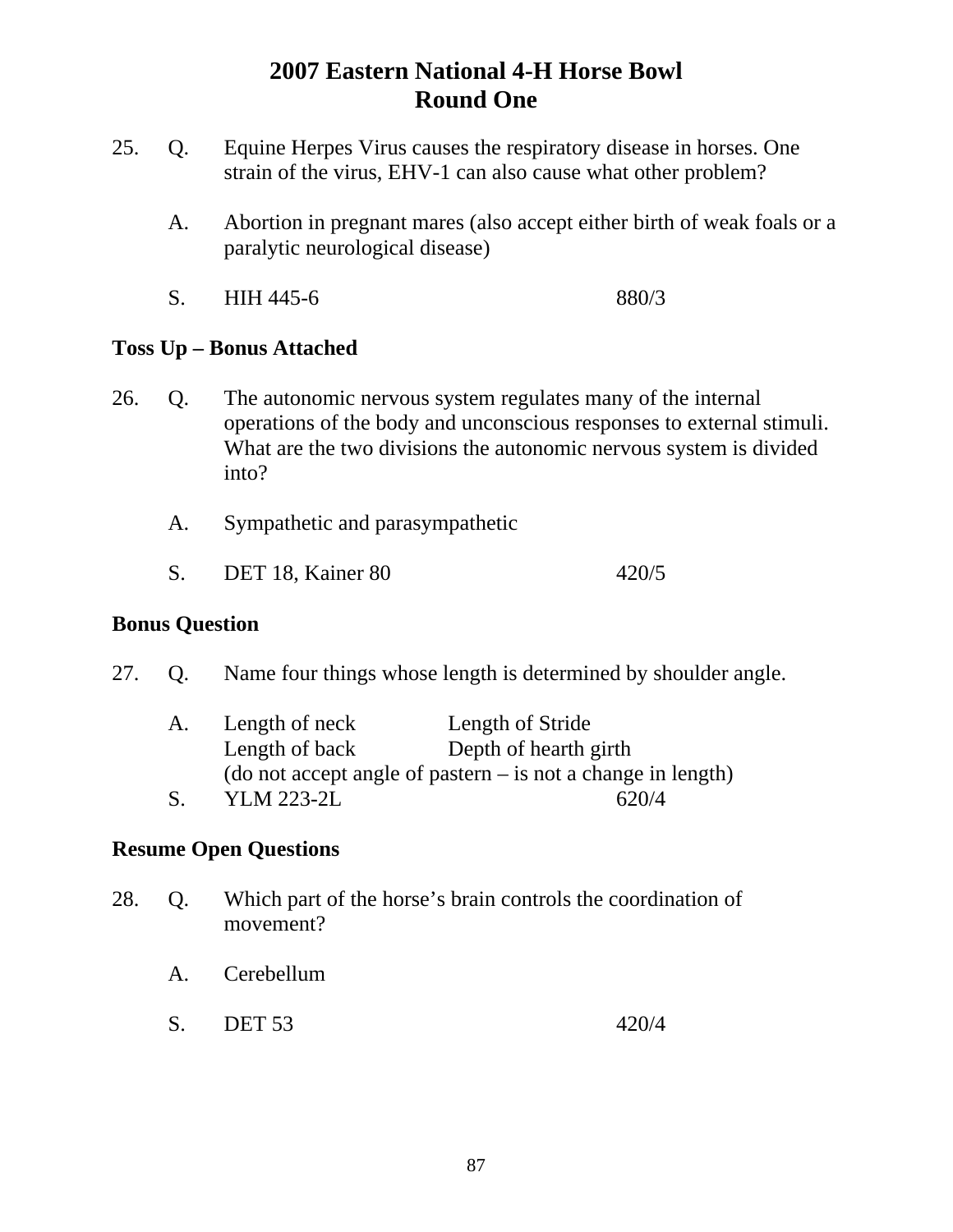- 25. Q. Equine Herpes Virus causes the respiratory disease in horses. One strain of the virus, EHV-1 can also cause what other problem?
	- A. Abortion in pregnant mares (also accept either birth of weak foals or a paralytic neurological disease)
	- S. HIH 445-6 880/3

## **Toss Up – Bonus Attached**

- 26. Q. The autonomic nervous system regulates many of the internal operations of the body and unconscious responses to external stimuli. What are the two divisions the autonomic nervous system is divided into?
	- A. Sympathetic and parasympathetic
	- S. DET 18, Kainer 80 420/5

### **Bonus Question**

27. Q. Name four things whose length is determined by shoulder angle.

| A. | Length of neck                                                 | Length of Stride      |
|----|----------------------------------------------------------------|-----------------------|
|    | Length of back                                                 | Depth of hearth girth |
|    | (do not accept angle of pastern $-$ is not a change in length) |                       |
|    | <b>YLM 223-2L</b>                                              | 620/4                 |

- 28. Q. Which part of the horse's brain controls the coordination of movement?
	- A. Cerebellum
	- S. DET 53 420/4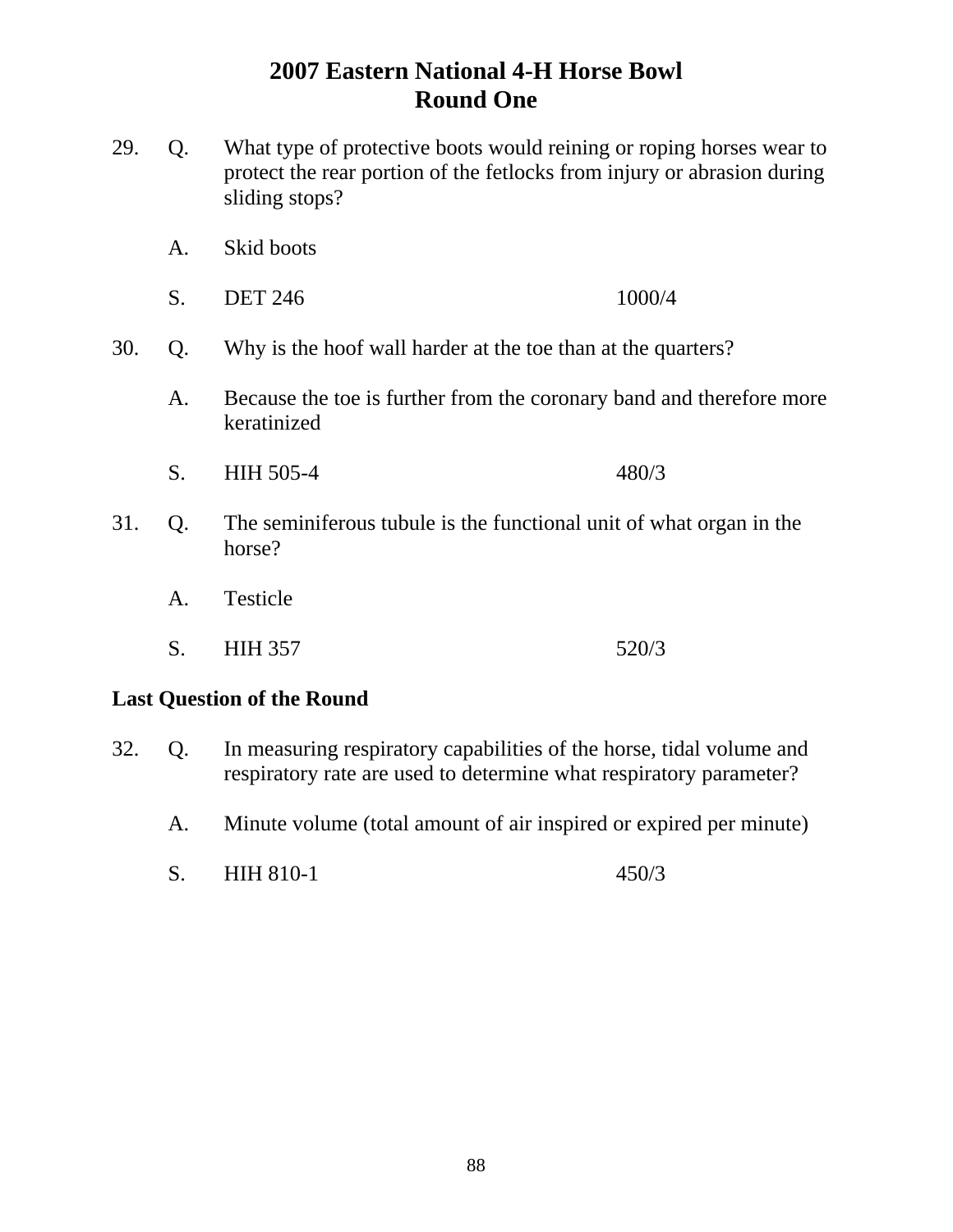- 29. Q. What type of protective boots would reining or roping horses wear to protect the rear portion of the fetlocks from injury or abrasion during sliding stops?
	- A. Skid boots
	- S. DET 246 1000/4
- 30. Q. Why is the hoof wall harder at the toe than at the quarters?
	- A. Because the toe is further from the coronary band and therefore more keratinized
	- S. HIH 505-4 480/3
- 31. Q. The seminiferous tubule is the functional unit of what organ in the horse?
	- A. Testicle
	- S. HIH 357 520/3

#### **Last Question of the Round**

- 32. Q. In measuring respiratory capabilities of the horse, tidal volume and respiratory rate are used to determine what respiratory parameter?
	- A. Minute volume (total amount of air inspired or expired per minute)
	- S. HIH 810-1 450/3